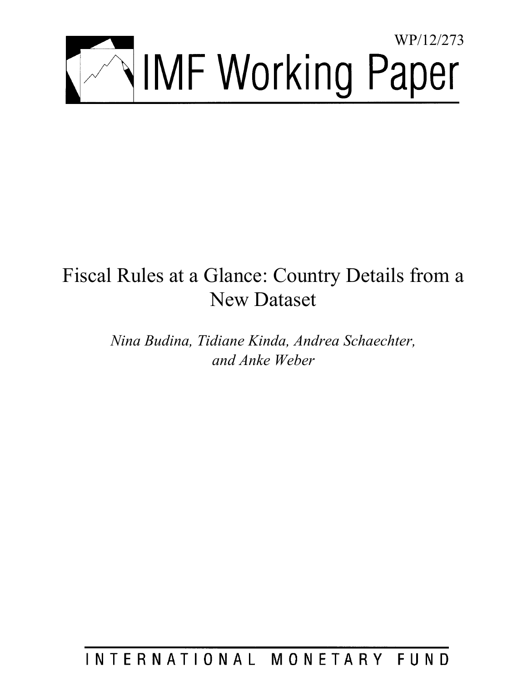

# Fiscal Rules at a Glance: Country Details from a New Dataset

*Nina Budina, Tidiane Kinda, Andrea Schaechter, and Anke Weber* 

INTERNATIONAL MONETARY FUND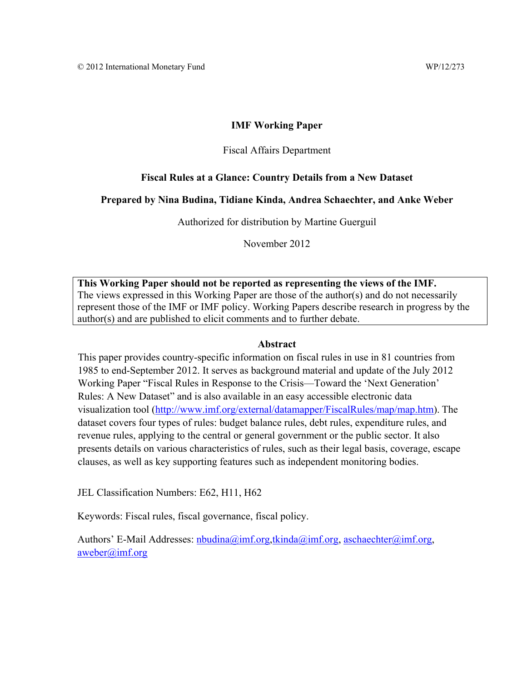### **IMF Working Paper**

### Fiscal Affairs Department

### **Fiscal Rules at a Glance: Country Details from a New Dataset**

### **Prepared by Nina Budina, Tidiane Kinda, Andrea Schaechter, and Anke Weber**

Authorized for distribution by Martine Guerguil

November 2012

**This Working Paper should not be reported as representing the views of the IMF.**  The views expressed in this Working Paper are those of the author(s) and do not necessarily represent those of the IMF or IMF policy. Working Papers describe research in progress by the author(s) and are published to elicit comments and to further debate.

### **Abstract**

This paper provides country-specific information on fiscal rules in use in 81 countries from 1985 to end-September 2012. It serves as background material and update of the July 2012 Working Paper "Fiscal Rules in Response to the Crisis—Toward the 'Next Generation' Rules: A New Dataset" and is also available in an easy accessible electronic data visualization tool (http://www.imf.org/external/datamapper/FiscalRules/map/map.htm). The dataset covers four types of rules: budget balance rules, debt rules, expenditure rules, and revenue rules, applying to the central or general government or the public sector. It also presents details on various characteristics of rules, such as their legal basis, coverage, escape clauses, as well as key supporting features such as independent monitoring bodies.

JEL Classification Numbers: E62, H11, H62

Keywords: Fiscal rules, fiscal governance, fiscal policy.

Authors' E-Mail Addresses:  $n$ budina@imf.org,tkinda@imf.org, aschaechter@imf.org, aweber@imf.org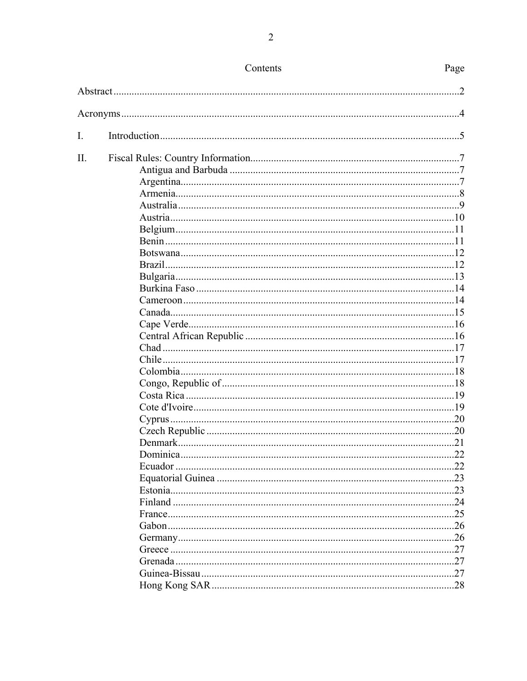|     | Contents | Page           |
|-----|----------|----------------|
|     |          | $\overline{2}$ |
|     |          |                |
| I.  |          |                |
|     |          |                |
| II. |          |                |
|     |          |                |
|     |          |                |
|     |          |                |
|     |          |                |
|     |          |                |
|     |          |                |
|     |          |                |
|     |          |                |
|     |          |                |
|     |          |                |
|     |          |                |
|     |          |                |
|     |          |                |
|     |          |                |
|     |          |                |
|     |          |                |
|     |          |                |
|     |          |                |
|     |          |                |
|     |          |                |
|     |          |                |
|     |          |                |
|     |          |                |
|     |          |                |
|     |          | .22            |
|     |          |                |
|     |          |                |
|     |          |                |
|     |          |                |
|     |          |                |
|     |          | 26             |
|     |          | 26             |
|     |          |                |
|     |          | 27             |
|     |          |                |
|     |          | . 28           |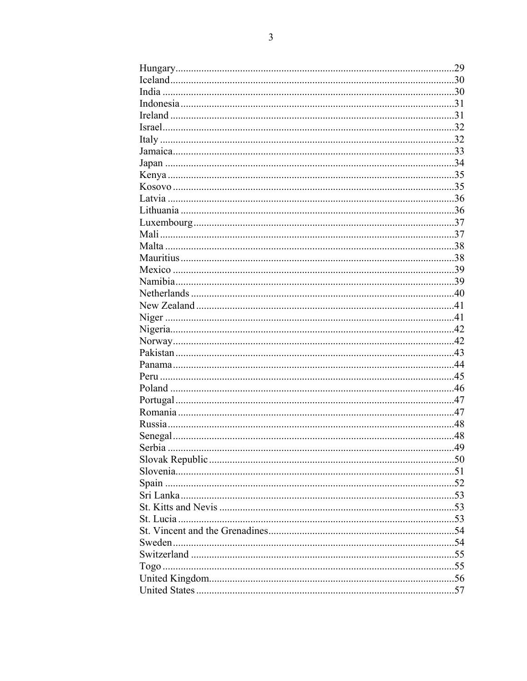|        | 29  |
|--------|-----|
|        | 30  |
|        |     |
|        |     |
|        |     |
|        |     |
|        |     |
|        |     |
|        |     |
|        |     |
|        |     |
|        |     |
|        |     |
|        |     |
|        |     |
|        |     |
|        |     |
|        |     |
|        |     |
|        |     |
|        |     |
|        |     |
|        |     |
|        |     |
|        |     |
|        |     |
|        |     |
|        |     |
|        |     |
|        |     |
|        |     |
|        | .48 |
| Serbia | 49  |
|        |     |
|        |     |
|        |     |
|        |     |
|        |     |
|        |     |
|        |     |
|        |     |
|        |     |
|        |     |
|        |     |
|        |     |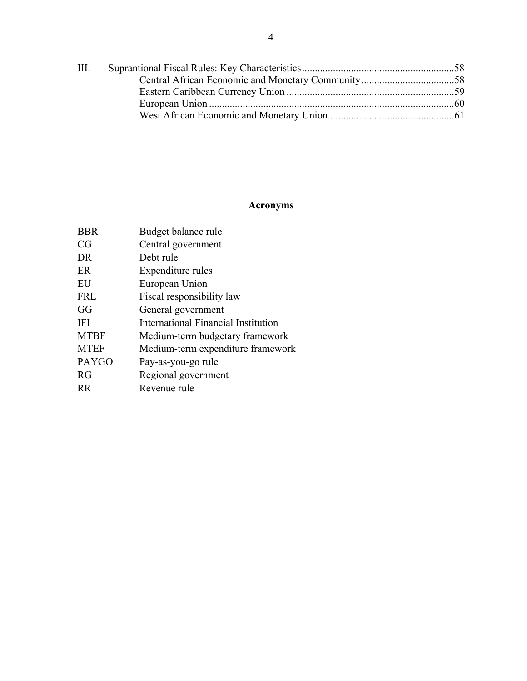| III. |  |
|------|--|
|      |  |
|      |  |
|      |  |
|      |  |

## **Acronyms**

| <b>BBR</b>  | Budget balance rule                 |
|-------------|-------------------------------------|
| CG          | Central government                  |
| DR          | Debt rule                           |
| ER          | Expenditure rules                   |
| EU          | European Union                      |
| <b>FRL</b>  | Fiscal responsibility law           |
| GG          | General government                  |
| IFI         | International Financial Institution |
| <b>MTBF</b> | Medium-term budgetary framework     |
| MTEF        | Medium-term expenditure framework   |
| PAYGO       | Pay-as-you-go rule                  |
| RG          | Regional government                 |
| <b>RR</b>   | Revenue rule                        |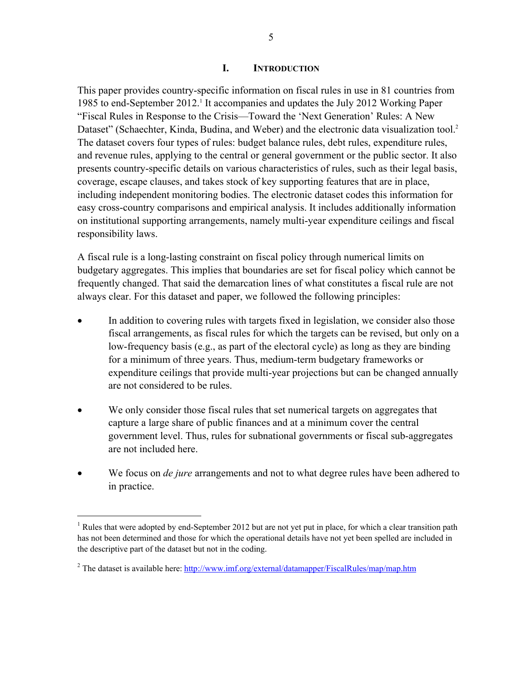### **I. INTRODUCTION**

This paper provides country-specific information on fiscal rules in use in 81 countries from 1985 to end-September 2012.<sup>1</sup> It accompanies and updates the July 2012 Working Paper "Fiscal Rules in Response to the Crisis—Toward the 'Next Generation' Rules: A New Dataset" (Schaechter, Kinda, Budina, and Weber) and the electronic data visualization tool.<sup>2</sup> The dataset covers four types of rules: budget balance rules, debt rules, expenditure rules, and revenue rules, applying to the central or general government or the public sector. It also presents country-specific details on various characteristics of rules, such as their legal basis, coverage, escape clauses, and takes stock of key supporting features that are in place, including independent monitoring bodies. The electronic dataset codes this information for easy cross-country comparisons and empirical analysis. It includes additionally information on institutional supporting arrangements, namely multi-year expenditure ceilings and fiscal responsibility laws.

A fiscal rule is a long-lasting constraint on fiscal policy through numerical limits on budgetary aggregates. This implies that boundaries are set for fiscal policy which cannot be frequently changed. That said the demarcation lines of what constitutes a fiscal rule are not always clear. For this dataset and paper, we followed the following principles:

- In addition to covering rules with targets fixed in legislation, we consider also those fiscal arrangements, as fiscal rules for which the targets can be revised, but only on a low-frequency basis (e.g., as part of the electoral cycle) as long as they are binding for a minimum of three years. Thus, medium-term budgetary frameworks or expenditure ceilings that provide multi-year projections but can be changed annually are not considered to be rules.
- We only consider those fiscal rules that set numerical targets on aggregates that capture a large share of public finances and at a minimum cover the central government level. Thus, rules for subnational governments or fiscal sub-aggregates are not included here.
- We focus on *de jure* arrangements and not to what degree rules have been adhered to in practice.

 $\overline{a}$ 

<sup>&</sup>lt;sup>1</sup> Rules that were adopted by end-September 2012 but are not yet put in place, for which a clear transition path has not been determined and those for which the operational details have not yet been spelled are included in the descriptive part of the dataset but not in the coding.

<sup>&</sup>lt;sup>2</sup> The dataset is available here: http://www.imf.org/external/datamapper/FiscalRules/map/map.htm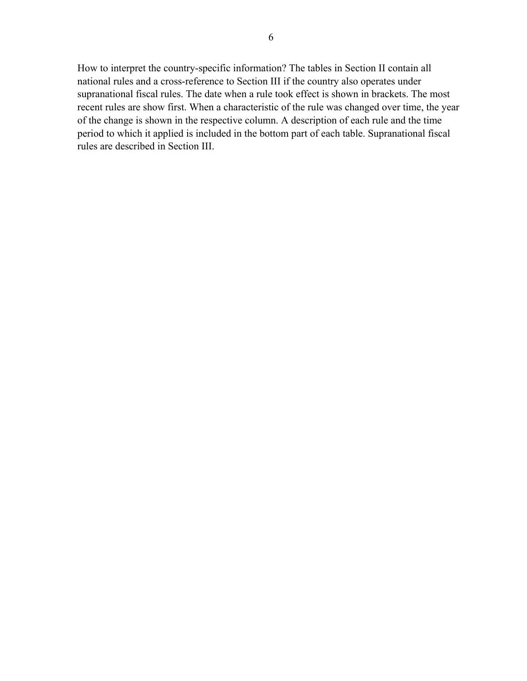How to interpret the country-specific information? The tables in Section II contain all national rules and a cross-reference to Section III if the country also operates under supranational fiscal rules. The date when a rule took effect is shown in brackets. The most recent rules are show first. When a characteristic of the rule was changed over time, the year of the change is shown in the respective column. A description of each rule and the time period to which it applied is included in the bottom part of each table. Supranational fiscal rules are described in Section III.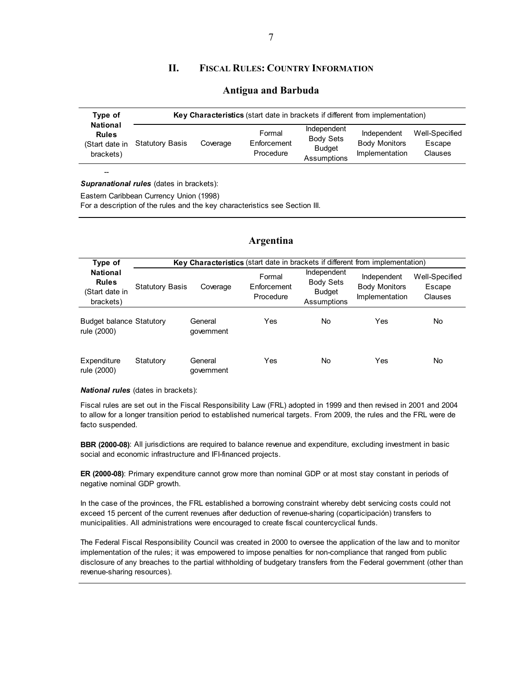### **II. FISCAL RULES: COUNTRY INFORMATION**

#### **Antigua and Barbuda**

|                                                                                                                                                       | Type of<br><b>National</b><br><b>Rules</b><br>(Start date in<br>brackets) | Key Characteristics (start date in brackets if different from implementation) |  |        |             |             |                                     |  |
|-------------------------------------------------------------------------------------------------------------------------------------------------------|---------------------------------------------------------------------------|-------------------------------------------------------------------------------|--|--------|-------------|-------------|-------------------------------------|--|
| Body Sets<br><b>Body Monitors</b><br>Enforcement<br><b>Statutory Basis</b><br>Coverage<br><b>Budget</b><br>Implementation<br>Procedure<br>Assumptions |                                                                           |                                                                               |  | Formal | Independent | Independent | Well-Specified<br>Escape<br>Clauses |  |

*Supranational rules* (dates in brackets):

--

Eastern Caribbean Currency Union (1998)

For a description of the rules and the key characteristics see Section III.

#### **Argentina**

| Type of                                                        |                        | Key Characteristics (start date in brackets if different from implementation) |                                    |                                                                 |                                                       |                                     |
|----------------------------------------------------------------|------------------------|-------------------------------------------------------------------------------|------------------------------------|-----------------------------------------------------------------|-------------------------------------------------------|-------------------------------------|
| <b>National</b><br><b>Rules</b><br>(Start date in<br>brackets) | <b>Statutory Basis</b> | Coverage                                                                      | Formal<br>Enforcement<br>Procedure | Independent<br><b>Body Sets</b><br><b>Budget</b><br>Assumptions | Independent<br><b>Body Monitors</b><br>Implementation | Well-Specified<br>Escape<br>Clauses |
| <b>Budget balance Statutory</b><br>rule (2000)                 |                        | General<br>qovernment                                                         | Yes                                | No                                                              | Yes                                                   | No                                  |
| Expenditure<br>rule (2000)                                     | Statutory              | General<br>government                                                         | Yes                                | No.                                                             | Yes                                                   | No                                  |

*National rules* (dates in brackets):

Fiscal rules are set out in the Fiscal Responsibility Law (FRL) adopted in 1999 and then revised in 2001 and 2004 to allow for a longer transition period to established numerical targets. From 2009, the rules and the FRL were de facto suspended.

**BBR (2000-08)**: All jurisdictions are required to balance revenue and expenditure, excluding investment in basic social and economic infrastructure and IFI-financed projects.

**ER (2000-08)**: Primary expenditure cannot grow more than nominal GDP or at most stay constant in periods of negative nominal GDP growth.

In the case of the provinces, the FRL established a borrowing constraint whereby debt servicing costs could not exceed 15 percent of the current revenues after deduction of revenue-sharing (coparticipación) transfers to municipalities. All administrations were encouraged to create fiscal countercyclical funds.

The Federal Fiscal Responsibility Council was created in 2000 to oversee the application of the law and to monitor implementation of the rules; it was empowered to impose penalties for non-compliance that ranged from public disclosure of any breaches to the partial withholding of budgetary transfers from the Federal government (other than revenue-sharing resources).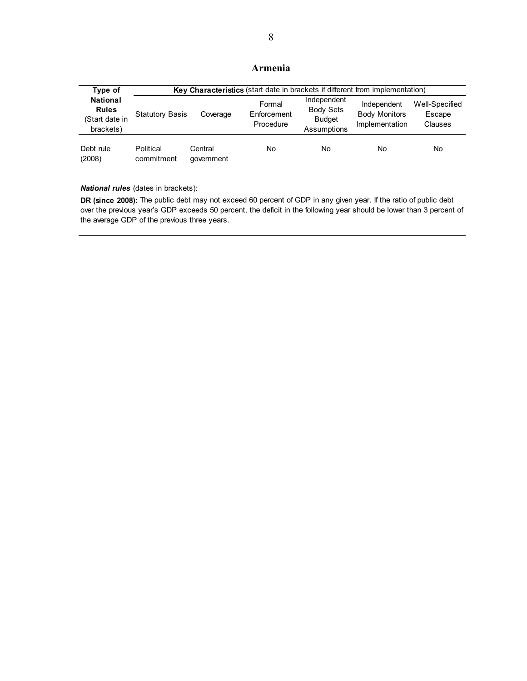### **Armenia**

| Type of                                                        |                         | Key Characteristics (start date in brackets if different from implementation) |                                    |                                                                 |                                                       |                                     |  |  |
|----------------------------------------------------------------|-------------------------|-------------------------------------------------------------------------------|------------------------------------|-----------------------------------------------------------------|-------------------------------------------------------|-------------------------------------|--|--|
| <b>National</b><br><b>Rules</b><br>(Start date in<br>brackets) | <b>Statutory Basis</b>  | Coverage                                                                      | Formal<br>Enforcement<br>Procedure | Independent<br><b>Body Sets</b><br><b>Budget</b><br>Assumptions | Independent<br><b>Body Monitors</b><br>Implementation | Well-Specified<br>Escape<br>Clauses |  |  |
| Debt rule<br>(2008)                                            | Political<br>commitment | Central<br>qovernment                                                         | No                                 | No                                                              | No                                                    | No                                  |  |  |

*National rules* (dates in brackets):

**DR (since 2008):** The public debt may not exceed 60 percent of GDP in any given year. If the ratio of public debt over the previous year's GDP exceeds 50 percent, the deficit in the following year should be lower than 3 percent of the average GDP of the previous three years.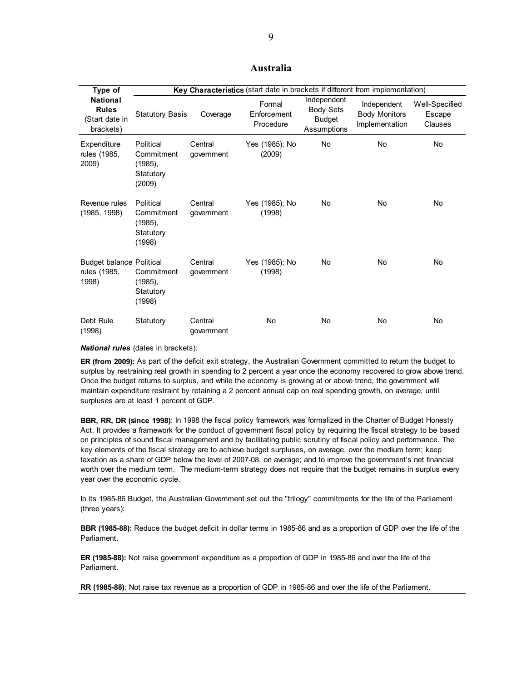### **Australia**

| Type of                                                        |                                                              |                       | Key Characteristics (start date in brackets if different from implementation) |                                                                 |                                                       |                                     |
|----------------------------------------------------------------|--------------------------------------------------------------|-----------------------|-------------------------------------------------------------------------------|-----------------------------------------------------------------|-------------------------------------------------------|-------------------------------------|
| <b>National</b><br><b>Rules</b><br>(Start date in<br>brackets) | <b>Statutory Basis</b>                                       | Coverage              | Formal<br>Enforcement<br>Procedure                                            | Independent<br><b>Body Sets</b><br><b>Budget</b><br>Assumptions | Independent<br><b>Body Monitors</b><br>Implementation | Well-Specified<br>Escape<br>Clauses |
| Expenditure<br>rules (1985,<br>2009)                           | Political<br>Commitment<br>$(1985)$ ,<br>Statutory<br>(2009) | Central<br>government | Yes (1985); No<br>(2009)                                                      | <b>No</b>                                                       | <b>No</b>                                             | <b>No</b>                           |
| Revenue rules<br>(1985, 1998)                                  | Political<br>Commitment<br>$(1985)$ ,<br>Statutory<br>(1998) | Central<br>government | Yes (1985); No<br>(1998)                                                      | No.                                                             | No.                                                   | No                                  |
| <b>Budget balance Political</b><br>rules (1985,<br>1998)       | Commitment<br>$(1985)$ ,<br>Statutory<br>(1998)              | Central<br>government | Yes (1985); No<br>(1998)                                                      | No.                                                             | No                                                    | No                                  |
| Debt Rule<br>(1998)                                            | Statutory                                                    | Central<br>government | <b>No</b>                                                                     | <b>No</b>                                                       | <b>No</b>                                             | No                                  |

*National rules* (dates in brackets):

**ER (from 2009):** As part of the deficit exit strategy, the Australian Government committed to return the budget to surplus by restraining real growth in spending to 2 percent a year once the economy recovered to grow above trend. Once the budget returns to surplus, and while the economy is growing at or above trend, the government will maintain expenditure restraint by retaining a 2 percent annual cap on real spending growth, on average, until surpluses are at least 1 percent of GDP.

**BBR, RR, DR (since 1998)**: In 1998 the fiscal policy framework was formalized in the Charter of Budget Honesty Act. It provides a framework for the conduct of government fiscal policy by requiring the fiscal strategy to be based on principles of sound fiscal management and by facilitating public scrutiny of fiscal policy and performance. The key elements of the fiscal strategy are to achieve budget surpluses, on average, over the medium term; keep taxation as a share of GDP below the level of 2007-08, on average; and to improve the government's net financial worth over the medium term. The medium-term strategy does not require that the budget remains in surplus every year over the economic cycle.

In its 1985-86 Budget, the Australian Government set out the "trilogy" commitments for the life of the Parliament (three years):

**BBR (1985-88):** Reduce the budget deficit in dollar terms in 1985-86 and as a proportion of GDP over the life of the Parliament.

**ER (1985-88):** Not raise government expenditure as a proportion of GDP in 1985-86 and over the life of the Parliament.

**RR (1985-88)**: Not raise tax revenue as a proportion of GDP in 1985-86 and over the life of the Parliament.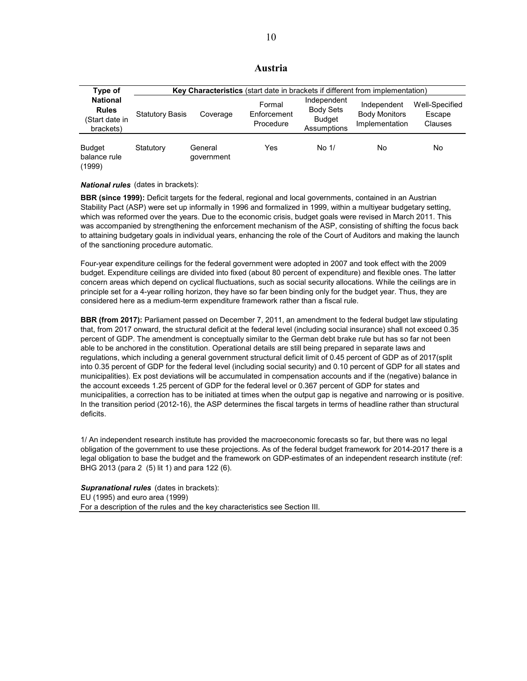| Austria |  |
|---------|--|
|         |  |

| Type of                                                        | Key Characteristics (start date in brackets if different from implementation) |                       |                                    |                                                                 |                                                       |                                     |  |
|----------------------------------------------------------------|-------------------------------------------------------------------------------|-----------------------|------------------------------------|-----------------------------------------------------------------|-------------------------------------------------------|-------------------------------------|--|
| <b>National</b><br><b>Rules</b><br>(Start date in<br>brackets) | <b>Statutory Basis</b>                                                        | Coverage              | Formal<br>Enforcement<br>Procedure | Independent<br><b>Body Sets</b><br><b>Budget</b><br>Assumptions | Independent<br><b>Body Monitors</b><br>Implementation | Well-Specified<br>Escape<br>Clauses |  |
| <b>Budget</b><br>balance rule<br>(1999)                        | Statutory                                                                     | General<br>government | Yes                                | No <sub>1</sub>                                                 | No                                                    | No                                  |  |

*National rules* (dates in brackets):

**BBR (since 1999):** Deficit targets for the federal, regional and local governments, contained in an Austrian Stability Pact (ASP) were set up informally in 1996 and formalized in 1999, within a multiyear budgetary setting, which was reformed over the years. Due to the economic crisis, budget goals were revised in March 2011. This was accompanied by strengthening the enforcement mechanism of the ASP, consisting of shifting the focus back to attaining budgetary goals in individual years, enhancing the role of the Court of Auditors and making the launch of the sanctioning procedure automatic.

Four-year expenditure ceilings for the federal government were adopted in 2007 and took effect with the 2009 budget. Expenditure ceilings are divided into fixed (about 80 percent of expenditure) and flexible ones. The latter concern areas which depend on cyclical fluctuations, such as social security allocations. While the ceilings are in principle set for a 4-year rolling horizon, they have so far been binding only for the budget year. Thus, they are considered here as a medium-term expenditure framework rather than a fiscal rule.

**BBR (from 2017):** Parliament passed on December 7, 2011, an amendment to the federal budget law stipulating that, from 2017 onward, the structural deficit at the federal level (including social insurance) shall not exceed 0.35 percent of GDP. The amendment is conceptually similar to the German debt brake rule but has so far not been able to be anchored in the constitution. Operational details are still being prepared in separate laws and regulations, which including a general government structural deficit limit of 0.45 percent of GDP as of 2017(split into 0.35 percent of GDP for the federal level (including social security) and 0.10 percent of GDP for all states and municipalities). Ex post deviations will be accumulated in compensation accounts and if the (negative) balance in the account exceeds 1.25 percent of GDP for the federal level or 0.367 percent of GDP for states and municipalities, a correction has to be initiated at times when the output gap is negative and narrowing or is positive. In the transition period (2012-16), the ASP determines the fiscal targets in terms of headline rather than structural deficits.

1/ An independent research institute has provided the macroeconomic forecasts so far, but there was no legal obligation of the government to use these projections. As of the federal budget framework for 2014-2017 there is a legal obligation to base the budget and the framework on GDP-estimates of an independent research institute (ref: BHG 2013 (para 2 (5) lit 1) and para 122 (6).

*Supranational rules* (dates in brackets): EU (1995) and euro area (1999) For a description of the rules and the key characteristics see Section III.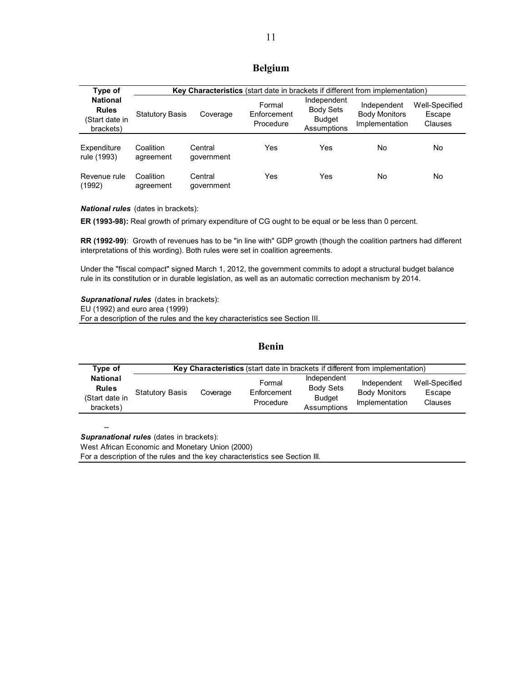### **Belgium**

| Type of                                                        |                        |                       |                                    |                                                          | Key Characteristics (start date in brackets if different from implementation) |                                     |
|----------------------------------------------------------------|------------------------|-----------------------|------------------------------------|----------------------------------------------------------|-------------------------------------------------------------------------------|-------------------------------------|
| <b>National</b><br><b>Rules</b><br>(Start date in<br>brackets) | <b>Statutory Basis</b> | Coverage              | Formal<br>Enforcement<br>Procedure | Independent<br>Body Sets<br><b>Budget</b><br>Assumptions | Independent<br><b>Body Monitors</b><br>Implementation                         | Well-Specified<br>Escape<br>Clauses |
| Expenditure<br>rule (1993)                                     | Coalition<br>agreement | Central<br>qovernment | Yes                                | Yes                                                      | No                                                                            | No.                                 |
| Revenue rule<br>(1992)                                         | Coalition<br>agreement | Central<br>government | Yes                                | Yes                                                      | No                                                                            | No.                                 |

*National rules* (dates in brackets):

**ER (1993-98):** Real growth of primary expenditure of CG ought to be equal or be less than 0 percent.

**RR (1992-99)**: Growth of revenues has to be "in line with" GDP growth (though the coalition partners had different interpretations of this wording). Both rules were set in coalition agreements.

Under the "fiscal compact" signed March 1, 2012, the government commits to adopt a structural budget balance rule in its constitution or in durable legislation, as well as an automatic correction mechanism by 2014.

*Supranational rules* (dates in brackets): EU (1992) and euro area (1999)

For a description of the rules and the key characteristics see Section III.

### **Benin**

| Type of                                                        | <b>Key Characteristics</b> (start date in brackets if different from implementation) |          |                                    |                                                                 |                                                       |                                            |  |
|----------------------------------------------------------------|--------------------------------------------------------------------------------------|----------|------------------------------------|-----------------------------------------------------------------|-------------------------------------------------------|--------------------------------------------|--|
| <b>National</b><br><b>Rules</b><br>(Start date in<br>brackets) | <b>Statutory Basis</b>                                                               | Coverage | Formal<br>Enforcement<br>Procedure | Independent<br><b>Body Sets</b><br><b>Budget</b><br>Assumptions | Independent<br><b>Body Monitors</b><br>Implementation | Well-Specified<br>Escape<br><b>Clauses</b> |  |

-- *Supranational rules* (dates in brackets):

West African Economic and Monetary Union (2000)

For a description of the rules and the key characteristics see Section III.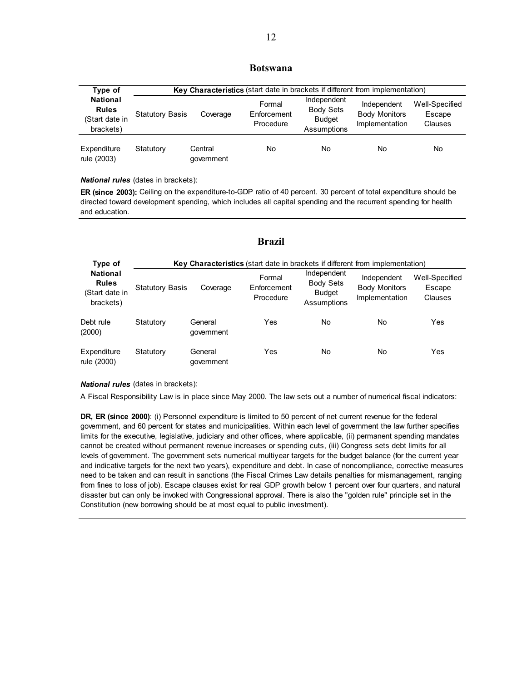#### **Botswana**

| Type of                                                        |                        | Key Characteristics (start date in brackets if different from implementation) |                                    |                                                                 |                                                       |                                     |  |  |
|----------------------------------------------------------------|------------------------|-------------------------------------------------------------------------------|------------------------------------|-----------------------------------------------------------------|-------------------------------------------------------|-------------------------------------|--|--|
| <b>National</b><br><b>Rules</b><br>(Start date in<br>brackets) | <b>Statutory Basis</b> | Coverage                                                                      | Formal<br>Enforcement<br>Procedure | Independent<br><b>Body Sets</b><br><b>Budget</b><br>Assumptions | Independent<br><b>Body Monitors</b><br>Implementation | Well-Specified<br>Escape<br>Clauses |  |  |
| Expenditure<br>rule (2003)                                     | Statutory              | Central<br>qovernment                                                         | No                                 | <b>No</b>                                                       | No                                                    | No.                                 |  |  |

*National rules* (dates in brackets):

**ER (since 2003):** Ceiling on the expenditure-to-GDP ratio of 40 percent. 30 percent of total expenditure should be directed toward development spending, which includes all capital spending and the recurrent spending for health and education.

| Type of                                                        |                        | Key Characteristics (start date in brackets if different from implementation) |                                    |                                                                 |                                                       |                                     |  |  |
|----------------------------------------------------------------|------------------------|-------------------------------------------------------------------------------|------------------------------------|-----------------------------------------------------------------|-------------------------------------------------------|-------------------------------------|--|--|
| <b>National</b><br><b>Rules</b><br>(Start date in<br>brackets) | <b>Statutory Basis</b> | Coverage                                                                      | Formal<br>Enforcement<br>Procedure | Independent<br><b>Body Sets</b><br><b>Budget</b><br>Assumptions | Independent<br><b>Body Monitors</b><br>Implementation | Well-Specified<br>Escape<br>Clauses |  |  |
| Debt rule<br>(2000)                                            | Statutory              | General<br>government                                                         | Yes                                | <b>No</b>                                                       | No                                                    | Yes                                 |  |  |
| Expenditure<br>rule (2000)                                     | Statutory              | General<br>government                                                         | Yes                                | <b>No</b>                                                       | No                                                    | Yes                                 |  |  |

#### **Brazil**

#### *National rules* (dates in brackets):

A Fiscal Responsibility Law is in place since May 2000. The law sets out a number of numerical fiscal indicators:

**DR, ER (since 2000)**: (i) Personnel expenditure is limited to 50 percent of net current revenue for the federal government, and 60 percent for states and municipalities. Within each level of government the law further specifies limits for the executive, legislative, judiciary and other offices, where applicable, (ii) permanent spending mandates cannot be created without permanent revenue increases or spending cuts, (iii) Congress sets debt limits for all levels of government. The government sets numerical multiyear targets for the budget balance (for the current year and indicative targets for the next two years), expenditure and debt. In case of noncompliance, corrective measures need to be taken and can result in sanctions (the Fiscal Crimes Law details penalties for mismanagement, ranging from fines to loss of job). Escape clauses exist for real GDP growth below 1 percent over four quarters, and natural disaster but can only be invoked with Congressional approval. There is also the "golden rule" principle set in the Constitution (new borrowing should be at most equal to public investment).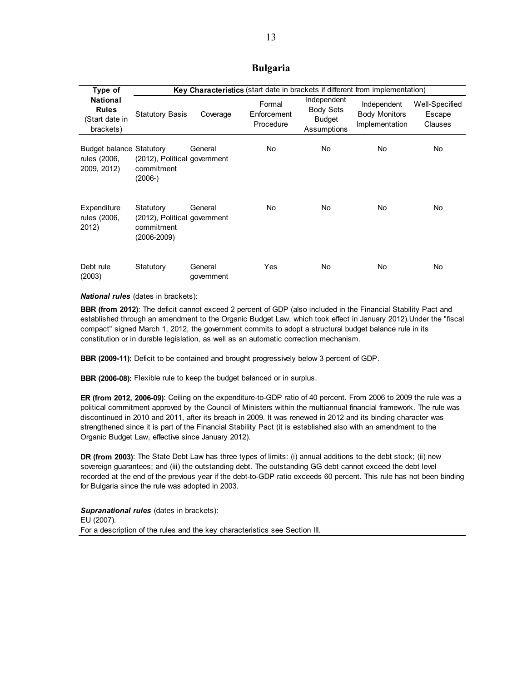### **Bulgaria**

| Type of                                                        |                                                                        | <b>Key Characteristics</b> (start date in brackets if different from implementation) |                                    |                                                          |                                                       |                                     |  |  |  |
|----------------------------------------------------------------|------------------------------------------------------------------------|--------------------------------------------------------------------------------------|------------------------------------|----------------------------------------------------------|-------------------------------------------------------|-------------------------------------|--|--|--|
| <b>National</b><br><b>Rules</b><br>(Start date in<br>brackets) | <b>Statutory Basis</b>                                                 | Coverage                                                                             | Formal<br>Enforcement<br>Procedure | Independent<br><b>Body Sets</b><br>Budget<br>Assumptions | Independent<br><b>Body Monitors</b><br>Implementation | Well-Specified<br>Escape<br>Clauses |  |  |  |
| <b>Budget balance Statutory</b><br>rules (2006,<br>2009, 2012) | (2012), Political government<br>commitment<br>$(2006-)$                | General                                                                              | No.                                | No.                                                      | No                                                    | No.                                 |  |  |  |
| Expenditure<br>rules (2006,<br>2012)                           | Statutory<br>(2012), Political government<br>commitment<br>(2006-2009) | General                                                                              | No.                                | No.                                                      | <b>No</b>                                             | No                                  |  |  |  |
| Debt rule<br>(2003)                                            | Statutory                                                              | General<br>government                                                                | Yes                                | No.                                                      | No                                                    | No                                  |  |  |  |

*National rules* (dates in brackets):

**BBR (from 2012)**: The deficit cannot exceed 2 percent of GDP (also included in the Financial Stability Pact and established through an amendment to the Organic Budget Law, which took effect in January 2012).Under the "fiscal compact" signed March 1, 2012, the government commits to adopt a structural budget balance rule in its constitution or in durable legislation, as well as an automatic correction mechanism.

**BBR (2009-11):** Deficit to be contained and brought progressively below 3 percent of GDP.

**BBR (2006-08):** Flexible rule to keep the budget balanced or in surplus.

**ER (from 2012, 2006-09)**: Ceiling on the expenditure-to-GDP ratio of 40 percent. From 2006 to 2009 the rule was a political commitment approved by the Council of Ministers within the multiannual financial framework. The rule was discontinued in 2010 and 2011, after its breach in 2009. It was renewed in 2012 and its binding character was strengthened since it is part of the Financial Stability Pact (it is established also with an amendment to the Organic Budget Law, effective since January 2012).

**DR (from 2003)**: The State Debt Law has three types of limits: (i) annual additions to the debt stock; (ii) new sovereign guarantees; and (iii) the outstanding debt. The outstanding GG debt cannot exceed the debt level recorded at the end of the previous year if the debt-to-GDP ratio exceeds 60 percent. This rule has not been binding for Bulgaria since the rule was adopted in 2003.

*Supranational rules* (dates in brackets): EU (2007). For a description of the rules and the key characteristics see Section III.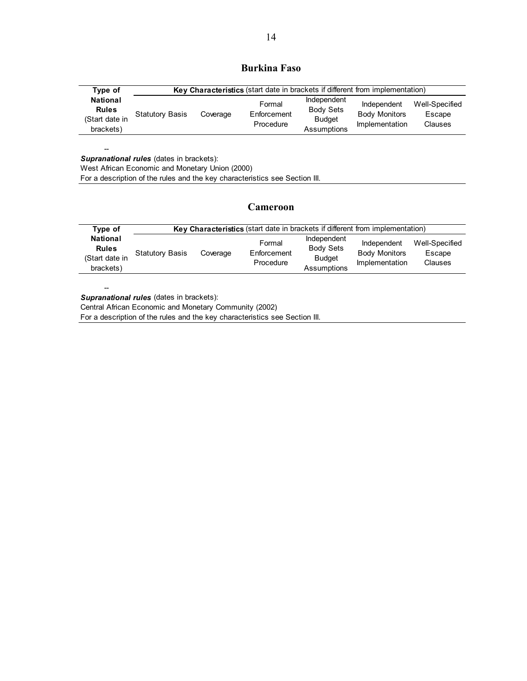### **Burkina Faso**

| Type of                                                        |                        | Key Characteristics (start date in brackets if different from implementation) |                                    |                                                                 |                                                       |                                     |
|----------------------------------------------------------------|------------------------|-------------------------------------------------------------------------------|------------------------------------|-----------------------------------------------------------------|-------------------------------------------------------|-------------------------------------|
| <b>National</b><br><b>Rules</b><br>(Start date in<br>brackets) | <b>Statutory Basis</b> | Coverage                                                                      | Formal<br>Enforcement<br>Procedure | Independent<br><b>Body Sets</b><br><b>Budget</b><br>Assumptions | Independent<br><b>Body Monitors</b><br>Implementation | Well-Specified<br>Escape<br>Clauses |

*Supranational rules* (dates in brackets):

West African Economic and Monetary Union (2000)

For a description of the rules and the key characteristics see Section III.

#### **Cameroon**

| Type of                                                        | <b>Key Characteristics</b> (start date in brackets if different from implementation) |          |                                    |                                                                 |                                                       |                                     |  |  |
|----------------------------------------------------------------|--------------------------------------------------------------------------------------|----------|------------------------------------|-----------------------------------------------------------------|-------------------------------------------------------|-------------------------------------|--|--|
| <b>National</b><br><b>Rules</b><br>(Start date in<br>brackets) | <b>Statutory Basis</b>                                                               | Coverage | Formal<br>Enforcement<br>Procedure | Independent<br><b>Body Sets</b><br><b>Budget</b><br>Assumptions | Independent<br><b>Body Monitors</b><br>Implementation | Well-Specified<br>Escape<br>Clauses |  |  |

--

--

*Supranational rules* (dates in brackets):

Central African Economic and Monetary Community (2002)

For a description of the rules and the key characteristics see Section III.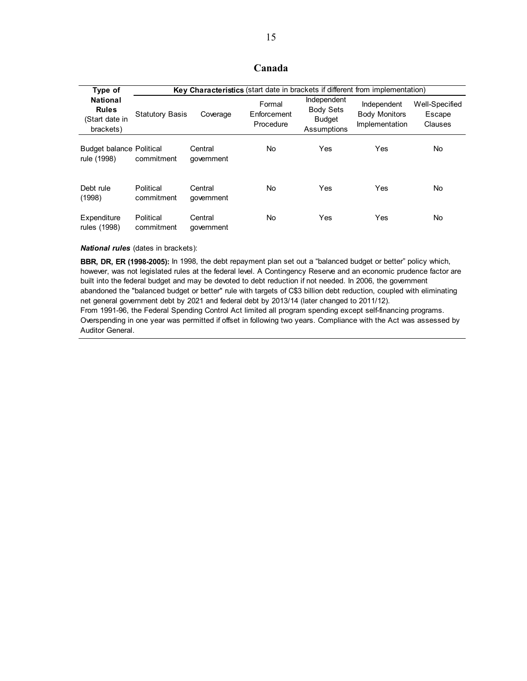### **Canada**

| Type of                                                        |                         | <b>Key Characteristics</b> (start date in brackets if different from implementation) |                                    |                                                                 |                                                       |                                     |
|----------------------------------------------------------------|-------------------------|--------------------------------------------------------------------------------------|------------------------------------|-----------------------------------------------------------------|-------------------------------------------------------|-------------------------------------|
| <b>National</b><br><b>Rules</b><br>(Start date in<br>brackets) | <b>Statutory Basis</b>  | Coverage                                                                             | Formal<br>Enforcement<br>Procedure | Independent<br><b>Body Sets</b><br><b>Budget</b><br>Assumptions | Independent<br><b>Body Monitors</b><br>Implementation | Well-Specified<br>Escape<br>Clauses |
| <b>Budget balance Political</b><br>rule (1998)                 | commitment              | Central<br>qovernment                                                                | <b>No</b>                          | Yes                                                             | Yes                                                   | No.                                 |
| Debt rule<br>(1998)                                            | Political<br>commitment | Central<br>qovernment                                                                | <b>No</b>                          | Yes                                                             | Yes                                                   | No                                  |
| Expenditure<br>rules (1998)                                    | Political<br>commitment | Central<br>government                                                                | No                                 | Yes                                                             | Yes                                                   | No                                  |

*National rules* (dates in brackets):

**BBR, DR, ER (1998-2005):** In 1998, the debt repayment plan set out a "balanced budget or better" policy which, however, was not legislated rules at the federal level. A Contingency Reserve and an economic prudence factor are built into the federal budget and may be devoted to debt reduction if not needed. In 2006, the government abandoned the "balanced budget or better" rule with targets of C\$3 billion debt reduction, coupled with eliminating net general government debt by 2021 and federal debt by 2013/14 (later changed to 2011/12). From 1991-96, the Federal Spending Control Act limited all program spending except self-financing programs. Overspending in one year was permitted if offset in following two years. Compliance with the Act was assessed by Auditor General.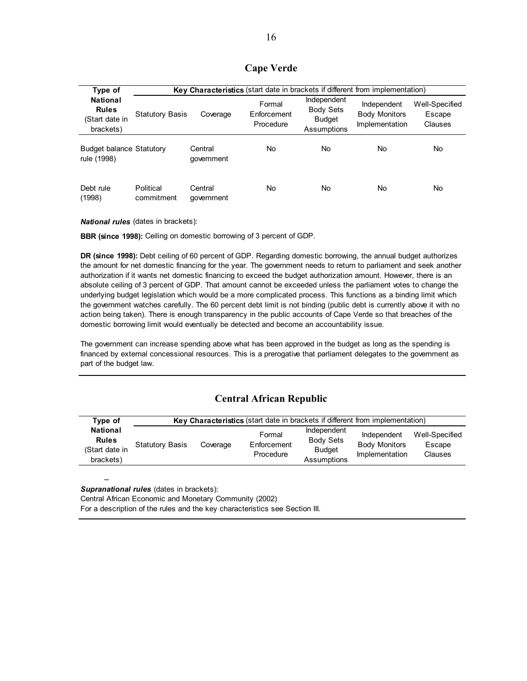### **Cape Verde**

| Type of                                                        |                         | Key Characteristics (start date in brackets if different from implementation) |                                    |                                                                 |                                                       |                                     |  |  |
|----------------------------------------------------------------|-------------------------|-------------------------------------------------------------------------------|------------------------------------|-----------------------------------------------------------------|-------------------------------------------------------|-------------------------------------|--|--|
| <b>National</b><br><b>Rules</b><br>(Start date in<br>brackets) | <b>Statutory Basis</b>  | Coverage                                                                      | Formal<br>Enforcement<br>Procedure | Independent<br><b>Body Sets</b><br><b>Budget</b><br>Assumptions | Independent<br><b>Body Monitors</b><br>Implementation | Well-Specified<br>Escape<br>Clauses |  |  |
| <b>Budget balance Statutory</b><br>rule (1998)                 |                         | Central<br>government                                                         | No                                 | No                                                              | No                                                    | No                                  |  |  |
| Debt rule<br>(1998)                                            | Political<br>commitment | Central<br>government                                                         | No                                 | No.                                                             | No                                                    | No                                  |  |  |

*National rules* (dates in brackets):

--

**BBR (since 1998):** Ceiling on domestic borrowing of 3 percent of GDP.

**DR (since 1998):** Debt ceiling of 60 percent of GDP. Regarding domestic borrowing, the annual budget authorizes the amount for net domestic financing for the year. The government needs to return to parliament and seek another authorization if it wants net domestic financing to exceed the budget authorization amount. However, there is an absolute ceiling of 3 percent of GDP. That amount cannot be exceeded unless the parliament votes to change the underlying budget legislation which would be a more complicated process. This functions as a binding limit which the government watches carefully. The 60 percent debt limit is not binding (public debt is currently above it with no action being taken). There is enough transparency in the public accounts of Cape Verde so that breaches of the domestic borrowing limit would eventually be detected and become an accountability issue.

The government can increase spending above what has been approved in the budget as long as the spending is financed by external concessional resources. This is a prerogative that parliament delegates to the government as part of the budget law.

### **Central African Republic**

| Type of                                                        | Key Characteristics (start date in brackets if different from implementation) |          |                                    |                                                                 |                                                       |                                     |  |  |
|----------------------------------------------------------------|-------------------------------------------------------------------------------|----------|------------------------------------|-----------------------------------------------------------------|-------------------------------------------------------|-------------------------------------|--|--|
| <b>National</b><br><b>Rules</b><br>(Start date in<br>brackets) | <b>Statutory Basis</b>                                                        | Coverage | Formal<br>Enforcement<br>Procedure | Independent<br><b>Body Sets</b><br><b>Budget</b><br>Assumptions | Independent<br><b>Body Monitors</b><br>Implementation | Well-Specified<br>Escape<br>Clauses |  |  |

*Supranational rules* (dates in brackets): Central African Economic and Monetary Community (2002) For a description of the rules and the key characteristics see Section III.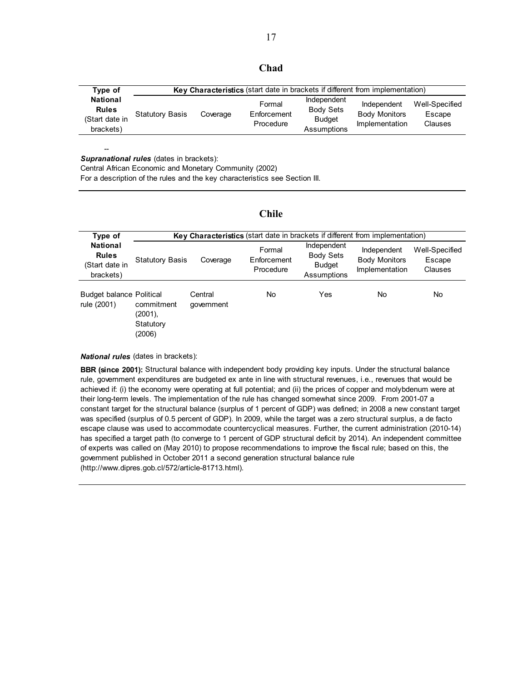| .,<br>. .<br>.<br>×<br>۰,<br>×<br>۰. |
|--------------------------------------|
|--------------------------------------|

| Type of                                                        | Key Characteristics (start date in brackets if different from implementation) |          |                                    |                                                                 |                                                       |                                     |  |
|----------------------------------------------------------------|-------------------------------------------------------------------------------|----------|------------------------------------|-----------------------------------------------------------------|-------------------------------------------------------|-------------------------------------|--|
| <b>National</b><br><b>Rules</b><br>(Start date in<br>brackets) | <b>Statutory Basis</b>                                                        | Coverage | Formal<br>Enforcement<br>Procedure | Independent<br><b>Body Sets</b><br><b>Budget</b><br>Assumptions | Independent<br><b>Body Monitors</b><br>Implementation | Well-Specified<br>Escape<br>Clauses |  |

*Supranational rules* (dates in brackets):

--

Central African Economic and Monetary Community (2002)

For a description of the rules and the key characteristics see Section III.

### **Chile**

| Type of                                                        |                                              | <b>Key Characteristics</b> (start date in brackets if different from implementation) |                                    |                                                                 |                                                       |                                     |  |
|----------------------------------------------------------------|----------------------------------------------|--------------------------------------------------------------------------------------|------------------------------------|-----------------------------------------------------------------|-------------------------------------------------------|-------------------------------------|--|
| <b>National</b><br><b>Rules</b><br>(Start date in<br>brackets) | <b>Statutory Basis</b>                       | Coverage                                                                             | Formal<br>Enforcement<br>Procedure | Independent<br><b>Body Sets</b><br><b>Budget</b><br>Assumptions | Independent<br><b>Body Monitors</b><br>Implementation | Well-Specified<br>Escape<br>Clauses |  |
| <b>Budget balance Political</b><br>rule (2001)                 | commitment<br>(2001),<br>Statutory<br>(2006) | Central<br>qovernment                                                                | No                                 | Yes                                                             | No                                                    | No                                  |  |

*National rules* (dates in brackets):

**BBR (since 2001):** Structural balance with independent body providing key inputs. Under the structural balance rule, government expenditures are budgeted ex ante in line with structural revenues, i.e., revenues that would be achieved if: (i) the economy were operating at full potential; and (ii) the prices of copper and molybdenum were at their long-term levels. The implementation of the rule has changed somewhat since 2009. From 2001-07 a constant target for the structural balance (surplus of 1 percent of GDP) was defined; in 2008 a new constant target was specified (surplus of 0.5 percent of GDP). In 2009, while the target was a zero structural surplus, a de facto escape clause was used to accommodate countercyclical measures. Further, the current administration (2010-14) has specified a target path (to converge to 1 percent of GDP structural deficit by 2014). An independent committee of experts was called on (May 2010) to propose recommendations to improve the fiscal rule; based on this, the government published in October 2011 a second generation structural balance rule (http://www.dipres.gob.cl/572/article-81713.html).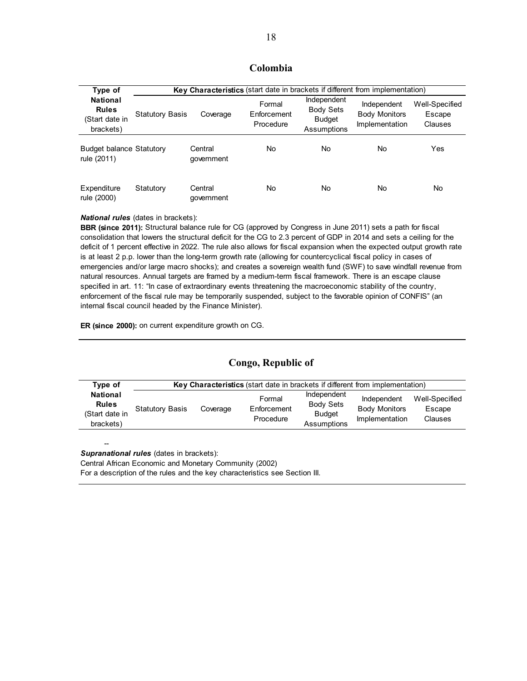### **Colombia**

| Type of                                                        |                        | <b>Key Characteristics</b> (start date in brackets if different from implementation) |                                    |                                                                 |                                                       |                                     |
|----------------------------------------------------------------|------------------------|--------------------------------------------------------------------------------------|------------------------------------|-----------------------------------------------------------------|-------------------------------------------------------|-------------------------------------|
| <b>National</b><br><b>Rules</b><br>(Start date in<br>brackets) | <b>Statutory Basis</b> | Coverage                                                                             | Formal<br>Enforcement<br>Procedure | Independent<br><b>Body Sets</b><br><b>Budget</b><br>Assumptions | Independent<br><b>Body Monitors</b><br>Implementation | Well-Specified<br>Escape<br>Clauses |
| <b>Budget balance Statutory</b><br>rule (2011)                 |                        | Central<br>qovernment                                                                | No                                 | No                                                              | No                                                    | Yes                                 |
| Expenditure<br>rule (2000)                                     | Statutory              | Central<br>aovernment                                                                | No                                 | No.                                                             | No                                                    | No                                  |

#### *National rules* (dates in brackets):

--

**BBR (since 2011):** Structural balance rule for CG (approved by Congress in June 2011) sets a path for fiscal consolidation that lowers the structural deficit for the CG to 2.3 percent of GDP in 2014 and sets a ceiling for the deficit of 1 percent effective in 2022. The rule also allows for fiscal expansion when the expected output growth rate is at least 2 p.p. lower than the long-term growth rate (allowing for countercyclical fiscal policy in cases of emergencies and/or large macro shocks); and creates a sovereign wealth fund (SWF) to save windfall revenue from natural resources. Annual targets are framed by a medium-term fiscal framework. There is an escape clause specified in art. 11: "In case of extraordinary events threatening the macroeconomic stability of the country, enforcement of the fiscal rule may be temporarily suspended, subject to the favorable opinion of CONFIS" (an internal fiscal council headed by the Finance Minister).

**ER (since 2000):** on current expenditure growth on CG.

### **Congo, Republic of**

| Type of                                                        | Key Characteristics (start date in brackets if different from implementation) |          |                                    |                                                                 |                                                       |                                     |  |
|----------------------------------------------------------------|-------------------------------------------------------------------------------|----------|------------------------------------|-----------------------------------------------------------------|-------------------------------------------------------|-------------------------------------|--|
| <b>National</b><br><b>Rules</b><br>(Start date in<br>brackets) | <b>Statutory Basis</b>                                                        | Coverage | Formal<br>Enforcement<br>Procedure | Independent<br><b>Body Sets</b><br><b>Budget</b><br>Assumptions | Independent<br><b>Body Monitors</b><br>Implementation | Well-Specified<br>Escape<br>Clauses |  |

*Supranational rules* (dates in brackets): Central African Economic and Monetary Community (2002) For a description of the rules and the key characteristics see Section III.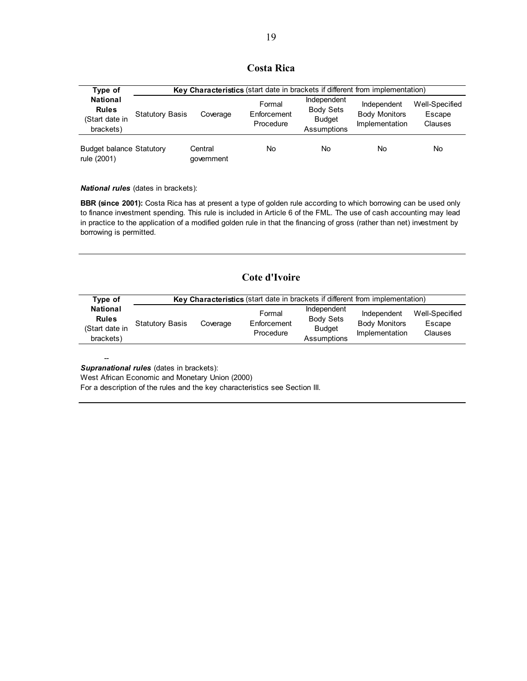### **Costa Rica**

| Type of                                                        |                        | Key Characteristics (start date in brackets if different from implementation) |                                    |                                                                 |                                                       |                                     |  |  |
|----------------------------------------------------------------|------------------------|-------------------------------------------------------------------------------|------------------------------------|-----------------------------------------------------------------|-------------------------------------------------------|-------------------------------------|--|--|
| <b>National</b><br><b>Rules</b><br>(Start date in<br>brackets) | <b>Statutory Basis</b> | Coverage                                                                      | Formal<br>Enforcement<br>Procedure | Independent<br><b>Body Sets</b><br><b>Budget</b><br>Assumptions | Independent<br><b>Body Monitors</b><br>Implementation | Well-Specified<br>Escape<br>Clauses |  |  |
| <b>Budget balance Statutory</b><br>rule (2001)                 |                        | Central<br>qovernment                                                         | No                                 | <b>No</b>                                                       | No                                                    | No.                                 |  |  |

*National rules* (dates in brackets):

**BBR (since 2001):** Costa Rica has at present a type of golden rule according to which borrowing can be used only to finance investment spending. This rule is included in Article 6 of the FML. The use of cash accounting may lead in practice to the application of a modified golden rule in that the financing of gross (rather than net) investment by borrowing is permitted.

### **Cote d'Ivoire**

| Tvpe of                                                        | Key Characteristics (start date in brackets if different from implementation) |          |                                    |                                                                 |                                                       |                                     |  |  |
|----------------------------------------------------------------|-------------------------------------------------------------------------------|----------|------------------------------------|-----------------------------------------------------------------|-------------------------------------------------------|-------------------------------------|--|--|
| <b>National</b><br><b>Rules</b><br>(Start date in<br>brackets) | <b>Statutory Basis</b>                                                        | Coverage | Formal<br>Enforcement<br>Procedure | Independent<br><b>Body Sets</b><br><b>Budget</b><br>Assumptions | Independent<br><b>Body Monitors</b><br>Implementation | Well-Specified<br>Escape<br>Clauses |  |  |

*Supranational rules* (dates in brackets):

--

West African Economic and Monetary Union (2000)

For a description of the rules and the key characteristics see Section III.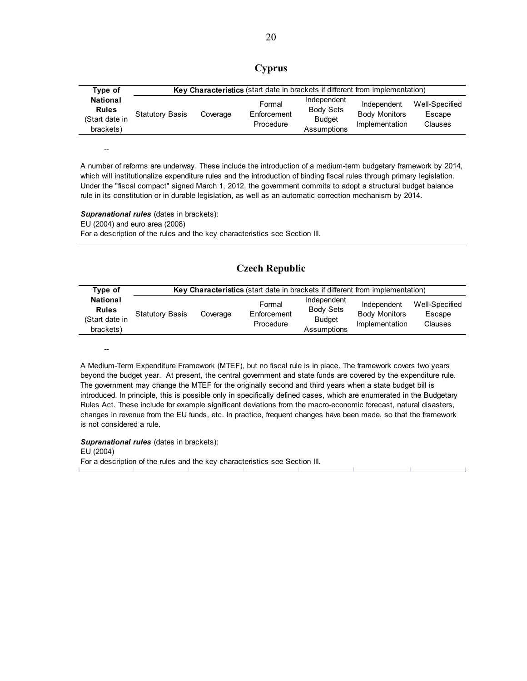|--|

| Type of                                                        | Key Characteristics (start date in brackets if different from implementation) |          |                                    |                                                                 |                                                       |                                            |  |
|----------------------------------------------------------------|-------------------------------------------------------------------------------|----------|------------------------------------|-----------------------------------------------------------------|-------------------------------------------------------|--------------------------------------------|--|
| <b>National</b><br><b>Rules</b><br>(Start date in<br>brackets) | <b>Statutory Basis</b>                                                        | Coverage | Formal<br>Enforcement<br>Procedure | Independent<br><b>Body Sets</b><br><b>Budget</b><br>Assumptions | Independent<br><b>Body Monitors</b><br>Implementation | Well-Specified<br>Escape<br><b>Clauses</b> |  |

A number of reforms are underway. These include the introduction of a medium-term budgetary framework by 2014, which will institutionalize expenditure rules and the introduction of binding fiscal rules through primary legislation. Under the "fiscal compact" signed March 1, 2012, the government commits to adopt a structural budget balance rule in its constitution or in durable legislation, as well as an automatic correction mechanism by 2014.

**Supranational rules** (dates in brackets): EU (2004) and euro area (2008) For a description of the rules and the key characteristics see Section III.

--

--

### **Czech Republic**

| Type of                                                        | Key Characteristics (start date in brackets if different from implementation) |          |                                    |                                                                 |                                                       |                                     |  |  |
|----------------------------------------------------------------|-------------------------------------------------------------------------------|----------|------------------------------------|-----------------------------------------------------------------|-------------------------------------------------------|-------------------------------------|--|--|
| <b>National</b><br><b>Rules</b><br>(Start date in<br>brackets) | <b>Statutory Basis</b>                                                        | Coverage | Formal<br>Enforcement<br>Procedure | Independent<br><b>Body Sets</b><br><b>Budget</b><br>Assumptions | Independent<br><b>Body Monitors</b><br>Implementation | Well-Specified<br>Escape<br>Clauses |  |  |

A Medium-Term Expenditure Framework (MTEF), but no fiscal rule is in place. The framework covers two years beyond the budget year. At present, the central government and state funds are covered by the expenditure rule. The government may change the MTEF for the originally second and third years when a state budget bill is introduced. In principle, this is possible only in specifically defined cases, which are enumerated in the Budgetary Rules Act. These include for example significant deviations from the macro-economic forecast, natural disasters, changes in revenue from the EU funds, etc. In practice, frequent changes have been made, so that the framework is not considered a rule.

*Supranational rules* (dates in brackets): EU (2004) For a description of the rules and the key characteristics see Section III.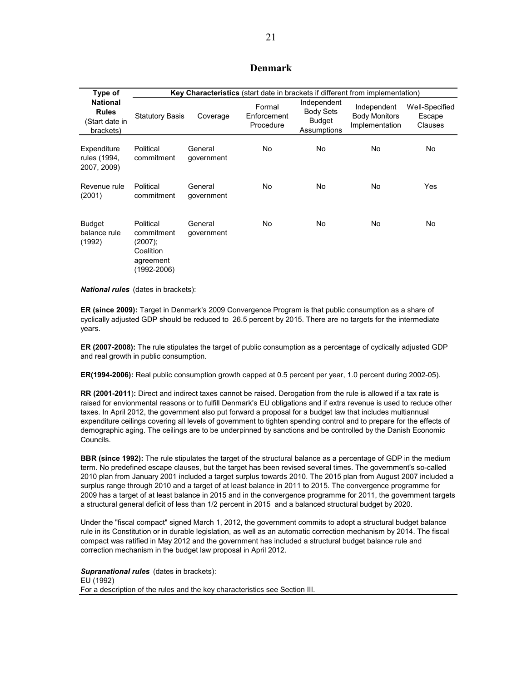### **Denmark**

| Type of                                                        |                                                                                 | Key Characteristics (start date in brackets if different from implementation) |                                    |                                                                 |                                                       |                                     |  |  |
|----------------------------------------------------------------|---------------------------------------------------------------------------------|-------------------------------------------------------------------------------|------------------------------------|-----------------------------------------------------------------|-------------------------------------------------------|-------------------------------------|--|--|
| <b>National</b><br><b>Rules</b><br>(Start date in<br>brackets) | <b>Statutory Basis</b>                                                          | Coverage                                                                      | Formal<br>Enforcement<br>Procedure | Independent<br><b>Body Sets</b><br><b>Budget</b><br>Assumptions | Independent<br><b>Body Monitors</b><br>Implementation | Well-Specified<br>Escape<br>Clauses |  |  |
| Expenditure<br>rules (1994,<br>2007, 2009)                     | Political<br>commitment                                                         | General<br>qovernment                                                         | <b>No</b>                          | No                                                              | No                                                    | No                                  |  |  |
| Revenue rule<br>(2001)                                         | Political<br>commitment                                                         | General<br>government                                                         | No                                 | No                                                              | No                                                    | Yes                                 |  |  |
| <b>Budget</b><br>balance rule<br>(1992)                        | Political<br>commitment<br>(2007);<br>Coalition<br>agreement<br>$(1992 - 2006)$ | General<br>government                                                         | No                                 | No                                                              | No                                                    | No                                  |  |  |

*National rules* (dates in brackets):

**ER (since 2009):** Target in Denmark's 2009 Convergence Program is that public consumption as a share of cyclically adjusted GDP should be reduced to 26.5 percent by 2015. There are no targets for the intermediate years.

**ER (2007-2008):** The rule stipulates the target of public consumption as a percentage of cyclically adjusted GDP and real growth in public consumption.

**ER(1994-2006):** Real public consumption growth capped at 0.5 percent per year, 1.0 percent during 2002-05).

**RR (2001-2011**)**:** Direct and indirect taxes cannot be raised. Derogation from the rule is allowed if a tax rate is raised for envionmental reasons or to fulfill Denmark's EU obligations and if extra revenue is used to reduce other taxes. In April 2012, the government also put forward a proposal for a budget law that includes multiannual expenditure ceilings covering all levels of government to tighten spending control and to prepare for the effects of demographic aging. The ceilings are to be underpinned by sanctions and be controlled by the Danish Economic Councils.

**BBR (since 1992):** The rule stipulates the target of the structural balance as a percentage of GDP in the medium term. No predefined escape clauses, but the target has been revised several times. The government's so-called 2010 plan from January 2001 included a target surplus towards 2010. The 2015 plan from August 2007 included a surplus range through 2010 and a target of at least balance in 2011 to 2015. The convergence programme for 2009 has a target of at least balance in 2015 and in the convergence programme for 2011, the government targets a structural general deficit of less than 1/2 percent in 2015 and a balanced structural budget by 2020.

Under the "fiscal compact" signed March 1, 2012, the government commits to adopt a structural budget balance rule in its Constitution or in durable legislation, as well as an automatic correction mechanism by 2014. The fiscal compact was ratified in May 2012 and the government has included a structural budget balance rule and correction mechanism in the budget law proposal in April 2012.

*Supranational rules* (dates in brackets): EU (1992) For a description of the rules and the key characteristics see Section III.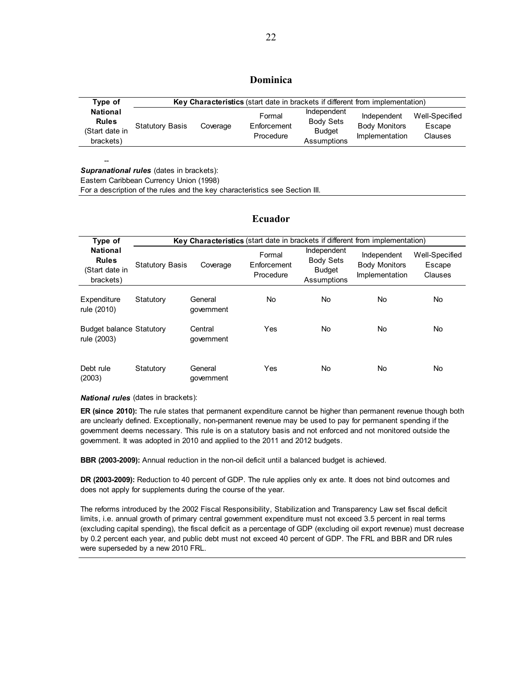### **Dominica**

| Type of                                                        | Key Characteristics (start date in brackets if different from implementation) |          |                                    |                                                                 |                                                       |                                     |  |
|----------------------------------------------------------------|-------------------------------------------------------------------------------|----------|------------------------------------|-----------------------------------------------------------------|-------------------------------------------------------|-------------------------------------|--|
| <b>National</b><br><b>Rules</b><br>(Start date in<br>brackets) | <b>Statutory Basis</b>                                                        | Coverage | Formal<br>Enforcement<br>Procedure | Independent<br><b>Body Sets</b><br><b>Budget</b><br>Assumptions | Independent<br><b>Body Monitors</b><br>Implementation | Well-Specified<br>Escape<br>Clauses |  |

*Supranational rules* (dates in brackets):

--

Eastern Caribbean Currency Union (1998)

For a description of the rules and the key characteristics see Section III.

#### **Ecuador**

| Type of                                                        |                        | <b>Key Characteristics</b> (start date in brackets if different from implementation) |                                    |                                                                 |                                                       |                                            |
|----------------------------------------------------------------|------------------------|--------------------------------------------------------------------------------------|------------------------------------|-----------------------------------------------------------------|-------------------------------------------------------|--------------------------------------------|
| <b>National</b><br><b>Rules</b><br>(Start date in<br>brackets) | <b>Statutory Basis</b> | Coverage                                                                             | Formal<br>Enforcement<br>Procedure | Independent<br><b>Body Sets</b><br><b>Budget</b><br>Assumptions | Independent<br><b>Body Monitors</b><br>Implementation | Well-Specified<br>Escape<br><b>Clauses</b> |
| Expenditure<br>rule (2010)                                     | Statutory              | General<br>qovernment                                                                | No.                                | No.                                                             | No.                                                   | No                                         |
| Budget balance Statutory<br>rule (2003)                        |                        | Central<br>government                                                                | Yes                                | No.                                                             | No.                                                   | No.                                        |
| Debt rule<br>(2003)                                            | Statutory              | General<br>qovernment                                                                | Yes                                | No                                                              | No.                                                   | No                                         |

*National rules* (dates in brackets):

**ER (since 2010):** The rule states that permanent expenditure cannot be higher than permanent revenue though both are unclearly defined. Exceptionally, non-permanent revenue may be used to pay for permanent spending if the government deems necessary. This rule is on a statutory basis and not enforced and not monitored outside the government. It was adopted in 2010 and applied to the 2011 and 2012 budgets.

**BBR (2003-2009):** Annual reduction in the non-oil deficit until a balanced budget is achieved.

**DR (2003-2009):** Reduction to 40 percent of GDP. The rule applies only ex ante. It does not bind outcomes and does not apply for supplements during the course of the year.

The reforms introduced by the 2002 Fiscal Responsibility, Stabilization and Transparency Law set fiscal deficit limits, i.e. annual growth of primary central government expenditure must not exceed 3.5 percent in real terms (excluding capital spending), the fiscal deficit as a percentage of GDP (excluding oil export revenue) must decrease by 0.2 percent each year, and public debt must not exceed 40 percent of GDP. The FRL and BBR and DR rules were superseded by a new 2010 FRL.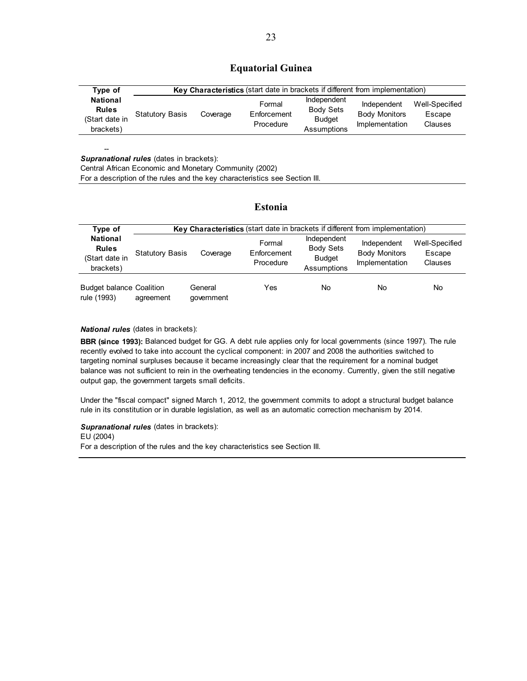### **Equatorial Guinea**

| Type of                                                        | Key Characteristics (start date in brackets if different from implementation) |          |                                    |                                                                 |                                                       |                                     |  |  |
|----------------------------------------------------------------|-------------------------------------------------------------------------------|----------|------------------------------------|-----------------------------------------------------------------|-------------------------------------------------------|-------------------------------------|--|--|
| <b>National</b><br><b>Rules</b><br>(Start date in<br>brackets) | <b>Statutory Basis</b>                                                        | Coverage | Formal<br>Enforcement<br>Procedure | Independent<br><b>Body Sets</b><br><b>Budget</b><br>Assumptions | Independent<br><b>Body Monitors</b><br>Implementation | Well-Specified<br>Escape<br>Clauses |  |  |

**Supranational rules** (dates in brackets):

--

Central African Economic and Monetary Community (2002)

For a description of the rules and the key characteristics see Section III.

#### **Estonia**

| Type of                                                        | <b>Key Characteristics</b> (start date in brackets if different from implementation) |                       |                                    |                                                                 |                                                       |                                     |  |
|----------------------------------------------------------------|--------------------------------------------------------------------------------------|-----------------------|------------------------------------|-----------------------------------------------------------------|-------------------------------------------------------|-------------------------------------|--|
| <b>National</b><br><b>Rules</b><br>(Start date in<br>brackets) | <b>Statutory Basis</b>                                                               | Coverage              | Formal<br>Enforcement<br>Procedure | Independent<br><b>Body Sets</b><br><b>Budget</b><br>Assumptions | Independent<br><b>Body Monitors</b><br>Implementation | Well-Specified<br>Escape<br>Clauses |  |
| <b>Budget balance Coalition</b><br>rule (1993)                 | agreement                                                                            | General<br>qovernment | Yes                                | No                                                              | No                                                    | No                                  |  |

#### *National rules* (dates in brackets):

**BBR (since 1993):** Balanced budget for GG. A debt rule applies only for local governments (since 1997). The rule recently evolved to take into account the cyclical component: in 2007 and 2008 the authorities switched to targeting nominal surpluses because it became increasingly clear that the requirement for a nominal budget balance was not sufficient to rein in the overheating tendencies in the economy. Currently, given the still negative output gap, the government targets small deficits.

Under the "fiscal compact" signed March 1, 2012, the government commits to adopt a structural budget balance rule in its constitution or in durable legislation, as well as an automatic correction mechanism by 2014.

**Supranational rules** (dates in brackets):

EU (2004)

For a description of the rules and the key characteristics see Section III.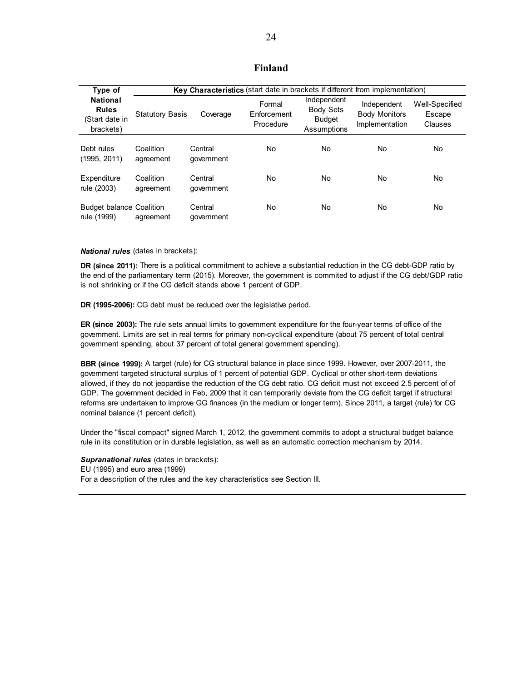### **Finland**

| Type of                                                        |                        | Key Characteristics (start date in brackets if different from implementation) |                                    |                                                                 |                                                       |                                     |
|----------------------------------------------------------------|------------------------|-------------------------------------------------------------------------------|------------------------------------|-----------------------------------------------------------------|-------------------------------------------------------|-------------------------------------|
| <b>National</b><br><b>Rules</b><br>(Start date in<br>brackets) | <b>Statutory Basis</b> | Coverage                                                                      | Formal<br>Enforcement<br>Procedure | Independent<br><b>Body Sets</b><br><b>Budget</b><br>Assumptions | Independent<br><b>Body Monitors</b><br>Implementation | Well-Specified<br>Escape<br>Clauses |
| Debt rules<br>(1995, 2011)                                     | Coalition<br>agreement | Central<br>government                                                         | No                                 | No.                                                             | No                                                    | No                                  |
| Expenditure<br>rule (2003)                                     | Coalition<br>agreement | Central<br>qovernment                                                         | No.                                | No.                                                             | No                                                    | No                                  |
| <b>Budget balance Coalition</b><br>rule (1999)                 | agreement              | Central<br>government                                                         | No                                 | No                                                              | No                                                    | No                                  |

#### *National rules* (dates in brackets):

**DR (since 2011):** There is a political commitment to achieve a substantial reduction in the CG debt-GDP ratio by the end of the parliamentary term (2015). Moreover, the government is commited to adjust if the CG debt/GDP ratio is not shrinking or if the CG deficit stands above 1 percent of GDP.

**DR (1995-2006):** CG debt must be reduced over the legislative period.

**ER (since 2003):** The rule sets annual limits to government expenditure for the four-year terms of office of the government. Limits are set in real terms for primary non-cyclical expenditure (about 75 percent of total central government spending, about 37 percent of total general government spending).

**BBR (since 1999):** A target (rule) for CG structural balance in place since 1999. However, over 2007-2011, the government targeted structural surplus of 1 percent of potential GDP. Cyclical or other short-term deviations allowed, if they do not jeopardise the reduction of the CG debt ratio. CG deficit must not exceed 2.5 percent of of GDP. The government decided in Feb, 2009 that it can temporarily deviate from the CG deficit target if structural reforms are undertaken to improve GG finances (in the medium or longer term). Since 2011, a target (rule) for CG nominal balance (1 percent deficit).

Under the "fiscal compact" signed March 1, 2012, the government commits to adopt a structural budget balance rule in its constitution or in durable legislation, as well as an automatic correction mechanism by 2014.

*Supranational rules* (dates in brackets): EU (1995) and euro area (1999) For a description of the rules and the key characteristics see Section III.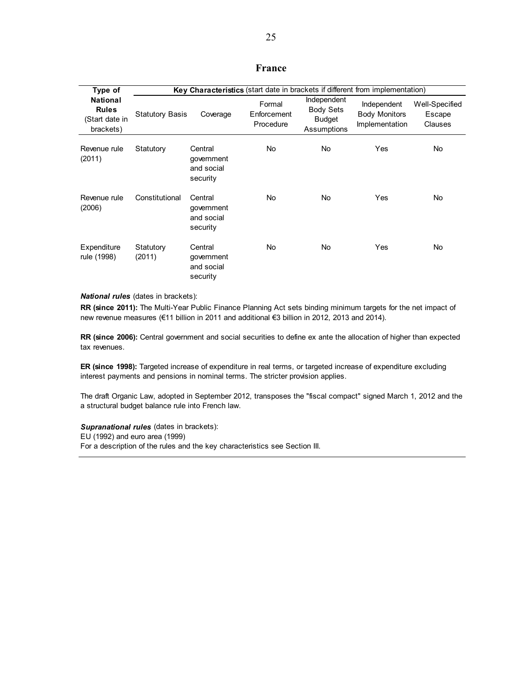### **France**

| Type of                                                        |                        | Key Characteristics (start date in brackets if different from implementation) |                                    |                                                                 |                                                       |                                     |
|----------------------------------------------------------------|------------------------|-------------------------------------------------------------------------------|------------------------------------|-----------------------------------------------------------------|-------------------------------------------------------|-------------------------------------|
| <b>National</b><br><b>Rules</b><br>(Start date in<br>brackets) | <b>Statutory Basis</b> | Coverage                                                                      | Formal<br>Enforcement<br>Procedure | Independent<br><b>Body Sets</b><br><b>Budget</b><br>Assumptions | Independent<br><b>Body Monitors</b><br>Implementation | Well-Specified<br>Escape<br>Clauses |
| Revenue rule<br>(2011)                                         | Statutory              | Central<br>government<br>and social<br>security                               | <b>No</b>                          | <b>No</b>                                                       | Yes                                                   | No                                  |
| Revenue rule<br>(2006)                                         | Constitutional         | Central<br>government<br>and social<br>security                               | No.                                | No.                                                             | Yes                                                   | No.                                 |
| Expenditure<br>rule (1998)                                     | Statutory<br>(2011)    | Central<br>government<br>and social<br>security                               | No                                 | No.                                                             | Yes                                                   | No.                                 |

#### *National rules* (dates in brackets):

**RR (since 2011):** The Multi-Year Public Finance Planning Act sets binding minimum targets for the net impact of new revenue measures (€11 billion in 2011 and additional €3 billion in 2012, 2013 and 2014).

**RR (since 2006):** Central government and social securities to define ex ante the allocation of higher than expected tax revenues.

**ER (since 1998):** Targeted increase of expenditure in real terms, or targeted increase of expenditure excluding interest payments and pensions in nominal terms. The stricter provision applies.

The draft Organic Law, adopted in September 2012, transposes the "fiscal compact" signed March 1, 2012 and the a structural budget balance rule into French law.

*Supranational rules* (dates in brackets): EU (1992) and euro area (1999) For a description of the rules and the key characteristics see Section III.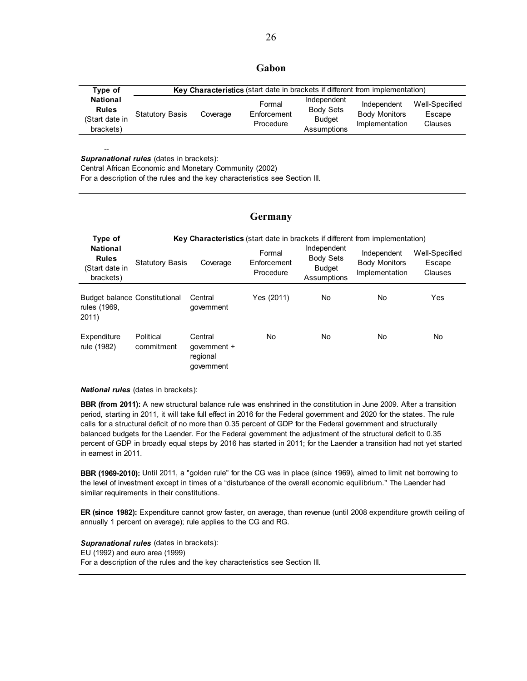#### **Gabon**

| Type of                                                        | Key Characteristics (start date in brackets if different from implementation) |          |                                    |                                                                 |                                                       |                                     |  |  |
|----------------------------------------------------------------|-------------------------------------------------------------------------------|----------|------------------------------------|-----------------------------------------------------------------|-------------------------------------------------------|-------------------------------------|--|--|
| <b>National</b><br><b>Rules</b><br>(Start date in<br>brackets) | <b>Statutory Basis</b>                                                        | Coverage | Formal<br>Enforcement<br>Procedure | Independent<br><b>Body Sets</b><br><b>Budget</b><br>Assumptions | Independent<br><b>Body Monitors</b><br>Implementation | Well-Specified<br>Escape<br>Clauses |  |  |

-- *Supranational rules* (dates in brackets):

Central African Economic and Monetary Community (2002)

For a description of the rules and the key characteristics see Section III.

#### **Germany**

| Type of                                                        |                         |                                                   |                                    |                                                                 | Key Characteristics (start date in brackets if different from implementation) |                                     |
|----------------------------------------------------------------|-------------------------|---------------------------------------------------|------------------------------------|-----------------------------------------------------------------|-------------------------------------------------------------------------------|-------------------------------------|
| <b>National</b><br><b>Rules</b><br>(Start date in<br>brackets) | <b>Statutory Basis</b>  | Coverage                                          | Formal<br>Enforcement<br>Procedure | Independent<br><b>Body Sets</b><br><b>Budget</b><br>Assumptions | Independent<br><b>Body Monitors</b><br>Implementation                         | Well-Specified<br>Escape<br>Clauses |
| <b>Budget balance Constitutional</b><br>rules (1969,<br>2011   |                         | Central<br>qovernment                             | Yes (2011)                         | No                                                              | No                                                                            | Yes                                 |
| Expenditure<br>rule (1982)                                     | Political<br>commitment | Central<br>qovernment +<br>regional<br>government | No                                 | No                                                              | No                                                                            | No                                  |

*National rules* (dates in brackets):

**BBR (from 2011):** A new structural balance rule was enshrined in the constitution in June 2009. After a transition period, starting in 2011, it will take full effect in 2016 for the Federal government and 2020 for the states. The rule calls for a structural deficit of no more than 0.35 percent of GDP for the Federal government and structurally balanced budgets for the Laender. For the Federal government the adjustment of the structural deficit to 0.35 percent of GDP in broadly equal steps by 2016 has started in 2011; for the Laender a transition had not yet started in earnest in 2011.

**BBR (1969-2010):** Until 2011, a "golden rule" for the CG was in place (since 1969), aimed to limit net borrowing to the level of investment except in times of a "disturbance of the overall economic equilibrium." The Laender had similar requirements in their constitutions.

**ER (since 1982):** Expenditure cannot grow faster, on average, than revenue (until 2008 expenditure growth ceiling of annually 1 percent on average); rule applies to the CG and RG.

*Supranational rules* (dates in brackets): EU (1992) and euro area (1999) For a description of the rules and the key characteristics see Section III.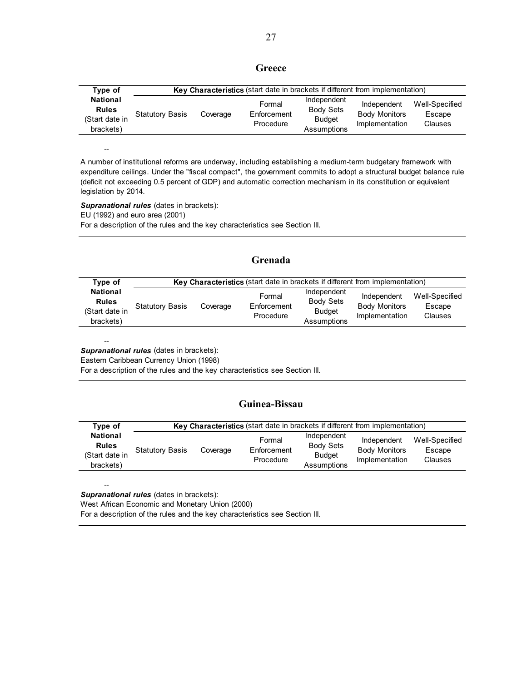### **Greece**

| Type of                                                        | Key Characteristics (start date in brackets if different from implementation) |          |                                    |                                                                 |                                                       |                                            |  |
|----------------------------------------------------------------|-------------------------------------------------------------------------------|----------|------------------------------------|-----------------------------------------------------------------|-------------------------------------------------------|--------------------------------------------|--|
| <b>National</b><br><b>Rules</b><br>(Start date in<br>brackets) | <b>Statutory Basis</b>                                                        | Coverage | Formal<br>Enforcement<br>Procedure | Independent<br><b>Body Sets</b><br><b>Budget</b><br>Assumptions | Independent<br><b>Body Monitors</b><br>Implementation | Well-Specified<br>Escape<br><b>Clauses</b> |  |

A number of institutional reforms are underway, including establishing a medium-term budgetary framework with expenditure ceilings. Under the "fiscal compact", the government commits to adopt a structural budget balance rule (deficit not exceeding 0.5 percent of GDP) and automatic correction mechanism in its constitution or equivalent legislation by 2014.

*Supranational rules* (dates in brackets): EU (1992) and euro area (2001) For a description of the rules and the key characteristics see Section III.

### **Grenada**

| Type of                                                        | Key Characteristics (start date in brackets if different from implementation) |          |                                    |                                                                 |                                                       |                                     |  |  |
|----------------------------------------------------------------|-------------------------------------------------------------------------------|----------|------------------------------------|-----------------------------------------------------------------|-------------------------------------------------------|-------------------------------------|--|--|
| <b>National</b><br><b>Rules</b><br>(Start date in<br>brackets) | <b>Statutory Basis</b>                                                        | Coverage | Formal<br>Enforcement<br>Procedure | Independent<br><b>Body Sets</b><br><b>Budget</b><br>Assumptions | Independent<br><b>Body Monitors</b><br>Implementation | Well-Specified<br>Escape<br>Clauses |  |  |

*Supranational rules* (dates in brackets):

--

--

Eastern Caribbean Currency Union (1998)

For a description of the rules and the key characteristics see Section III.

### **Guinea-Bissau**

| Type of                                                        |                        | <b>Key Characteristics</b> (start date in brackets if different from implementation) |                                    |                                                                 |                                                       |                                     |  |  |
|----------------------------------------------------------------|------------------------|--------------------------------------------------------------------------------------|------------------------------------|-----------------------------------------------------------------|-------------------------------------------------------|-------------------------------------|--|--|
| <b>National</b><br><b>Rules</b><br>(Start date in<br>brackets) | <b>Statutory Basis</b> | Coverage                                                                             | Formal<br>Enforcement<br>Procedure | Independent<br><b>Body Sets</b><br><b>Budget</b><br>Assumptions | Independent<br><b>Body Monitors</b><br>Implementation | Well-Specified<br>Escape<br>Clauses |  |  |

-- **Supranational rules** (dates in brackets):

West African Economic and Monetary Union (2000)

For a description of the rules and the key characteristics see Section III.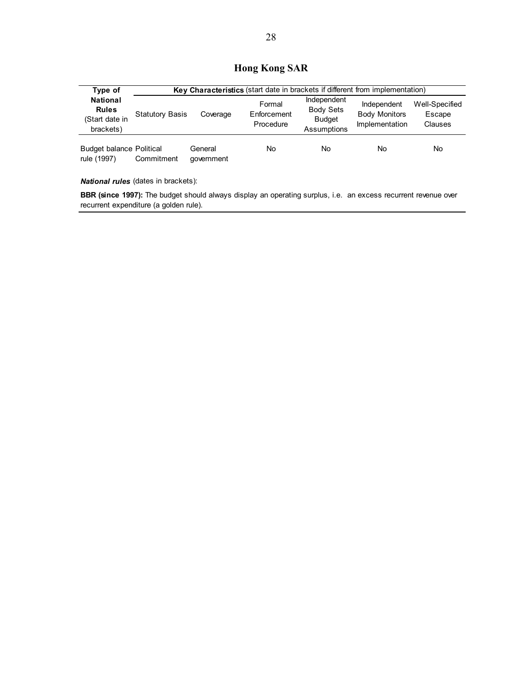## **Hong Kong SAR**

| Type of                                                        |                        | Key Characteristics (start date in brackets if different from implementation) |                                    |                                                                 |                                                       |                                     |  |  |
|----------------------------------------------------------------|------------------------|-------------------------------------------------------------------------------|------------------------------------|-----------------------------------------------------------------|-------------------------------------------------------|-------------------------------------|--|--|
| <b>National</b><br><b>Rules</b><br>(Start date in<br>brackets) | <b>Statutory Basis</b> | Coverage                                                                      | Formal<br>Enforcement<br>Procedure | Independent<br><b>Body Sets</b><br><b>Budget</b><br>Assumptions | Independent<br><b>Body Monitors</b><br>Implementation | Well-Specified<br>Escape<br>Clauses |  |  |
| <b>Budget balance Political</b><br>rule (1997)                 | Commitment             | General<br>government                                                         | No                                 | <b>No</b>                                                       | No                                                    | No.                                 |  |  |

*National rules* (dates in brackets):

**BBR (since 1997):** The budget should always display an operating surplus, i.e. an excess recurrent revenue over recurrent expenditure (a golden rule).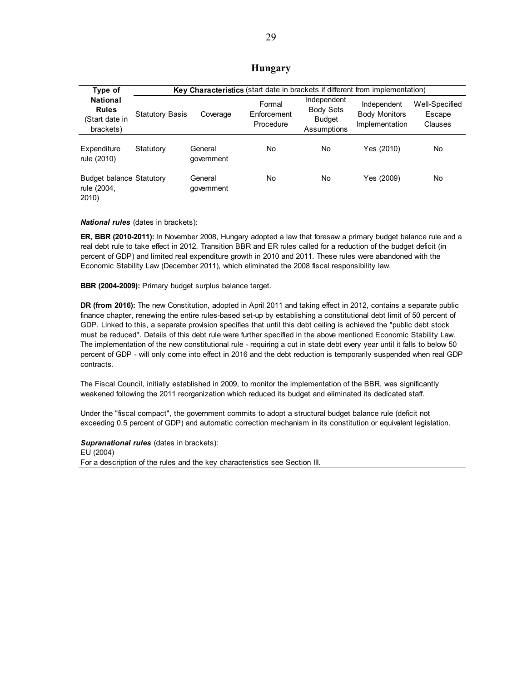#### **Hungary**

| Type of                                                        |                        |                       |                                    |                                                                 | Key Characteristics (start date in brackets if different from implementation) |                                     |
|----------------------------------------------------------------|------------------------|-----------------------|------------------------------------|-----------------------------------------------------------------|-------------------------------------------------------------------------------|-------------------------------------|
| <b>National</b><br><b>Rules</b><br>(Start date in<br>brackets) | <b>Statutory Basis</b> | Coverage              | Formal<br>Enforcement<br>Procedure | Independent<br><b>Body Sets</b><br><b>Budget</b><br>Assumptions | Independent<br><b>Body Monitors</b><br>Implementation                         | Well-Specified<br>Escape<br>Clauses |
| Expenditure<br>rule (2010)                                     | Statutory              | General<br>qovernment | No                                 | No                                                              | Yes (2010)                                                                    | No                                  |
| <b>Budget balance Statutory</b><br>rule (2004,<br>2010         |                        | General<br>qovernment | No                                 | No                                                              | Yes (2009)                                                                    | No                                  |

#### *National rules* (dates in brackets):

**ER, BBR (2010-2011):** In November 2008, Hungary adopted a law that foresaw a primary budget balance rule and a real debt rule to take effect in 2012. Transition BBR and ER rules called for a reduction of the budget deficit (in percent of GDP) and limited real expenditure growth in 2010 and 2011. These rules were abandoned with the Economic Stability Law (December 2011), which eliminated the 2008 fiscal responsibility law.

**BBR (2004-2009):** Primary budget surplus balance target.

**DR (from 2016):** The new Constitution, adopted in April 2011 and taking effect in 2012, contains a separate public finance chapter, renewing the entire rules-based set-up by establishing a constitutional debt limit of 50 percent of GDP. Linked to this, a separate provision specifies that until this debt ceiling is achieved the "public debt stock must be reduced". Details of this debt rule were further specified in the above mentioned Economic Stability Law. The implementation of the new constitutional rule - requiring a cut in state debt every year until it falls to below 50 percent of GDP - will only come into effect in 2016 and the debt reduction is temporarily suspended when real GDP contracts.

The Fiscal Council, initially established in 2009, to monitor the implementation of the BBR, was significantly weakened following the 2011 reorganization which reduced its budget and eliminated its dedicated staff.

Under the "fiscal compact", the government commits to adopt a structural budget balance rule (deficit not exceeding 0.5 percent of GDP) and automatic correction mechanism in its constitution or equivalent legislation.

*Supranational rules* (dates in brackets): EU (2004) For a description of the rules and the key characteristics see Section III.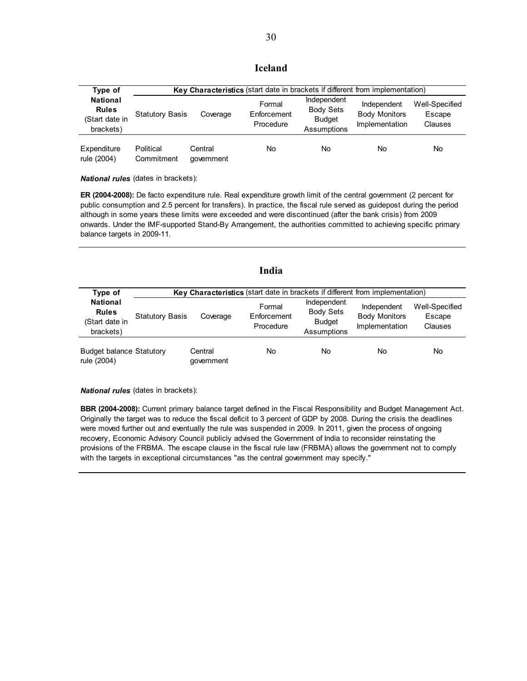### **Iceland**

| Type of                                                        |                         | Key Characteristics (start date in brackets if different from implementation) |                                    |                                                                 |                                                              |                                     |  |  |
|----------------------------------------------------------------|-------------------------|-------------------------------------------------------------------------------|------------------------------------|-----------------------------------------------------------------|--------------------------------------------------------------|-------------------------------------|--|--|
| <b>National</b><br><b>Rules</b><br>(Start date in<br>brackets) | <b>Statutory Basis</b>  | Coverage                                                                      | Formal<br>Enforcement<br>Procedure | Independent<br><b>Body Sets</b><br><b>Budget</b><br>Assumptions | Independent<br><b>Body Monitors</b><br><b>Implementation</b> | Well-Specified<br>Escape<br>Clauses |  |  |
| Expenditure<br>rule (2004)                                     | Political<br>Commitment | Central<br>qovernment                                                         | No                                 | No                                                              | No                                                           | No                                  |  |  |

*National rules* (dates in brackets):

**ER (2004-2008):** De facto expenditure rule. Real expenditure growth limit of the central government (2 percent for public consumption and 2.5 percent for transfers). In practice, the fiscal rule served as guidepost during the period although in some years these limits were exceeded and were discontinued (after the bank crisis) from 2009 onwards. Under the IMF-supported Stand-By Arrangement, the authorities committed to achieving specific primary balance targets in 2009-11.

|                                                                |                                                                                      |                       | India                              |                                                                 |                                                       |                                            |  |  |
|----------------------------------------------------------------|--------------------------------------------------------------------------------------|-----------------------|------------------------------------|-----------------------------------------------------------------|-------------------------------------------------------|--------------------------------------------|--|--|
| Type of                                                        | <b>Key Characteristics</b> (start date in brackets if different from implementation) |                       |                                    |                                                                 |                                                       |                                            |  |  |
| <b>National</b><br><b>Rules</b><br>(Start date in<br>brackets) | <b>Statutory Basis</b>                                                               | Coverage              | Formal<br>Enforcement<br>Procedure | Independent<br><b>Body Sets</b><br><b>Budget</b><br>Assumptions | Independent<br><b>Body Monitors</b><br>Implementation | Well-Specified<br>Escape<br><b>Clauses</b> |  |  |
| <b>Budget balance Statutory</b><br>rule (2004)                 |                                                                                      | Central<br>qovernment | No                                 | No.                                                             | No                                                    | No                                         |  |  |

#### *National rules* (dates in brackets):

**BBR (2004-2008):** Current primary balance target defined in the Fiscal Responsibility and Budget Management Act. Originally the target was to reduce the fiscal deficit to 3 percent of GDP by 2008. During the crisis the deadlines were moved further out and eventually the rule was suspended in 2009. In 2011, given the process of ongoing recovery, Economic Advisory Council publicly advised the Government of India to reconsider reinstating the provisions of the FRBMA. The escape clause in the fiscal rule law (FRBMA) allows the government not to comply with the targets in exceptional circumstances "as the central government may specify."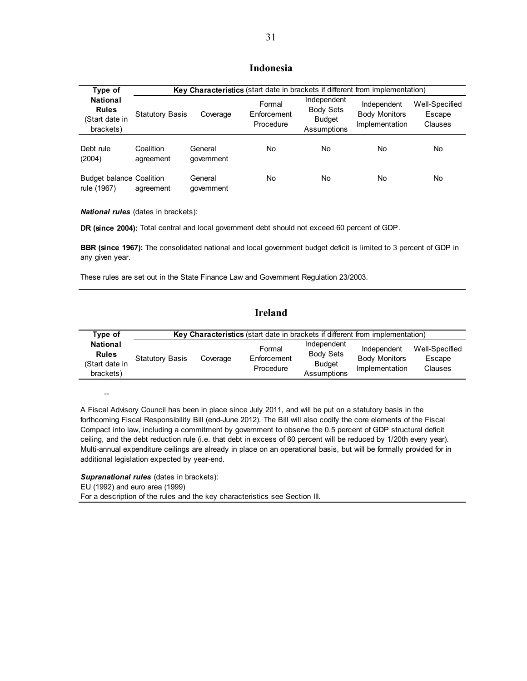### **Indonesia**

| Type of                                                        |                        | Key Characteristics (start date in brackets if different from implementation) |                                    |                                                                 |                                                       |                                     |
|----------------------------------------------------------------|------------------------|-------------------------------------------------------------------------------|------------------------------------|-----------------------------------------------------------------|-------------------------------------------------------|-------------------------------------|
| <b>National</b><br><b>Rules</b><br>(Start date in<br>brackets) | <b>Statutory Basis</b> | Coverage                                                                      | Formal<br>Enforcement<br>Procedure | Independent<br><b>Body Sets</b><br><b>Budget</b><br>Assumptions | Independent<br><b>Body Monitors</b><br>Implementation | Well-Specified<br>Escape<br>Clauses |
| Debt rule<br>(2004)                                            | Coalition<br>agreement | General<br>qovernment                                                         | No                                 | <b>No</b>                                                       | No                                                    | No                                  |
| <b>Budget balance Coalition</b><br>rule (1967)                 | agreement              | General<br>qovernment                                                         | No                                 | <b>No</b>                                                       | No                                                    | No                                  |

*National rules* (dates in brackets):

**DR (since 2004):** Total central and local government debt should not exceed 60 percent of GDP.

**BBR (since 1967):** The consolidated national and local government budget deficit is limited to 3 percent of GDP in any given year.

These rules are set out in the State Finance Law and Government Regulation 23/2003.

### **Ireland**

| Type of                                                        | Key Characteristics (start date in brackets if different from implementation) |          |                                    |                                                                 |                                                       |                                     |  |
|----------------------------------------------------------------|-------------------------------------------------------------------------------|----------|------------------------------------|-----------------------------------------------------------------|-------------------------------------------------------|-------------------------------------|--|
| <b>National</b><br><b>Rules</b><br>(Start date in<br>brackets) | <b>Statutory Basis</b>                                                        | Coverage | Formal<br>Enforcement<br>Procedure | Independent<br><b>Body Sets</b><br><b>Budget</b><br>Assumptions | Independent<br><b>Body Monitors</b><br>Implementation | Well-Specified<br>Escape<br>Clauses |  |

--

A Fiscal Advisory Council has been in place since July 2011, and will be put on a statutory basis in the forthcoming Fiscal Responsibility Bill (end-June 2012). The Bill will also codify the core elements of the Fiscal Compact into law, including a commitment by government to observe the 0.5 percent of GDP structural deficit ceiling, and the debt reduction rule (i.e. that debt in excess of 60 percent will be reduced by 1/20th every year). Multi-annual expenditure ceilings are already in place on an operational basis, but will be formally provided for in additional legislation expected by year-end.

*Supranational rules* (dates in brackets): EU (1992) and euro area (1999) For a description of the rules and the key characteristics see Section III.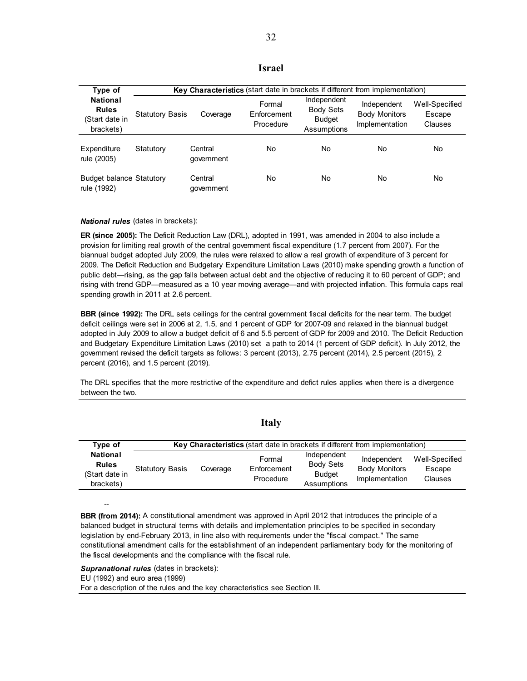| Type of                                                        |                        | Key Characteristics (start date in brackets if different from implementation) |                                    |                                                                 |                                                       |                                     |  |  |
|----------------------------------------------------------------|------------------------|-------------------------------------------------------------------------------|------------------------------------|-----------------------------------------------------------------|-------------------------------------------------------|-------------------------------------|--|--|
| <b>National</b><br><b>Rules</b><br>(Start date in<br>brackets) | <b>Statutory Basis</b> | Coverage                                                                      | Formal<br>Enforcement<br>Procedure | Independent<br><b>Body Sets</b><br><b>Budget</b><br>Assumptions | Independent<br><b>Body Monitors</b><br>Implementation | Well-Specified<br>Escape<br>Clauses |  |  |
| Expenditure<br>rule (2005)                                     | Statutory              | Central<br>government                                                         | No                                 | No                                                              | No                                                    | No                                  |  |  |
| <b>Budget balance Statutory</b><br>rule (1992)                 |                        | Central<br>government                                                         | No                                 | No                                                              | No                                                    | No                                  |  |  |

*National rules* (dates in brackets):

**ER (since 2005):** The Deficit Reduction Law (DRL), adopted in 1991, was amended in 2004 to also include a provision for limiting real growth of the central government fiscal expenditure (1.7 percent from 2007). For the biannual budget adopted July 2009, the rules were relaxed to allow a real growth of expenditure of 3 percent for 2009. The Deficit Reduction and Budgetary Expenditure Limitation Laws (2010) make spending growth a function of public debt—rising, as the gap falls between actual debt and the objective of reducing it to 60 percent of GDP; and rising with trend GDP—measured as a 10 year moving average—and with projected inflation. This formula caps real spending growth in 2011 at 2.6 percent.

**BBR (since 1992):** The DRL sets ceilings for the central government fiscal deficits for the near term. The budget deficit ceilings were set in 2006 at 2, 1.5, and 1 percent of GDP for 2007-09 and relaxed in the biannual budget adopted in July 2009 to allow a budget deficit of 6 and 5.5 percent of GDP for 2009 and 2010. The Deficit Reduction and Budgetary Expenditure Limitation Laws (2010) set a path to 2014 (1 percent of GDP deficit). In July 2012, the government revised the deficit targets as follows: 3 percent (2013), 2.75 percent (2014), 2.5 percent (2015), 2 percent (2016), and 1.5 percent (2019).

The DRL specifies that the more restrictive of the expenditure and defict rules applies when there is a divergence between the two.

| Type of                                                        | <b>Key Characteristics</b> (start date in brackets if different from implementation) |          |                                    |                                                                 |                                                       |                                     |  |
|----------------------------------------------------------------|--------------------------------------------------------------------------------------|----------|------------------------------------|-----------------------------------------------------------------|-------------------------------------------------------|-------------------------------------|--|
| <b>National</b><br><b>Rules</b><br>(Start date in<br>brackets) | <b>Statutory Basis</b>                                                               | Coverage | Formal<br>Enforcement<br>Procedure | Independent<br><b>Body Sets</b><br><b>Budget</b><br>Assumptions | Independent<br><b>Body Monitors</b><br>Implementation | Well-Specified<br>Escape<br>Clauses |  |

#### **Italy**

**BBR (from 2014):** A constitutional amendment was approved in April 2012 that introduces the principle of a balanced budget in structural terms with details and implementation principles to be specified in secondary legislation by end-February 2013, in line also with requirements under the "fiscal compact." The same constitutional amendment calls for the establishment of an independent parliamentary body for the monitoring of the fiscal developments and the compliance with the fiscal rule.

*Supranational rules* (dates in brackets):

EU (1992) and euro area (1999)

--

For a description of the rules and the key characteristics see Section III.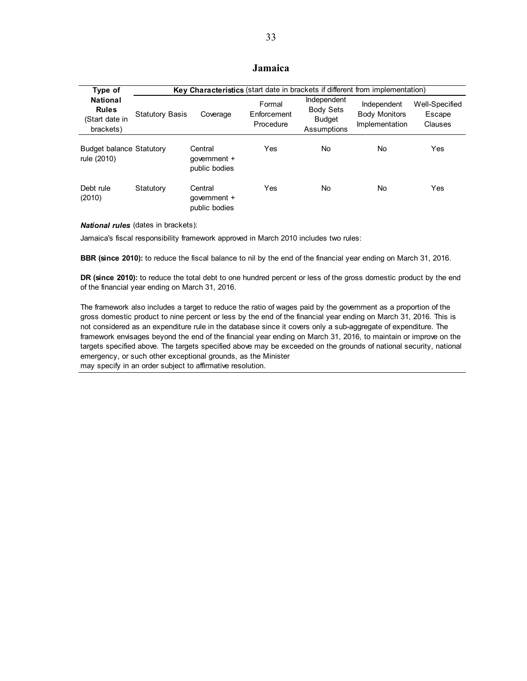### **Jamaica**

| Type of                                                        |                        | Key Characteristics (start date in brackets if different from implementation) |                                    |                                                                 |                                                       |                                     |
|----------------------------------------------------------------|------------------------|-------------------------------------------------------------------------------|------------------------------------|-----------------------------------------------------------------|-------------------------------------------------------|-------------------------------------|
| <b>National</b><br><b>Rules</b><br>(Start date in<br>brackets) | <b>Statutory Basis</b> | Coverage                                                                      | Formal<br>Enforcement<br>Procedure | Independent<br><b>Body Sets</b><br><b>Budget</b><br>Assumptions | Independent<br><b>Body Monitors</b><br>Implementation | Well-Specified<br>Escape<br>Clauses |
| <b>Budget balance Statutory</b><br>rule (2010)                 |                        | Central<br>qovernment +<br>public bodies                                      | Yes                                | No.                                                             | No                                                    | Yes                                 |
| Debt rule<br>(2010)                                            | Statutory              | Central<br>qovernment +<br>public bodies                                      | Yes                                | No.                                                             | No                                                    | Yes                                 |

#### *National rules* (dates in brackets):

Jamaica's fiscal responsibility framework approved in March 2010 includes two rules:

**BBR (since 2010):** to reduce the fiscal balance to nil by the end of the financial year ending on March 31, 2016.

**DR (since 2010):** to reduce the total debt to one hundred percent or less of the gross domestic product by the end of the financial year ending on March 31, 2016.

The framework also includes a target to reduce the ratio of wages paid by the government as a proportion of the gross domestic product to nine percent or less by the end of the financial year ending on March 31, 2016. This is not considered as an expenditure rule in the database since it covers only a sub-aggregate of expenditure. The framework envisages beyond the end of the financial year ending on March 31, 2016, to maintain or improve on the targets specified above. The targets specified above may be exceeded on the grounds of national security, national emergency, or such other exceptional grounds, as the Minister

may specify in an order subject to affirmative resolution.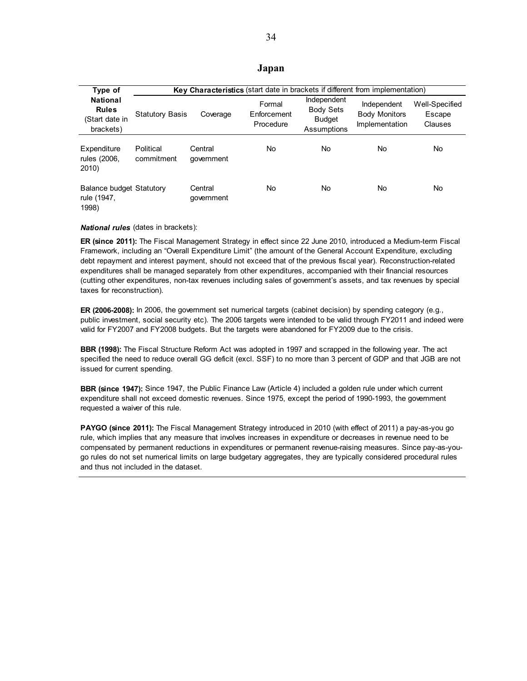#### **Japan**

| Type of                                                        |                         | Key Characteristics (start date in brackets if different from implementation) |                                    |                                                                 |                                                       |                                     |  |
|----------------------------------------------------------------|-------------------------|-------------------------------------------------------------------------------|------------------------------------|-----------------------------------------------------------------|-------------------------------------------------------|-------------------------------------|--|
| <b>National</b><br><b>Rules</b><br>(Start date in<br>brackets) | <b>Statutory Basis</b>  | Coverage                                                                      | Formal<br>Enforcement<br>Procedure | Independent<br><b>Body Sets</b><br><b>Budget</b><br>Assumptions | Independent<br><b>Body Monitors</b><br>Implementation | Well-Specified<br>Escape<br>Clauses |  |
| Expenditure<br>rules (2006,<br>2010)                           | Political<br>commitment | Central<br>qovernment                                                         | No                                 | No.                                                             | No                                                    | No                                  |  |
| <b>Balance budget Statutory</b><br>rule (1947,<br>1998)        |                         | Central<br>qovernment                                                         | No                                 | No                                                              | No                                                    | No                                  |  |

#### *National rules* (dates in brackets):

**ER (since 2011):** The Fiscal Management Strategy in effect since 22 June 2010, introduced a Medium-term Fiscal Framework, including an "Overall Expenditure Limit" (the amount of the General Account Expenditure, excluding debt repayment and interest payment, should not exceed that of the previous fiscal year). Reconstruction-related expenditures shall be managed separately from other expenditures, accompanied with their financial resources (cutting other expenditures, non-tax revenues including sales of government's assets, and tax revenues by special taxes for reconstruction).

**ER (2006-2008):** In 2006, the government set numerical targets (cabinet decision) by spending category (e.g., public investment, social security etc). The 2006 targets were intended to be valid through FY2011 and indeed were valid for FY2007 and FY2008 budgets. But the targets were abandoned for FY2009 due to the crisis.

**BBR (1998):** The Fiscal Structure Reform Act was adopted in 1997 and scrapped in the following year. The act specified the need to reduce overall GG deficit (excl. SSF) to no more than 3 percent of GDP and that JGB are not issued for current spending.

**BBR (since 1947):** Since 1947, the Public Finance Law (Article 4) included a golden rule under which current expenditure shall not exceed domestic revenues. Since 1975, except the period of 1990-1993, the government requested a waiver of this rule.

**PAYGO (since 2011):** The Fiscal Management Strategy introduced in 2010 (with effect of 2011) a pay-as-you go rule, which implies that any measure that involves increases in expenditure or decreases in revenue need to be compensated by permanent reductions in expenditures or permanent revenue-raising measures. Since pay-as-yougo rules do not set numerical limits on large budgetary aggregates, they are typically considered procedural rules and thus not included in the dataset.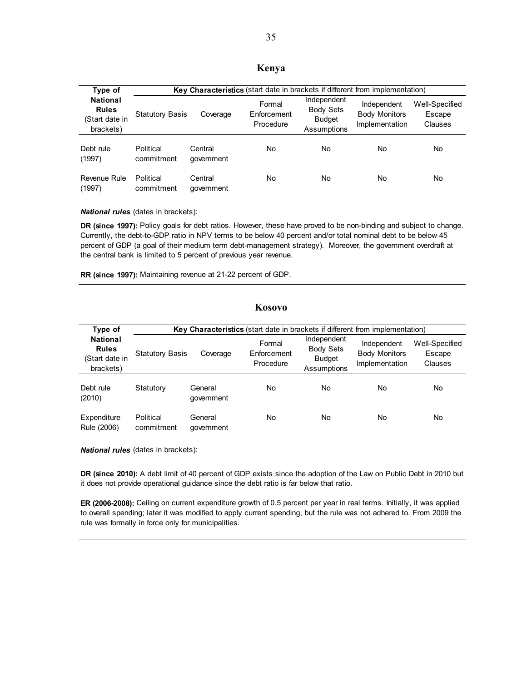### **Kenya**

| Type of                                                        |                         | Key Characteristics (start date in brackets if different from implementation) |                                    |                                                                 |                                                       |                                     |  |
|----------------------------------------------------------------|-------------------------|-------------------------------------------------------------------------------|------------------------------------|-----------------------------------------------------------------|-------------------------------------------------------|-------------------------------------|--|
| <b>National</b><br><b>Rules</b><br>(Start date in<br>brackets) | <b>Statutory Basis</b>  | Coverage                                                                      | Formal<br>Enforcement<br>Procedure | Independent<br><b>Body Sets</b><br><b>Budget</b><br>Assumptions | Independent<br><b>Body Monitors</b><br>Implementation | Well-Specified<br>Escape<br>Clauses |  |
| Debt rule<br>(1997)                                            | Political<br>commitment | Central<br>qovernment                                                         | No                                 | No.                                                             | No                                                    | No                                  |  |
| Revenue Rule<br>(1997)                                         | Political<br>commitment | Central<br>government                                                         | No                                 | No                                                              | No                                                    | No                                  |  |

*National rules* (dates in brackets):

**DR (since 1997):** Policy goals for debt ratios. However, these have proved to be non-binding and subject to change. Currently, the debt-to-GDP ratio in NPV terms to be below 40 percent and/or total nominal debt to be below 45 percent of GDP (a goal of their medium term debt-management strategy). Moreover, the government overdraft at the central bank is limited to 5 percent of previous year revenue.

**RR (since 1997):** Maintaining revenue at 21-22 percent of GDP.

### **Kosovo**

| Type of                                                        |                         | Key Characteristics (start date in brackets if different from implementation) |                                    |                                                                 |                                                       |                                     |  |
|----------------------------------------------------------------|-------------------------|-------------------------------------------------------------------------------|------------------------------------|-----------------------------------------------------------------|-------------------------------------------------------|-------------------------------------|--|
| <b>National</b><br><b>Rules</b><br>(Start date in<br>brackets) | <b>Statutory Basis</b>  | Coverage                                                                      | Formal<br>Enforcement<br>Procedure | Independent<br><b>Body Sets</b><br><b>Budget</b><br>Assumptions | Independent<br><b>Body Monitors</b><br>Implementation | Well-Specified<br>Escape<br>Clauses |  |
| Debt rule<br>(2010)                                            | Statutory               | General<br>qovernment                                                         | No                                 | No                                                              | No                                                    | No                                  |  |
| Expenditure<br>Rule (2006)                                     | Political<br>commitment | General<br>qovernment                                                         | No                                 | No                                                              | No                                                    | No                                  |  |

*National rules* (dates in brackets):

**DR (since 2010):** A debt limit of 40 percent of GDP exists since the adoption of the Law on Public Debt in 2010 but it does not provide operational guidance since the debt ratio is far below that ratio.

**ER (2006-2008):** Ceiling on current expenditure growth of 0.5 percent per year in real terms. Initially, it was applied to overall spending; later it was modified to apply current spending, but the rule was not adhered to. From 2009 the rule was formally in force only for municipalities.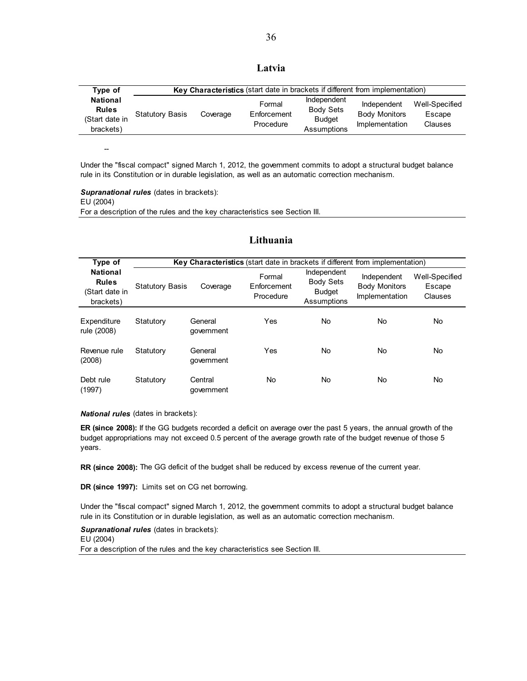| Type of                                                        |                        |          | Key Characteristics (start date in brackets if different from implementation) |                                                                 |                                                       |                                     |
|----------------------------------------------------------------|------------------------|----------|-------------------------------------------------------------------------------|-----------------------------------------------------------------|-------------------------------------------------------|-------------------------------------|
| <b>National</b><br><b>Rules</b><br>(Start date in<br>brackets) | <b>Statutory Basis</b> | Coverage | Formal<br>Enforcement<br>Procedure                                            | Independent<br><b>Body Sets</b><br><b>Budget</b><br>Assumptions | Independent<br><b>Body Monitors</b><br>Implementation | Well-Specified<br>Escape<br>Clauses |

--

Under the "fiscal compact" signed March 1, 2012, the government commits to adopt a structural budget balance rule in its Constitution or in durable legislation, as well as an automatic correction mechanism.

*Supranational rules* (dates in brackets): EU (2004) For a description of the rules and the key characteristics see Section III.

### **Lithuania**

| Type of                                                        |                        | Key Characteristics (start date in brackets if different from implementation) |                                    |                                                                 |                                                       |                                     |
|----------------------------------------------------------------|------------------------|-------------------------------------------------------------------------------|------------------------------------|-----------------------------------------------------------------|-------------------------------------------------------|-------------------------------------|
| <b>National</b><br><b>Rules</b><br>(Start date in<br>brackets) | <b>Statutory Basis</b> | Coverage                                                                      | Formal<br>Enforcement<br>Procedure | Independent<br><b>Body Sets</b><br><b>Budget</b><br>Assumptions | Independent<br><b>Body Monitors</b><br>Implementation | Well-Specified<br>Escape<br>Clauses |
| Expenditure<br>rule (2008)                                     | Statutory              | General<br>qovernment                                                         | Yes                                | No.                                                             | No                                                    | No                                  |
| Revenue rule<br>(2008)                                         | Statutory              | General<br>qovernment                                                         | Yes                                | <b>No</b>                                                       | No                                                    | No                                  |
| Debt rule<br>(1997)                                            | Statutory              | Central<br>government                                                         | No                                 | <b>No</b>                                                       | No                                                    | No                                  |

#### *National rules* (dates in brackets):

**ER (since 2008):** If the GG budgets recorded a deficit on average over the past 5 years, the annual growth of the budget appropriations may not exceed 0.5 percent of the average growth rate of the budget revenue of those 5 years.

**RR (since 2008):** The GG deficit of the budget shall be reduced by excess revenue of the current year.

**DR (since 1997):** Limits set on CG net borrowing.

Under the "fiscal compact" signed March 1, 2012, the government commits to adopt a structural budget balance rule in its Constitution or in durable legislation, as well as an automatic correction mechanism.

*Supranational rules* (dates in brackets): EU (2004) For a description of the rules and the key characteristics see Section III.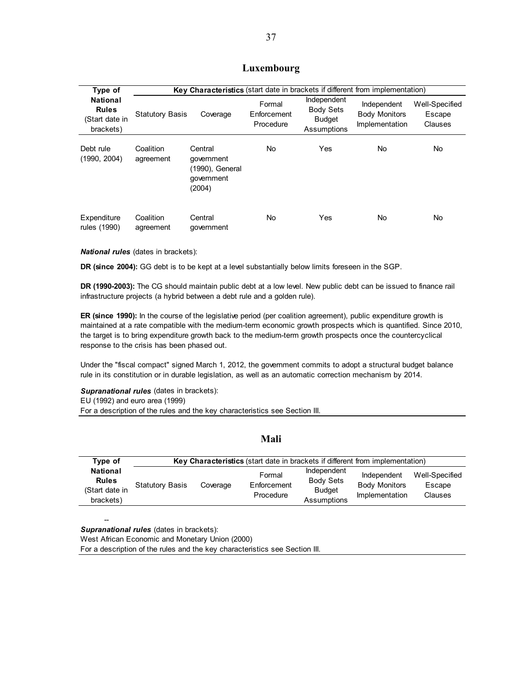### **Luxembourg**

| Type of                                                        |                        | <b>Key Characteristics</b> (start date in brackets if different from implementation) |                                    |                                                                 |                                                       |                                     |
|----------------------------------------------------------------|------------------------|--------------------------------------------------------------------------------------|------------------------------------|-----------------------------------------------------------------|-------------------------------------------------------|-------------------------------------|
| <b>National</b><br><b>Rules</b><br>(Start date in<br>brackets) | <b>Statutory Basis</b> | Coverage                                                                             | Formal<br>Enforcement<br>Procedure | Independent<br><b>Body Sets</b><br><b>Budget</b><br>Assumptions | Independent<br><b>Body Monitors</b><br>Implementation | Well-Specified<br>Escape<br>Clauses |
| Debt rule<br>(1990, 2004)                                      | Coalition<br>agreement | Central<br>government<br>(1990), General<br>qovernment<br>(2004)                     | No                                 | Yes                                                             | No                                                    | No                                  |
| Expenditure<br>rules (1990)                                    | Coalition<br>agreement | Central<br>government                                                                | No                                 | Yes                                                             | No                                                    | No                                  |

#### *National rules* (dates in brackets):

**DR (since 2004):** GG debt is to be kept at a level substantially below limits foreseen in the SGP.

**DR (1990-2003):** The CG should maintain public debt at a low level. New public debt can be issued to finance rail infrastructure projects (a hybrid between a debt rule and a golden rule).

**ER (since 1990):** In the course of the legislative period (per coalition agreement), public expenditure growth is maintained at a rate compatible with the medium-term economic growth prospects which is quantified. Since 2010, the target is to bring expenditure growth back to the medium-term growth prospects once the countercyclical response to the crisis has been phased out.

Under the "fiscal compact" signed March 1, 2012, the government commits to adopt a structural budget balance rule in its constitution or in durable legislation, as well as an automatic correction mechanism by 2014.

**Supranational rules** (dates in brackets): EU (1992) and euro area (1999) For a description of the rules and the key characteristics see Section III.

#### **Mali**

| Type of                                                        | <b>Key Characteristics</b> (start date in brackets if different from implementation) |          |                                    |                                                                 |                                                       |                                            |  |  |
|----------------------------------------------------------------|--------------------------------------------------------------------------------------|----------|------------------------------------|-----------------------------------------------------------------|-------------------------------------------------------|--------------------------------------------|--|--|
| <b>National</b><br><b>Rules</b><br>(Start date in<br>brackets) | <b>Statutory Basis</b>                                                               | Coverage | Formal<br>Enforcement<br>Procedure | Independent<br><b>Body Sets</b><br><b>Budget</b><br>Assumptions | Independent<br><b>Body Monitors</b><br>Implementation | Well-Specified<br>Escape<br><b>Clauses</b> |  |  |

*Supranational rules* (dates in brackets):

--

West African Economic and Monetary Union (2000)

For a description of the rules and the key characteristics see Section III.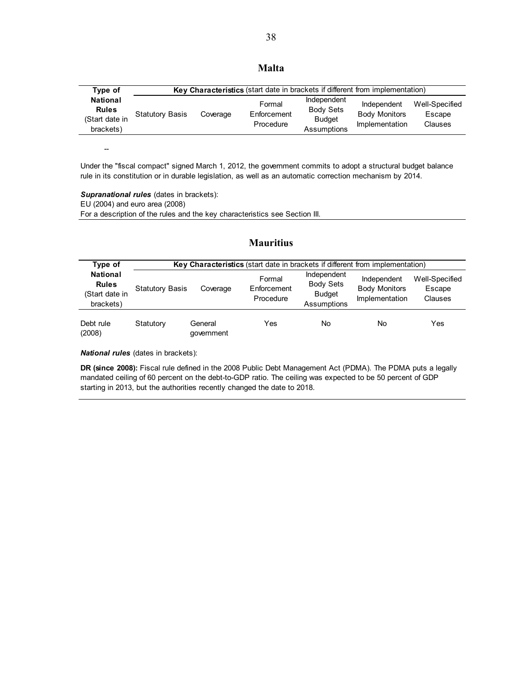38

| Type of                                                        |                        |          | Key Characteristics (start date in brackets if different from implementation) |                                                                 |                                                       |                                     |
|----------------------------------------------------------------|------------------------|----------|-------------------------------------------------------------------------------|-----------------------------------------------------------------|-------------------------------------------------------|-------------------------------------|
| <b>National</b><br><b>Rules</b><br>(Start date in<br>brackets) | <b>Statutory Basis</b> | Coverage | Formal<br>Enforcement<br>Procedure                                            | Independent<br><b>Body Sets</b><br><b>Budget</b><br>Assumptions | Independent<br><b>Body Monitors</b><br>Implementation | Well-Specified<br>Escape<br>Clauses |

--

Under the "fiscal compact" signed March 1, 2012, the government commits to adopt a structural budget balance rule in its constitution or in durable legislation, as well as an automatic correction mechanism by 2014.

*Supranational rules* (dates in brackets): EU (2004) and euro area (2008) For a description of the rules and the key characteristics see Section III.

### **Mauritius**

| Type of                                                        |                        | <b>Key Characteristics</b> (start date in brackets if different from implementation) |                                    |                                                                 |                                                       |                                     |  |  |
|----------------------------------------------------------------|------------------------|--------------------------------------------------------------------------------------|------------------------------------|-----------------------------------------------------------------|-------------------------------------------------------|-------------------------------------|--|--|
| <b>National</b><br><b>Rules</b><br>(Start date in<br>brackets) | <b>Statutory Basis</b> | Coverage                                                                             | Formal<br>Enforcement<br>Procedure | Independent<br><b>Body Sets</b><br><b>Budget</b><br>Assumptions | Independent<br><b>Body Monitors</b><br>Implementation | Well-Specified<br>Escape<br>Clauses |  |  |
| Debt rule<br>(2008)                                            | Statutory              | General<br>qovernment                                                                | Yes                                | <b>No</b>                                                       | No                                                    | Yes                                 |  |  |

*National rules* (dates in brackets):

**DR (since 2008):** Fiscal rule defined in the 2008 Public Debt Management Act (PDMA). The PDMA puts a legally mandated ceiling of 60 percent on the debt-to-GDP ratio. The ceiling was expected to be 50 percent of GDP starting in 2013, but the authorities recently changed the date to 2018.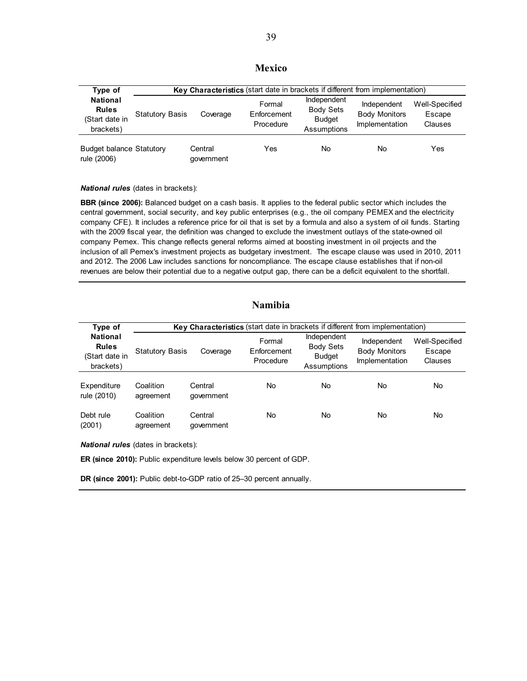### **Mexico**

| Type of                                                        |                        | Key Characteristics (start date in brackets if different from implementation) |                                    |                                                                 |                                                       |                                     |  |  |
|----------------------------------------------------------------|------------------------|-------------------------------------------------------------------------------|------------------------------------|-----------------------------------------------------------------|-------------------------------------------------------|-------------------------------------|--|--|
| <b>National</b><br><b>Rules</b><br>(Start date in<br>brackets) | <b>Statutory Basis</b> | Coverage                                                                      | Formal<br>Enforcement<br>Procedure | Independent<br><b>Body Sets</b><br><b>Budget</b><br>Assumptions | Independent<br><b>Body Monitors</b><br>Implementation | Well-Specified<br>Escape<br>Clauses |  |  |
| <b>Budget balance Statutory</b><br>rule (2006)                 |                        | Central<br>qovernment                                                         | Yes                                | No                                                              | No                                                    | Yes                                 |  |  |

#### *National rules* (dates in brackets):

**BBR (since 2006):** Balanced budget on a cash basis. It applies to the federal public sector which includes the central government, social security, and key public enterprises (e.g., the oil company PEMEX and the electricity company CFE). It includes a reference price for oil that is set by a formula and also a system of oil funds. Starting with the 2009 fiscal year, the definition was changed to exclude the investment outlays of the state-owned oil company Pemex. This change reflects general reforms aimed at boosting investment in oil projects and the inclusion of all Pemex's investment projects as budgetary investment. The escape clause was used in 2010, 2011 and 2012. The 2006 Law includes sanctions for noncompliance. The escape clause establishes that if non-oil revenues are below their potential due to a negative output gap, there can be a deficit equivalent to the shortfall.

### **Namibia**

| Type of                                                        |                        | <b>Key Characteristics</b> (start date in brackets if different from implementation) |                                    |                                                                 |                                                       |                                     |  |
|----------------------------------------------------------------|------------------------|--------------------------------------------------------------------------------------|------------------------------------|-----------------------------------------------------------------|-------------------------------------------------------|-------------------------------------|--|
| <b>National</b><br><b>Rules</b><br>(Start date in<br>brackets) | <b>Statutory Basis</b> | Coverage                                                                             | Formal<br>Enforcement<br>Procedure | Independent<br><b>Body Sets</b><br><b>Budget</b><br>Assumptions | Independent<br><b>Body Monitors</b><br>Implementation | Well-Specified<br>Escape<br>Clauses |  |
| Expenditure<br>rule (2010)                                     | Coalition<br>agreement | Central<br>qovernment                                                                | No                                 | No                                                              | No                                                    | No                                  |  |
| Debt rule<br>(2001)                                            | Coalition<br>agreement | Central<br>government                                                                | No                                 | No                                                              | No                                                    | No                                  |  |

*National rules* (dates in brackets):

**ER (since 2010):** Public expenditure levels below 30 percent of GDP.

**DR (since 2001):** Public debt-to-GDP ratio of 25–30 percent annually.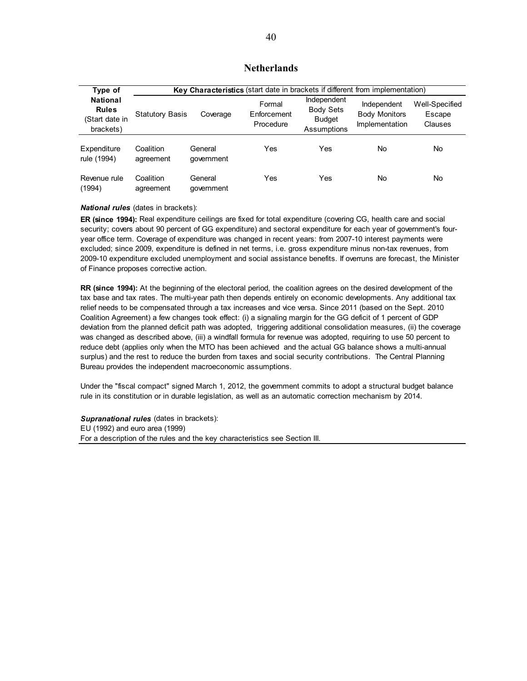### **Netherlands**

| Type of                                                        |                        | Key Characteristics (start date in brackets if different from implementation) |                                    |                                                                 |                                                       |                                     |  |
|----------------------------------------------------------------|------------------------|-------------------------------------------------------------------------------|------------------------------------|-----------------------------------------------------------------|-------------------------------------------------------|-------------------------------------|--|
| <b>National</b><br><b>Rules</b><br>(Start date in<br>brackets) | <b>Statutory Basis</b> | Coverage                                                                      | Formal<br>Enforcement<br>Procedure | Independent<br><b>Body Sets</b><br><b>Budget</b><br>Assumptions | Independent<br><b>Body Monitors</b><br>Implementation | Well-Specified<br>Escape<br>Clauses |  |
| Expenditure<br>rule (1994)                                     | Coalition<br>agreement | General<br>qovernment                                                         | Yes                                | Yes                                                             | No                                                    | No                                  |  |
| Revenue rule<br>(1994)                                         | Coalition<br>agreement | General<br>government                                                         | Yes                                | Yes                                                             | No                                                    | No                                  |  |

*National rules* (dates in brackets):

**ER (since 1994):** Real expenditure ceilings are fixed for total expenditure (covering CG, health care and social security; covers about 90 percent of GG expenditure) and sectoral expenditure for each year of government's fouryear office term. Coverage of expenditure was changed in recent years: from 2007-10 interest payments were excluded; since 2009, expenditure is defined in net terms, i.e. gross expenditure minus non-tax revenues, from 2009-10 expenditure excluded unemployment and social assistance benefits. If overruns are forecast, the Minister of Finance proposes corrective action.

**RR (since 1994):** At the beginning of the electoral period, the coalition agrees on the desired development of the tax base and tax rates. The multi-year path then depends entirely on economic developments. Any additional tax relief needs to be compensated through a tax increases and vice versa. Since 2011 (based on the Sept. 2010 Coalition Agreement) a few changes took effect: (i) a signaling margin for the GG deficit of 1 percent of GDP deviation from the planned deficit path was adopted, triggering additional consolidation measures, (ii) the coverage was changed as described above, (iii) a windfall formula for revenue was adopted, requiring to use 50 percent to reduce debt (applies only when the MTO has been achieved and the actual GG balance shows a multi-annual surplus) and the rest to reduce the burden from taxes and social security contributions. The Central Planning Bureau provides the independent macroeconomic assumptions.

Under the "fiscal compact" signed March 1, 2012, the government commits to adopt a structural budget balance rule in its constitution or in durable legislation, as well as an automatic correction mechanism by 2014.

*Supranational rules* (dates in brackets): EU (1992) and euro area (1999) For a description of the rules and the key characteristics see Section III.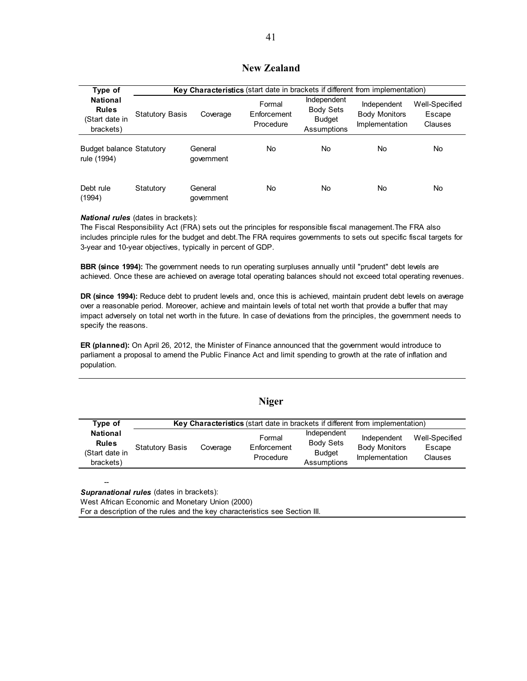### **New Zealand**

| Type of                                                        |                        | <b>Key Characteristics</b> (start date in brackets if different from implementation) |                                    |                                                                 |                                                       |                                     |  |
|----------------------------------------------------------------|------------------------|--------------------------------------------------------------------------------------|------------------------------------|-----------------------------------------------------------------|-------------------------------------------------------|-------------------------------------|--|
| <b>National</b><br><b>Rules</b><br>(Start date in<br>brackets) | <b>Statutory Basis</b> | Coverage                                                                             | Formal<br>Enforcement<br>Procedure | Independent<br><b>Body Sets</b><br><b>Budget</b><br>Assumptions | Independent<br><b>Body Monitors</b><br>Implementation | Well-Specified<br>Escape<br>Clauses |  |
| <b>Budget balance Statutory</b><br>rule (1994)                 |                        | General<br>qovernment                                                                | No                                 | No.                                                             | No                                                    | No                                  |  |
| Debt rule<br>(1994)                                            | Statutory              | General<br>government                                                                | No                                 | <b>No</b>                                                       | No                                                    | No                                  |  |

#### *National rules* (dates in brackets):

--

The Fiscal Responsibility Act (FRA) sets out the principles for responsible fiscal management.The FRA also includes principle rules for the budget and debt.The FRA requires governments to sets out specific fiscal targets for 3-year and 10-year objectives, typically in percent of GDP.

**BBR (since 1994):** The government needs to run operating surpluses annually until "prudent" debt levels are achieved. Once these are achieved on average total operating balances should not exceed total operating revenues.

**DR (since 1994):** Reduce debt to prudent levels and, once this is achieved, maintain prudent debt levels on average over a reasonable period. Moreover, achieve and maintain levels of total net worth that provide a buffer that may impact adversely on total net worth in the future. In case of deviations from the principles, the government needs to specify the reasons.

**ER (planned):** On April 26, 2012, the Minister of Finance announced that the government would introduce to parliament a proposal to amend the Public Finance Act and limit spending to growth at the rate of inflation and population.

**Niger** 

|                                                                |                        |          | Niger                                                                         |                                                                 |                                                       |                                     |
|----------------------------------------------------------------|------------------------|----------|-------------------------------------------------------------------------------|-----------------------------------------------------------------|-------------------------------------------------------|-------------------------------------|
| Type of                                                        |                        |          | Key Characteristics (start date in brackets if different from implementation) |                                                                 |                                                       |                                     |
| <b>National</b><br><b>Rules</b><br>(Start date in<br>brackets) | <b>Statutory Basis</b> | Coverage | Formal<br>Enforcement<br>Procedure                                            | Independent<br><b>Body Sets</b><br><b>Budget</b><br>Assumptions | Independent<br><b>Body Monitors</b><br>Implementation | Well-Specified<br>Escape<br>Clauses |

*Supranational rules* (dates in brackets): West African Economic and Monetary Union (2000) For a description of the rules and the key characteristics see Section III.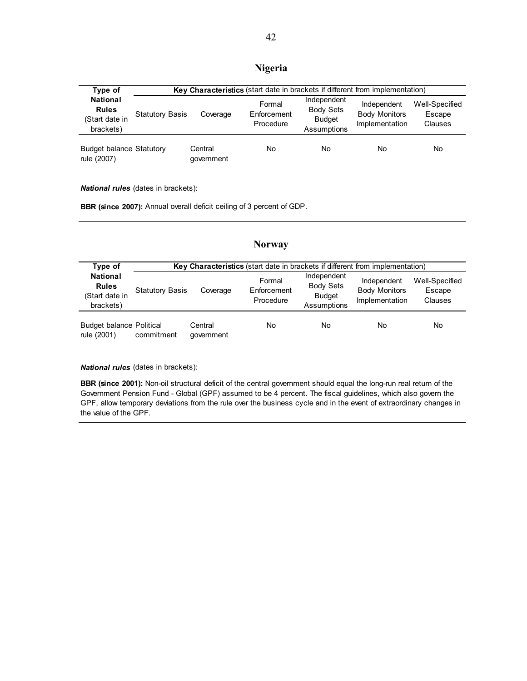### **Nigeria**

| Type of                                                        |                        | Key Characteristics (start date in brackets if different from implementation) |                                    |                                                                 |                                                       |                                     |  |  |
|----------------------------------------------------------------|------------------------|-------------------------------------------------------------------------------|------------------------------------|-----------------------------------------------------------------|-------------------------------------------------------|-------------------------------------|--|--|
| <b>National</b><br><b>Rules</b><br>(Start date in<br>brackets) | <b>Statutory Basis</b> | Coverage                                                                      | Formal<br>Enforcement<br>Procedure | Independent<br><b>Body Sets</b><br><b>Budget</b><br>Assumptions | Independent<br><b>Body Monitors</b><br>Implementation | Well-Specified<br>Escape<br>Clauses |  |  |
| <b>Budget balance Statutory</b><br>rule (2007)                 |                        | Central<br>qovernment                                                         | No                                 | No                                                              | No                                                    | No                                  |  |  |

*National rules* (dates in brackets):

**BBR (since 2007):** Annual overall deficit ceiling of 3 percent of GDP.

#### Statutory Basis Coverage Formal **Enforcement** Procedure Independent Body Sets Budget Assumptions Independent Body Monitors Implementation Well-Specified Escape Clauses Budget balance Political rule (2001) commitment **Central** government No No No No **Type of National Rules**  (Start date in brackets) **Key Characteristics** (start date in brackets if different from implementation)

**Norway** 

*National rules* (dates in brackets):

**BBR (since 2001):** Non-oil structural deficit of the central government should equal the long-run real return of the Government Pension Fund - Global (GPF) assumed to be 4 percent. The fiscal guidelines, which also govern the GPF, allow temporary deviations from the rule over the business cycle and in the event of extraordinary changes in the value of the GPF.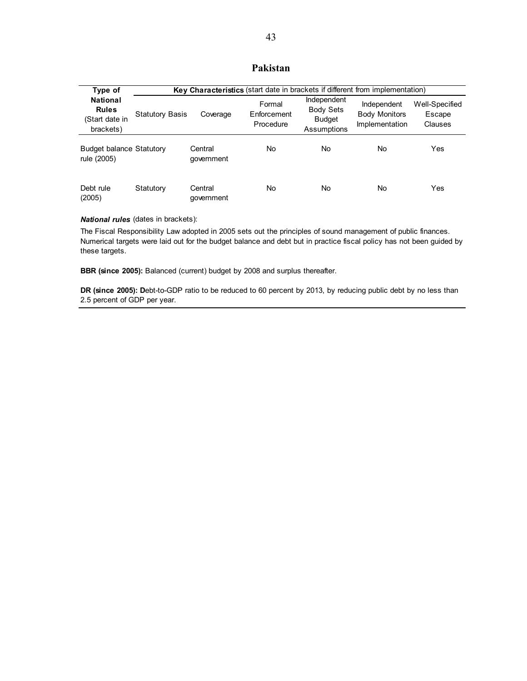### **Pakistan**

| Type of                                                        |                        | Key Characteristics (start date in brackets if different from implementation) |                                    |                                                                 |                                                       |                                     |  |  |
|----------------------------------------------------------------|------------------------|-------------------------------------------------------------------------------|------------------------------------|-----------------------------------------------------------------|-------------------------------------------------------|-------------------------------------|--|--|
| <b>National</b><br><b>Rules</b><br>(Start date in<br>brackets) | <b>Statutory Basis</b> | Coverage                                                                      | Formal<br>Enforcement<br>Procedure | Independent<br><b>Body Sets</b><br><b>Budget</b><br>Assumptions | Independent<br><b>Body Monitors</b><br>Implementation | Well-Specified<br>Escape<br>Clauses |  |  |
| <b>Budget balance Statutory</b><br>rule (2005)                 |                        | Central<br>qovernment                                                         | No                                 | No.                                                             | No                                                    | Yes                                 |  |  |
| Debt rule<br>(2005)                                            | Statutory              | Central<br>government                                                         | No                                 | <b>No</b>                                                       | No                                                    | Yes                                 |  |  |

*National rules* (dates in brackets):

The Fiscal Responsibility Law adopted in 2005 sets out the principles of sound management of public finances. Numerical targets were laid out for the budget balance and debt but in practice fiscal policy has not been guided by these targets.

**BBR (since 2005):** Balanced (current) budget by 2008 and surplus thereafter.

**DR (since 2005): Debt-to-GDP** ratio to be reduced to 60 percent by 2013, by reducing public debt by no less than 2.5 percent of GDP per year.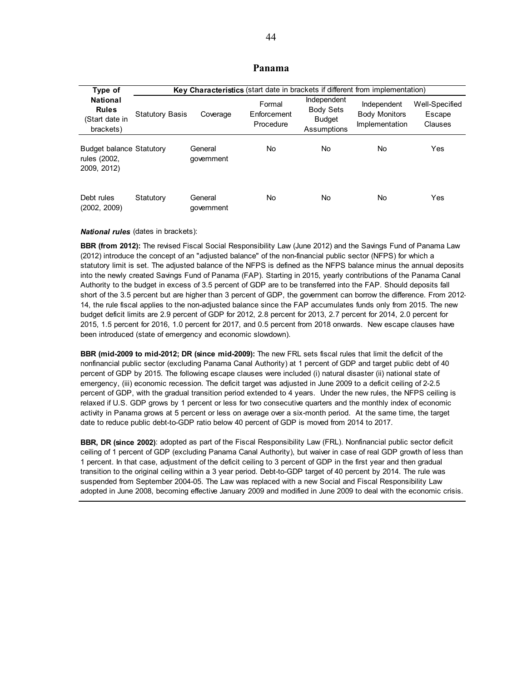#### **Panama**

| Type of                                                        |                        | Key Characteristics (start date in brackets if different from implementation) |                                    |                                                                 |                                                       |                                     |  |
|----------------------------------------------------------------|------------------------|-------------------------------------------------------------------------------|------------------------------------|-----------------------------------------------------------------|-------------------------------------------------------|-------------------------------------|--|
| <b>National</b><br><b>Rules</b><br>(Start date in<br>brackets) | <b>Statutory Basis</b> | Coverage                                                                      | Formal<br>Enforcement<br>Procedure | Independent<br><b>Body Sets</b><br><b>Budget</b><br>Assumptions | Independent<br><b>Body Monitors</b><br>Implementation | Well-Specified<br>Escape<br>Clauses |  |
| <b>Budget balance Statutory</b><br>rules (2002,<br>2009, 2012) |                        | General<br>government                                                         | No                                 | No.                                                             | No                                                    | Yes                                 |  |
| Debt rules<br>(2002, 2009)                                     | Statutory              | General<br>government                                                         | No                                 | No.                                                             | No                                                    | Yes                                 |  |

#### *National rules* (dates in brackets):

**BBR (from 2012):** The revised Fiscal Social Responsibility Law (June 2012) and the Savings Fund of Panama Law (2012) introduce the concept of an "adjusted balance" of the non-financial public sector (NFPS) for which a statutory limit is set. The adjusted balance of the NFPS is defined as the NFPS balance minus the annual deposits into the newly created Savings Fund of Panama (FAP). Starting in 2015, yearly contributions of the Panama Canal Authority to the budget in excess of 3.5 percent of GDP are to be transferred into the FAP. Should deposits fall short of the 3.5 percent but are higher than 3 percent of GDP, the government can borrow the difference. From 2012- 14, the rule fiscal applies to the non-adjusted balance since the FAP accumulates funds only from 2015. The new budget deficit limits are 2.9 percent of GDP for 2012, 2.8 percent for 2013, 2.7 percent for 2014, 2.0 percent for 2015, 1.5 percent for 2016, 1.0 percent for 2017, and 0.5 percent from 2018 onwards. New escape clauses have been introduced (state of emergency and economic slowdown).

**BBR (mid-2009 to mid-2012; DR (since mid-2009):** The new FRL sets fiscal rules that limit the deficit of the nonfinancial public sector (excluding Panama Canal Authority) at 1 percent of GDP and target public debt of 40 percent of GDP by 2015. The following escape clauses were included (i) natural disaster (ii) national state of emergency, (iii) economic recession. The deficit target was adjusted in June 2009 to a deficit ceiling of 2-2.5 percent of GDP, with the gradual transition period extended to 4 years. Under the new rules, the NFPS ceiling is relaxed if U.S. GDP grows by 1 percent or less for two consecutive quarters and the monthly index of economic activity in Panama grows at 5 percent or less on average over a six-month period. At the same time, the target date to reduce public debt-to-GDP ratio below 40 percent of GDP is moved from 2014 to 2017.

**BBR, DR (since 2002)**: adopted as part of the Fiscal Responsibility Law (FRL). Nonfinancial public sector deficit ceiling of 1 percent of GDP (excluding Panama Canal Authority), but waiver in case of real GDP growth of less than 1 percent. In that case, adjustment of the deficit ceiling to 3 percent of GDP in the first year and then gradual transition to the original ceiling within a 3 year period. Debt-to-GDP target of 40 percent by 2014. The rule was suspended from September 2004-05. The Law was replaced with a new Social and Fiscal Responsibility Law adopted in June 2008, becoming effective January 2009 and modified in June 2009 to deal with the economic crisis.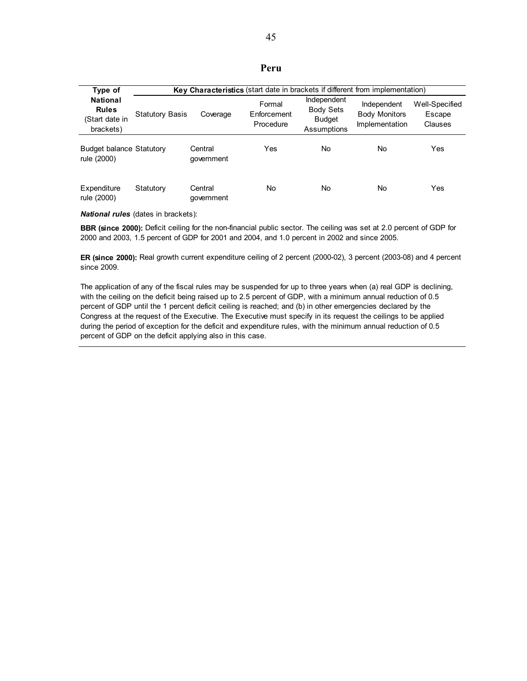| Type of                                                        |                        | <b>Key Characteristics</b> (start date in brackets if different from implementation) |                                    |                                                                 |                                                       |                                     |  |  |
|----------------------------------------------------------------|------------------------|--------------------------------------------------------------------------------------|------------------------------------|-----------------------------------------------------------------|-------------------------------------------------------|-------------------------------------|--|--|
| <b>National</b><br><b>Rules</b><br>(Start date in<br>brackets) | <b>Statutory Basis</b> | Coverage                                                                             | Formal<br>Enforcement<br>Procedure | Independent<br><b>Body Sets</b><br><b>Budget</b><br>Assumptions | Independent<br><b>Body Monitors</b><br>Implementation | Well-Specified<br>Escape<br>Clauses |  |  |
| <b>Budget balance Statutory</b><br>rule (2000)                 |                        | Central<br>qovernment                                                                | Yes                                | No.                                                             | No                                                    | Yes                                 |  |  |
| Expenditure<br>rule (2000)                                     | Statutory              | Central<br>qovernment                                                                | No                                 | <b>No</b>                                                       | No                                                    | Yes                                 |  |  |

*National rules* (dates in brackets):

**BBR (since 2000):** Deficit ceiling for the non-financial public sector. The ceiling was set at 2.0 percent of GDP for 2000 and 2003, 1.5 percent of GDP for 2001 and 2004, and 1.0 percent in 2002 and since 2005.

**ER (since 2000):** Real growth current expenditure ceiling of 2 percent (2000-02), 3 percent (2003-08) and 4 percent since 2009.

The application of any of the fiscal rules may be suspended for up to three years when (a) real GDP is declining, with the ceiling on the deficit being raised up to 2.5 percent of GDP, with a minimum annual reduction of 0.5 percent of GDP until the 1 percent deficit ceiling is reached; and (b) in other emergencies declared by the Congress at the request of the Executive. The Executive must specify in its request the ceilings to be applied during the period of exception for the deficit and expenditure rules, with the minimum annual reduction of 0.5 percent of GDP on the deficit applying also in this case.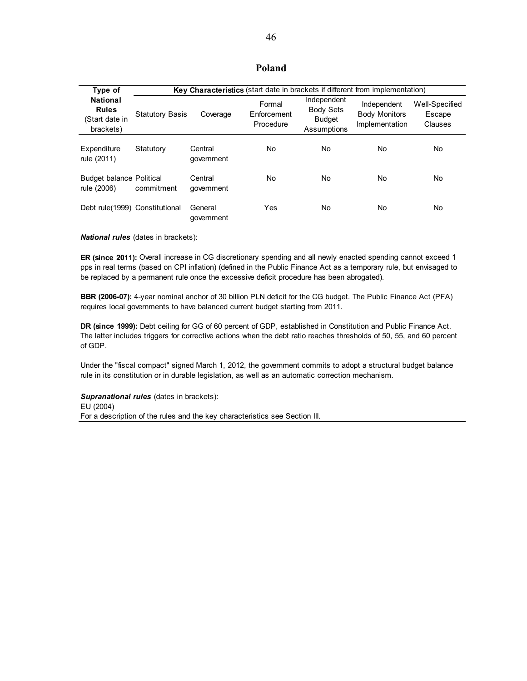### **Poland**

| Type of                                                        |                        | Key Characteristics (start date in brackets if different from implementation) |                                    |                                                                 |                                                       |                                     |
|----------------------------------------------------------------|------------------------|-------------------------------------------------------------------------------|------------------------------------|-----------------------------------------------------------------|-------------------------------------------------------|-------------------------------------|
| <b>National</b><br><b>Rules</b><br>(Start date in<br>brackets) | <b>Statutory Basis</b> | Coverage                                                                      | Formal<br>Enforcement<br>Procedure | Independent<br><b>Body Sets</b><br><b>Budget</b><br>Assumptions | Independent<br><b>Body Monitors</b><br>Implementation | Well-Specified<br>Escape<br>Clauses |
| Expenditure<br>rule (2011)                                     | Statutory              | Central<br>qovernment                                                         | No.                                | No.                                                             | No.                                                   | No                                  |
| <b>Budget balance Political</b><br>rule (2006)                 | commitment             | Central<br>qovernment                                                         | No.                                | No.                                                             | No                                                    | No                                  |
| Debt rule(1999) Constitutional                                 |                        | General<br>government                                                         | Yes                                | No.                                                             | No.                                                   | No                                  |

*National rules* (dates in brackets):

**ER (since 2011):** Overall increase in CG discretionary spending and all newly enacted spending cannot exceed 1 pps in real terms (based on CPI inflation) (defined in the Public Finance Act as a temporary rule, but envisaged to be replaced by a permanent rule once the excessive deficit procedure has been abrogated).

**BBR (2006-07):** 4-year nominal anchor of 30 billion PLN deficit for the CG budget. The Public Finance Act (PFA) requires local governments to have balanced current budget starting from 2011.

**DR (since 1999):** Debt ceiling for GG of 60 percent of GDP, established in Constitution and Public Finance Act. The latter includes triggers for corrective actions when the debt ratio reaches thresholds of 50, 55, and 60 percent of GDP.

Under the "fiscal compact" signed March 1, 2012, the government commits to adopt a structural budget balance rule in its constitution or in durable legislation, as well as an automatic correction mechanism.

*Supranational rules* (dates in brackets): EU (2004) For a description of the rules and the key characteristics see Section III.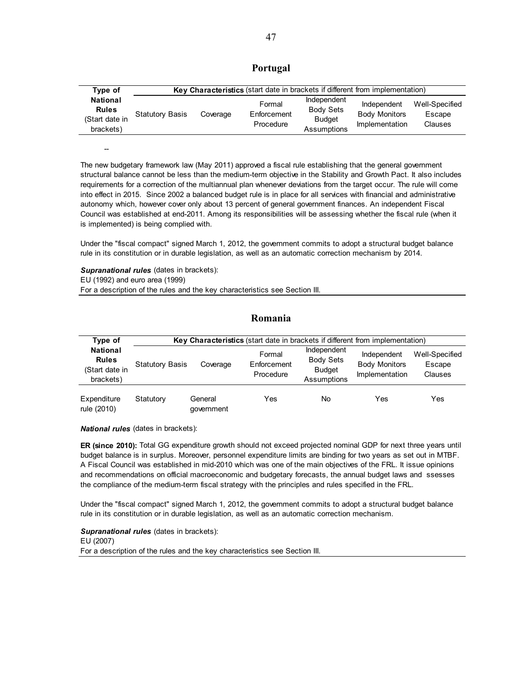| Type of                                                        | Key Characteristics (start date in brackets if different from implementation) |          |                                    |                                                                 |                                                       |                                     |  |
|----------------------------------------------------------------|-------------------------------------------------------------------------------|----------|------------------------------------|-----------------------------------------------------------------|-------------------------------------------------------|-------------------------------------|--|
| <b>National</b><br><b>Rules</b><br>(Start date in<br>brackets) | <b>Statutory Basis</b>                                                        | Coverage | Formal<br>Enforcement<br>Procedure | Independent<br><b>Body Sets</b><br><b>Budget</b><br>Assumptions | Independent<br><b>Body Monitors</b><br>Implementation | Well-Specified<br>Escape<br>Clauses |  |

The new budgetary framework law (May 2011) approved a fiscal rule establishing that the general government structural balance cannot be less than the medium-term objective in the Stability and Growth Pact. It also includes requirements for a correction of the multiannual plan whenever deviations from the target occur. The rule will come into effect in 2015. Since 2002 a balanced budget rule is in place for all services with financial and administrative autonomy which, however cover only about 13 percent of general government finances. An independent Fiscal Council was established at end-2011. Among its responsibilities will be assessing whether the fiscal rule (when it is implemented) is being complied with.

Under the "fiscal compact" signed March 1, 2012, the government commits to adopt a structural budget balance rule in its constitution or in durable legislation, as well as an automatic correction mechanism by 2014.

*Supranational rules* (dates in brackets): EU (1992) and euro area (1999) For a description of the rules and the key characteristics see Section III.

#### **Romania**

| Type of                                                        |                        | Key Characteristics (start date in brackets if different from implementation) |                                    |                                                                 |                                                       |                                     |  |
|----------------------------------------------------------------|------------------------|-------------------------------------------------------------------------------|------------------------------------|-----------------------------------------------------------------|-------------------------------------------------------|-------------------------------------|--|
| <b>National</b><br><b>Rules</b><br>(Start date in<br>brackets) | <b>Statutory Basis</b> | Coverage                                                                      | Formal<br>Enforcement<br>Procedure | Independent<br><b>Body Sets</b><br><b>Budget</b><br>Assumptions | Independent<br><b>Body Monitors</b><br>Implementation | Well-Specified<br>Escape<br>Clauses |  |
| Expenditure<br>rule (2010)                                     | Statutory              | General<br>qovernment                                                         | Yes                                | No                                                              | Yes                                                   | Yes                                 |  |

*National rules* (dates in brackets):

--

**ER (since 2010):** Total GG expenditure growth should not exceed projected nominal GDP for next three years until budget balance is in surplus. Moreover, personnel expenditure limits are binding for two years as set out in MTBF. A Fiscal Council was established in mid-2010 which was one of the main objectives of the FRL. It issue opinions and recommendations on official macroeconomic and budgetary forecasts, the annual budget laws and ssesses the compliance of the medium-term fiscal strategy with the principles and rules specified in the FRL.

Under the "fiscal compact" signed March 1, 2012, the government commits to adopt a structural budget balance rule in its constitution or in durable legislation, as well as an automatic correction mechanism.

*Supranational rules* (dates in brackets): EU (2007) For a description of the rules and the key characteristics see Section III.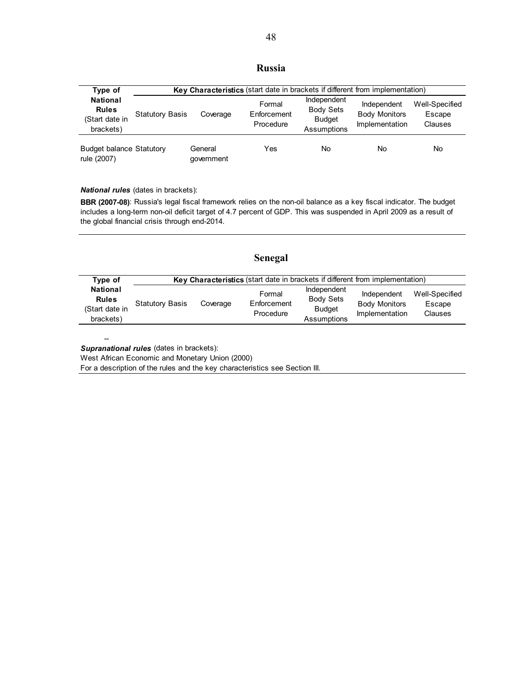### **Russia**

| Type of                                                        |                        | Key Characteristics (start date in brackets if different from implementation) |                                    |                                                                 |                                                       |                                     |  |  |
|----------------------------------------------------------------|------------------------|-------------------------------------------------------------------------------|------------------------------------|-----------------------------------------------------------------|-------------------------------------------------------|-------------------------------------|--|--|
| <b>National</b><br><b>Rules</b><br>(Start date in<br>brackets) | <b>Statutory Basis</b> | Coverage                                                                      | Formal<br>Enforcement<br>Procedure | Independent<br><b>Body Sets</b><br><b>Budget</b><br>Assumptions | Independent<br><b>Body Monitors</b><br>Implementation | Well-Specified<br>Escape<br>Clauses |  |  |
| <b>Budget balance Statutory</b><br>rule (2007)                 |                        | General<br>qovernment                                                         | Yes                                | No                                                              | No                                                    | No.                                 |  |  |

*National rules* (dates in brackets):

**BBR (2007-08)**: Russia's legal fiscal framework relies on the non-oil balance as a key fiscal indicator. The budget includes a long-term non-oil deficit target of 4.7 percent of GDP. This was suspended in April 2009 as a result of the global financial crisis through end-2014.

| Type of                                                        |                        |          | Key Characteristics (start date in brackets if different from implementation) |                                                                 |                                                       |                                            |
|----------------------------------------------------------------|------------------------|----------|-------------------------------------------------------------------------------|-----------------------------------------------------------------|-------------------------------------------------------|--------------------------------------------|
| <b>National</b><br><b>Rules</b><br>(Start date in<br>brackets) | <b>Statutory Basis</b> | Coverage | Formal<br>Enforcement<br>Procedure                                            | Independent<br><b>Body Sets</b><br><b>Budget</b><br>Assumptions | Independent<br><b>Body Monitors</b><br>Implementation | Well-Specified<br>Escape<br><b>Clauses</b> |

**Senegal** 

*Supranational rules* (dates in brackets):

--

West African Economic and Monetary Union (2000)

For a description of the rules and the key characteristics see Section III.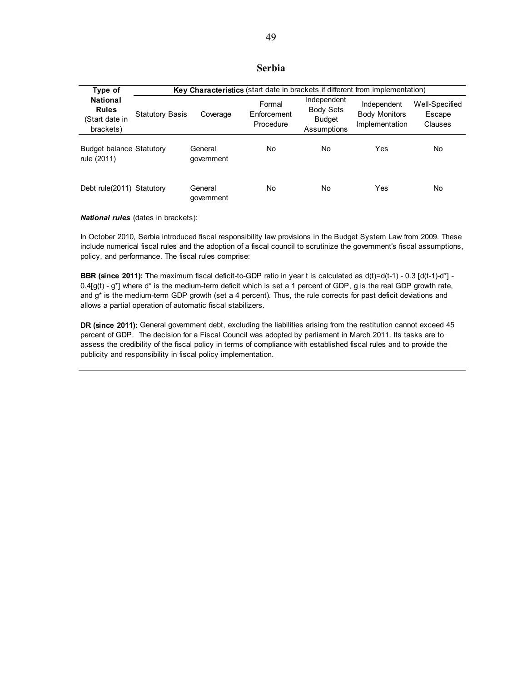### **Serbia**

| Type of                                                        |                        | Key Characteristics (start date in brackets if different from implementation) |                                    |                                                                 |                                                       |                                     |  |  |
|----------------------------------------------------------------|------------------------|-------------------------------------------------------------------------------|------------------------------------|-----------------------------------------------------------------|-------------------------------------------------------|-------------------------------------|--|--|
| <b>National</b><br><b>Rules</b><br>(Start date in<br>brackets) | <b>Statutory Basis</b> | Coverage                                                                      | Formal<br>Enforcement<br>Procedure | Independent<br><b>Body Sets</b><br><b>Budget</b><br>Assumptions | Independent<br><b>Body Monitors</b><br>Implementation | Well-Specified<br>Escape<br>Clauses |  |  |
| <b>Budget balance Statutory</b><br>rule (2011)                 |                        | General<br>qovernment                                                         | No                                 | No.                                                             | Yes                                                   | No                                  |  |  |
| Debt rule(2011) Statutory                                      |                        | General<br>aovernment                                                         | No                                 | No.                                                             | Yes                                                   | No                                  |  |  |

*National rules* (dates in brackets):

In October 2010, Serbia introduced fiscal responsibility law provisions in the Budget System Law from 2009. These include numerical fiscal rules and the adoption of a fiscal council to scrutinize the government's fiscal assumptions, policy, and performance. The fiscal rules comprise:

**BBR (since 2011): T**he maximum fiscal deficit-to-GDP ratio in year t is calculated as d(t)=d(t-1) - 0.3 [d(t-1)-d\*] -  $0.4\text{g}(t)$  - g<sup>\*</sup>] where d<sup>\*</sup> is the medium-term deficit which is set a 1 percent of GDP, g is the real GDP growth rate, and g\* is the medium-term GDP growth (set a 4 percent). Thus, the rule corrects for past deficit deviations and allows a partial operation of automatic fiscal stabilizers.

**DR (since 2011):** General government debt, excluding the liabilities arising from the restitution cannot exceed 45 percent of GDP. The decision for a Fiscal Council was adopted by parliament in March 2011. Its tasks are to assess the credibility of the fiscal policy in terms of compliance with established fiscal rules and to provide the publicity and responsibility in fiscal policy implementation.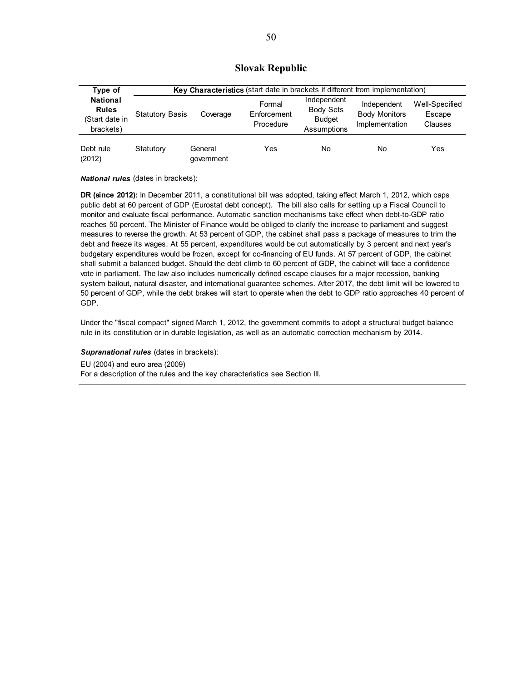### **Slovak Republic**

| Type of                                                        |                        | Key Characteristics (start date in brackets if different from implementation) |                                    |                                                                 |                                                       |                                     |  |  |
|----------------------------------------------------------------|------------------------|-------------------------------------------------------------------------------|------------------------------------|-----------------------------------------------------------------|-------------------------------------------------------|-------------------------------------|--|--|
| <b>National</b><br><b>Rules</b><br>(Start date in<br>brackets) | <b>Statutory Basis</b> | Coverage                                                                      | Formal<br>Enforcement<br>Procedure | Independent<br><b>Body Sets</b><br><b>Budget</b><br>Assumptions | Independent<br><b>Body Monitors</b><br>Implementation | Well-Specified<br>Escape<br>Clauses |  |  |
| Debt rule<br>(2012)                                            | Statutory              | General<br>government                                                         | Yes                                | <b>No</b>                                                       | No                                                    | Yes                                 |  |  |

*National rules* (dates in brackets):

**DR (since 2012):** In December 2011, a constitutional bill was adopted, taking effect March 1, 2012, which caps public debt at 60 percent of GDP (Eurostat debt concept). The bill also calls for setting up a Fiscal Council to monitor and evaluate fiscal performance. Automatic sanction mechanisms take effect when debt-to-GDP ratio reaches 50 percent. The Minister of Finance would be obliged to clarify the increase to parliament and suggest measures to reverse the growth. At 53 percent of GDP, the cabinet shall pass a package of measures to trim the debt and freeze its wages. At 55 percent, expenditures would be cut automatically by 3 percent and next year's budgetary expenditures would be frozen, except for co-financing of EU funds. At 57 percent of GDP, the cabinet shall submit a balanced budget. Should the debt climb to 60 percent of GDP, the cabinet will face a confidence vote in parliament. The law also includes numerically defined escape clauses for a major recession, banking system bailout, natural disaster, and international guarantee schemes. After 2017, the debt limit will be lowered to 50 percent of GDP, while the debt brakes will start to operate when the debt to GDP ratio approaches 40 percent of GDP.

Under the "fiscal compact" signed March 1, 2012, the government commits to adopt a structural budget balance rule in its constitution or in durable legislation, as well as an automatic correction mechanism by 2014.

**Supranational rules** (dates in brackets):

EU (2004) and euro area (2009)

For a description of the rules and the key characteristics see Section III.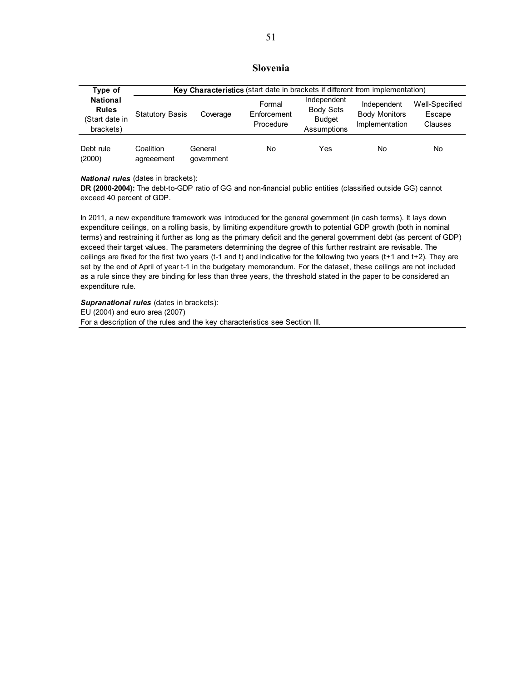### **Slovenia**

| Type of                                                        |                         | Key Characteristics (start date in brackets if different from implementation) |                                    |                                                                 |                                                              |                                     |  |  |
|----------------------------------------------------------------|-------------------------|-------------------------------------------------------------------------------|------------------------------------|-----------------------------------------------------------------|--------------------------------------------------------------|-------------------------------------|--|--|
| <b>National</b><br><b>Rules</b><br>(Start date in<br>brackets) | <b>Statutory Basis</b>  | Coverage                                                                      | Formal<br>Enforcement<br>Procedure | Independent<br><b>Body Sets</b><br><b>Budget</b><br>Assumptions | Independent<br><b>Body Monitors</b><br><b>Implementation</b> | Well-Specified<br>Escape<br>Clauses |  |  |
| Debt rule<br>(2000)                                            | Coalition<br>agreeement | General<br>qovernment                                                         | No                                 | Yes                                                             | No                                                           | No                                  |  |  |

*National rules* (dates in brackets):

**DR (2000-2004):** The debt-to-GDP ratio of GG and non-financial public entities (classified outside GG) cannot exceed 40 percent of GDP.

In 2011, a new expenditure framework was introduced for the general government (in cash terms). It lays down expenditure ceilings, on a rolling basis, by limiting expenditure growth to potential GDP growth (both in nominal terms) and restraining it further as long as the primary deficit and the general government debt (as percent of GDP) exceed their target values. The parameters determining the degree of this further restraint are revisable. The ceilings are fixed for the first two years (t-1 and t) and indicative for the following two years (t+1 and t+2). They are set by the end of April of year t-1 in the budgetary memorandum. For the dataset, these ceilings are not included as a rule since they are binding for less than three years, the threshold stated in the paper to be considered an expenditure rule.

*Supranational rules* (dates in brackets): EU (2004) and euro area (2007) For a description of the rules and the key characteristics see Section III.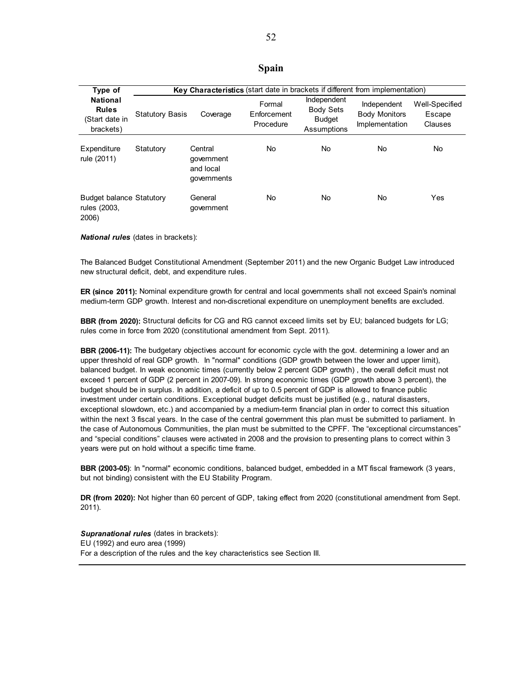#### **Spain**

| Type of                                                        |                        | Key Characteristics (start date in brackets if different from implementation) |                                    |                                                                 |                                                       |                                     |  |  |
|----------------------------------------------------------------|------------------------|-------------------------------------------------------------------------------|------------------------------------|-----------------------------------------------------------------|-------------------------------------------------------|-------------------------------------|--|--|
| <b>National</b><br><b>Rules</b><br>(Start date in<br>brackets) | <b>Statutory Basis</b> | Coverage                                                                      | Formal<br>Enforcement<br>Procedure | Independent<br><b>Body Sets</b><br><b>Budget</b><br>Assumptions | Independent<br><b>Body Monitors</b><br>Implementation | Well-Specified<br>Escape<br>Clauses |  |  |
| Expenditure<br>rule (2011)                                     | Statutory              | Central<br>government<br>and local<br>governments                             | No                                 | No.                                                             | No                                                    | No                                  |  |  |
| <b>Budget balance Statutory</b><br>rules (2003,<br>2006)       |                        | General<br>government                                                         | No                                 | No.                                                             | No                                                    | Yes                                 |  |  |

*National rules* (dates in brackets):

The Balanced Budget Constitutional Amendment (September 2011) and the new Organic Budget Law introduced new structural deficit, debt, and expenditure rules.

**ER (since 2011):** Nominal expenditure growth for central and local governments shall not exceed Spain's nominal medium-term GDP growth. Interest and non-discretional expenditure on unemployment benefits are excluded.

**BBR (from 2020):** Structural deficits for CG and RG cannot exceed limits set by EU; balanced budgets for LG; rules come in force from 2020 (constitutional amendment from Sept. 2011).

**BBR (2006-11):** The budgetary objectives account for economic cycle with the govt. determining a lower and an upper threshold of real GDP growth. In "normal" conditions (GDP growth between the lower and upper limit), balanced budget. In weak economic times (currently below 2 percent GDP growth) , the overall deficit must not exceed 1 percent of GDP (2 percent in 2007-09). In strong economic times (GDP growth above 3 percent), the budget should be in surplus. In addition, a deficit of up to 0.5 percent of GDP is allowed to finance public investment under certain conditions. Exceptional budget deficits must be justified (e.g., natural disasters, exceptional slowdown, etc.) and accompanied by a medium-term financial plan in order to correct this situation within the next 3 fiscal years. In the case of the central government this plan must be submitted to parliament. In the case of Autonomous Communities, the plan must be submitted to the CPFF. The "exceptional circumstances" and "special conditions" clauses were activated in 2008 and the provision to presenting plans to correct within 3 years were put on hold without a specific time frame.

**BBR (2003-05)**: In "normal" economic conditions, balanced budget, embedded in a MT fiscal framework (3 years, but not binding) consistent with the EU Stability Program.

**DR (from 2020):** Not higher than 60 percent of GDP, taking effect from 2020 (constitutional amendment from Sept. 2011).

*Supranational rules* (dates in brackets): EU (1992) and euro area (1999) For a description of the rules and the key characteristics see Section III.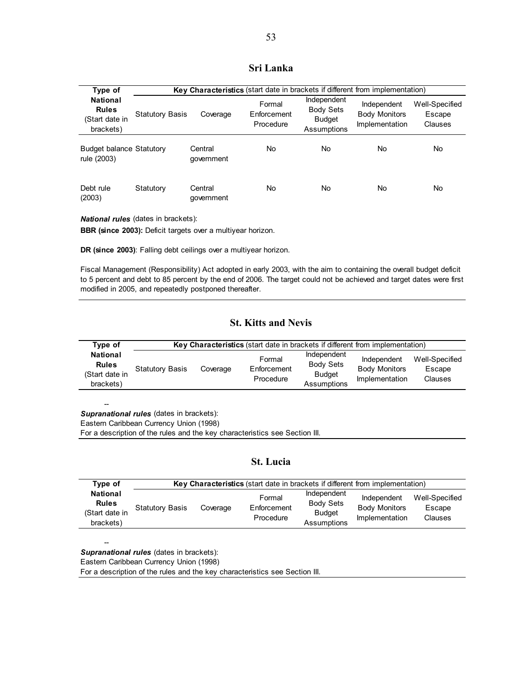### **Sri Lanka**

| Type of                                                        |                        | Key Characteristics (start date in brackets if different from implementation) |                                    |                                                                 |                                                       |                                     |  |  |
|----------------------------------------------------------------|------------------------|-------------------------------------------------------------------------------|------------------------------------|-----------------------------------------------------------------|-------------------------------------------------------|-------------------------------------|--|--|
| <b>National</b><br><b>Rules</b><br>(Start date in<br>brackets) | <b>Statutory Basis</b> | Coverage                                                                      | Formal<br>Enforcement<br>Procedure | Independent<br><b>Body Sets</b><br><b>Budget</b><br>Assumptions | Independent<br><b>Body Monitors</b><br>Implementation | Well-Specified<br>Escape<br>Clauses |  |  |
| <b>Budget balance Statutory</b><br>rule (2003)                 |                        | Central<br>qovernment                                                         | No.                                | No                                                              | No                                                    | No                                  |  |  |
| Debt rule<br>(2003)                                            | Statutory              | Central<br>government                                                         | No.                                | No.                                                             | No                                                    | No                                  |  |  |

*National rules* (dates in brackets):

**BBR (since 2003):** Deficit targets over a multiyear horizon.

**DR (since 2003)**: Falling debt ceilings over a multiyear horizon.

Fiscal Management (Responsibility) Act adopted in early 2003, with the aim to containing the overall budget deficit to 5 percent and debt to 85 percent by the end of 2006. The target could not be achieved and target dates were first modified in 2005, and repeatedly postponed thereafter.

### **St. Kitts and Nevis**

| Type of                                                        | <b>Key Characteristics</b> (start date in brackets if different from implementation) |          |                                    |                                                                 |                                                       |                                            |  |
|----------------------------------------------------------------|--------------------------------------------------------------------------------------|----------|------------------------------------|-----------------------------------------------------------------|-------------------------------------------------------|--------------------------------------------|--|
| <b>National</b><br><b>Rules</b><br>(Start date in<br>brackets) | <b>Statutory Basis</b>                                                               | Coverage | Formal<br>Enforcement<br>Procedure | Independent<br><b>Body Sets</b><br><b>Budget</b><br>Assumptions | Independent<br><b>Body Monitors</b><br>Implementation | Well-Specified<br>Escape<br><b>Clauses</b> |  |

-- *Supranational rules* (dates in brackets):

Eastern Caribbean Currency Union (1998)

For a description of the rules and the key characteristics see Section III.

### **St. Lucia**

| Type of                                                        | Key Characteristics (start date in brackets if different from implementation) |          |                                    |                                                                 |                                                       |                                            |  |
|----------------------------------------------------------------|-------------------------------------------------------------------------------|----------|------------------------------------|-----------------------------------------------------------------|-------------------------------------------------------|--------------------------------------------|--|
| <b>National</b><br><b>Rules</b><br>(Start date in<br>brackets) | <b>Statutory Basis</b>                                                        | Coverage | Formal<br>Enforcement<br>Procedure | Independent<br><b>Body Sets</b><br><b>Budget</b><br>Assumptions | Independent<br><b>Body Monitors</b><br>Implementation | Well-Specified<br>Escape<br><b>Clauses</b> |  |

*Supranational rules* (dates in brackets):

--

Eastern Caribbean Currency Union (1998)

For a description of the rules and the key characteristics see Section III.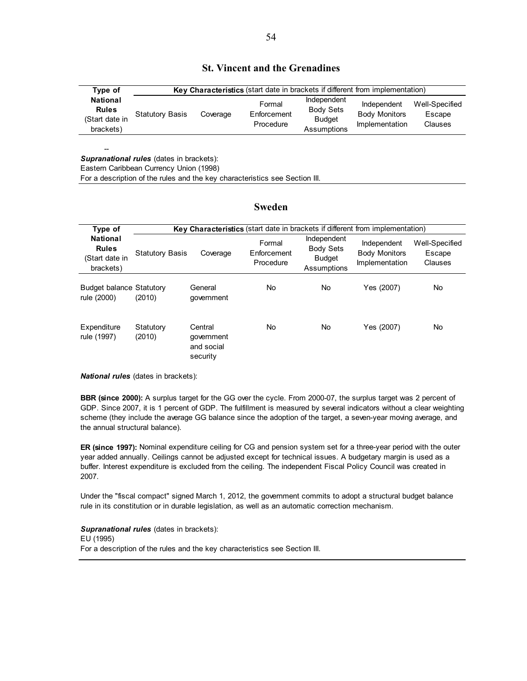|  |  |  |  |  | <b>St. Vincent and the Grenadines</b> |
|--|--|--|--|--|---------------------------------------|
|--|--|--|--|--|---------------------------------------|

| Type of                                                        | Key Characteristics (start date in brackets if different from implementation) |          |                                    |                                                                 |                                                       |                                     |  |  |
|----------------------------------------------------------------|-------------------------------------------------------------------------------|----------|------------------------------------|-----------------------------------------------------------------|-------------------------------------------------------|-------------------------------------|--|--|
| <b>National</b><br><b>Rules</b><br>(Start date in<br>brackets) | <b>Statutory Basis</b>                                                        | Coverage | Formal<br>Enforcement<br>Procedure | Independent<br><b>Body Sets</b><br><b>Budget</b><br>Assumptions | Independent<br><b>Body Monitors</b><br>Implementation | Well-Specified<br>Escape<br>Clauses |  |  |

-- **Supranational rules** (dates in brackets):

Eastern Caribbean Currency Union (1998)

For a description of the rules and the key characteristics see Section III.

#### **Sweden**

| Type of                                                        |                        | Key Characteristics (start date in brackets if different from implementation) |                                    |                                                                 |                                                       |                                            |  |  |
|----------------------------------------------------------------|------------------------|-------------------------------------------------------------------------------|------------------------------------|-----------------------------------------------------------------|-------------------------------------------------------|--------------------------------------------|--|--|
| <b>National</b><br><b>Rules</b><br>(Start date in<br>brackets) | <b>Statutory Basis</b> | Coverage                                                                      | Formal<br>Enforcement<br>Procedure | Independent<br><b>Body Sets</b><br><b>Budget</b><br>Assumptions | Independent<br><b>Body Monitors</b><br>Implementation | Well-Specified<br>Escape<br><b>Clauses</b> |  |  |
| <b>Budget balance Statutory</b><br>rule (2000)                 | (2010)                 | General<br>government                                                         | No.                                | No.                                                             | Yes (2007)                                            | No.                                        |  |  |
| Expenditure<br>rule (1997)                                     | Statutory<br>(2010)    | Central<br>government<br>and social<br>security                               | No                                 | No                                                              | Yes (2007)                                            | No                                         |  |  |

*National rules* (dates in brackets):

**BBR (since 2000):** A surplus target for the GG over the cycle. From 2000-07, the surplus target was 2 percent of GDP. Since 2007, it is 1 percent of GDP. The fulfillment is measured by several indicators without a clear weighting scheme (they include the average GG balance since the adoption of the target, a seven-year moving average, and the annual structural balance).

**ER (since 1997):** Nominal expenditure ceiling for CG and pension system set for a three-year period with the outer year added annually. Ceilings cannot be adjusted except for technical issues. A budgetary margin is used as a buffer. Interest expenditure is excluded from the ceiling. The independent Fiscal Policy Council was created in 2007.

Under the "fiscal compact" signed March 1, 2012, the government commits to adopt a structural budget balance rule in its constitution or in durable legislation, as well as an automatic correction mechanism.

*Supranational rules* (dates in brackets): EU (1995) For a description of the rules and the key characteristics see Section III.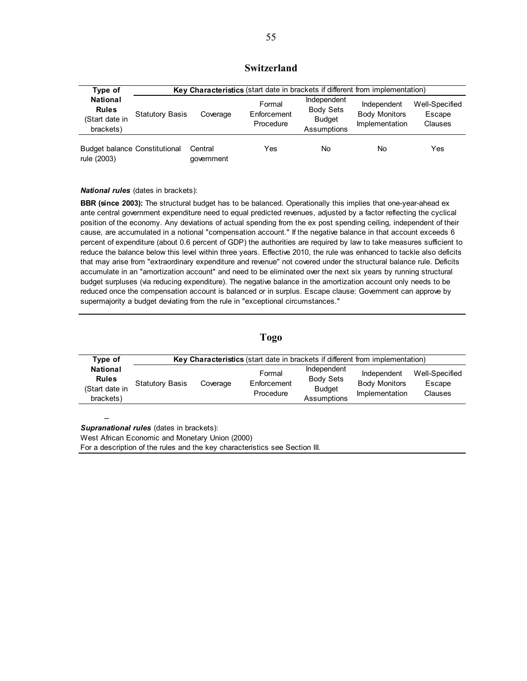### **Switzerland**

| Type of                                                        |                        | Key Characteristics (start date in brackets if different from implementation) |                                    |                                                                 |                                                       |                                     |  |  |
|----------------------------------------------------------------|------------------------|-------------------------------------------------------------------------------|------------------------------------|-----------------------------------------------------------------|-------------------------------------------------------|-------------------------------------|--|--|
| <b>National</b><br><b>Rules</b><br>(Start date in<br>brackets) | <b>Statutory Basis</b> | Coverage                                                                      | Formal<br>Enforcement<br>Procedure | Independent<br><b>Body Sets</b><br><b>Budget</b><br>Assumptions | Independent<br><b>Body Monitors</b><br>Implementation | Well-Specified<br>Escape<br>Clauses |  |  |
| <b>Budget balance Constitutional</b><br>rule (2003)            |                        | Central<br>qovernment                                                         | Yes                                | No                                                              | No                                                    | Yes                                 |  |  |

*National rules* (dates in brackets):

**BBR (since 2003):** The structural budget has to be balanced. Operationally this implies that one-year-ahead ex ante central government expenditure need to equal predicted revenues, adjusted by a factor reflecting the cyclical position of the economy. Any deviations of actual spending from the ex post spending ceiling, independent of their cause, are accumulated in a notional "compensation account." If the negative balance in that account exceeds 6 percent of expenditure (about 0.6 percent of GDP) the authorities are required by law to take measures sufficient to reduce the balance below this level within three years. Effective 2010, the rule was enhanced to tackle also deficits that may arise from "extraordinary expenditure and revenue" not covered under the structural balance rule. Deficits accumulate in an "amortization account" and need to be eliminated over the next six years by running structural budget surpluses (via reducing expenditure). The negative balance in the amortization account only needs to be reduced once the compensation account is balanced or in surplus. Escape clause: Government can approve by supermajority a budget deviating from the rule in "exceptional circumstances."

#### **Togo**

| Type of                                                        | Key Characteristics (start date in brackets if different from implementation) |          |                                    |                                                                 |                                                       |                                            |  |  |
|----------------------------------------------------------------|-------------------------------------------------------------------------------|----------|------------------------------------|-----------------------------------------------------------------|-------------------------------------------------------|--------------------------------------------|--|--|
| <b>National</b><br><b>Rules</b><br>(Start date in<br>brackets) | <b>Statutory Basis</b>                                                        | Coverage | Formal<br>Enforcement<br>Procedure | Independent<br><b>Body Sets</b><br><b>Budget</b><br>Assumptions | Independent<br><b>Body Monitors</b><br>Implementation | Well-Specified<br>Escape<br><b>Clauses</b> |  |  |

-- *Supranational rules* (dates in brackets):

West African Economic and Monetary Union (2000)

For a description of the rules and the key characteristics see Section III.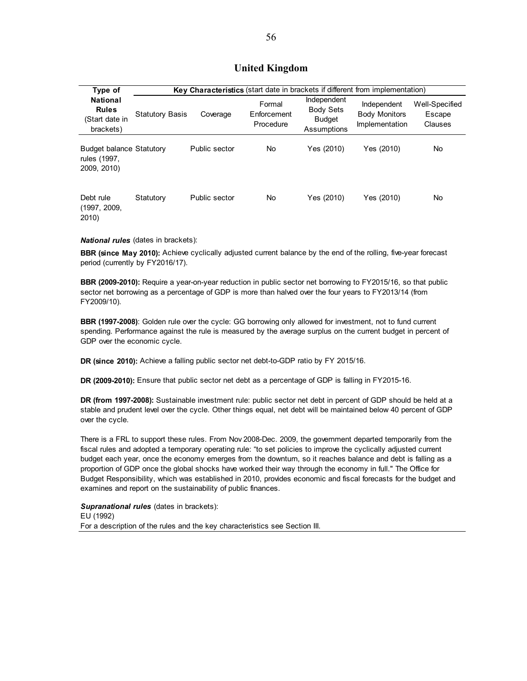### **United Kingdom**

| Type of                                                        |                        | Key Characteristics (start date in brackets if different from implementation) |                                    |                                                                 |                                                       |                                     |  |  |
|----------------------------------------------------------------|------------------------|-------------------------------------------------------------------------------|------------------------------------|-----------------------------------------------------------------|-------------------------------------------------------|-------------------------------------|--|--|
| <b>National</b><br><b>Rules</b><br>(Start date in<br>brackets) | <b>Statutory Basis</b> | Coverage                                                                      | Formal<br>Enforcement<br>Procedure | Independent<br><b>Body Sets</b><br><b>Budget</b><br>Assumptions | Independent<br><b>Body Monitors</b><br>Implementation | Well-Specified<br>Escape<br>Clauses |  |  |
| <b>Budget balance Statutory</b><br>rules (1997,<br>2009, 2010) |                        | Public sector                                                                 | No                                 | Yes (2010)                                                      | Yes (2010)                                            | No.                                 |  |  |
| Debt rule<br>(1997, 2009,<br>2010)                             | Statutory              | Public sector                                                                 | No                                 | Yes (2010)                                                      | Yes (2010)                                            | No                                  |  |  |

#### *National rules* (dates in brackets):

**BBR (since May 2010):** Achieve cyclically adjusted current balance by the end of the rolling, five-year forecast period (currently by FY2016/17).

**BBR (2009-2010):** Require a year-on-year reduction in public sector net borrowing to FY2015/16, so that public sector net borrowing as a percentage of GDP is more than halved over the four years to FY2013/14 (from FY2009/10).

**BBR (1997-2008)**: Golden rule over the cycle: GG borrowing only allowed for investment, not to fund current spending. Performance against the rule is measured by the average surplus on the current budget in percent of GDP over the economic cycle.

**DR (since 2010):** Achieve a falling public sector net debt-to-GDP ratio by FY 2015/16.

**DR (2009-2010):** Ensure that public sector net debt as a percentage of GDP is falling in FY2015-16.

**DR (from 1997-2008):** Sustainable investment rule: public sector net debt in percent of GDP should be held at a stable and prudent level over the cycle. Other things equal, net debt will be maintained below 40 percent of GDP over the cycle.

There is a FRL to support these rules. From Nov 2008-Dec. 2009, the government departed temporarily from the fiscal rules and adopted a temporary operating rule: "to set policies to improve the cyclically adjusted current budget each year, once the economy emerges from the downturn, so it reaches balance and debt is falling as a proportion of GDP once the global shocks have worked their way through the economy in full." The Office for Budget Responsibility, which was established in 2010, provides economic and fiscal forecasts for the budget and examines and report on the sustainability of public finances.

*Supranational rules* (dates in brackets): EU (1992) For a description of the rules and the key characteristics see Section III.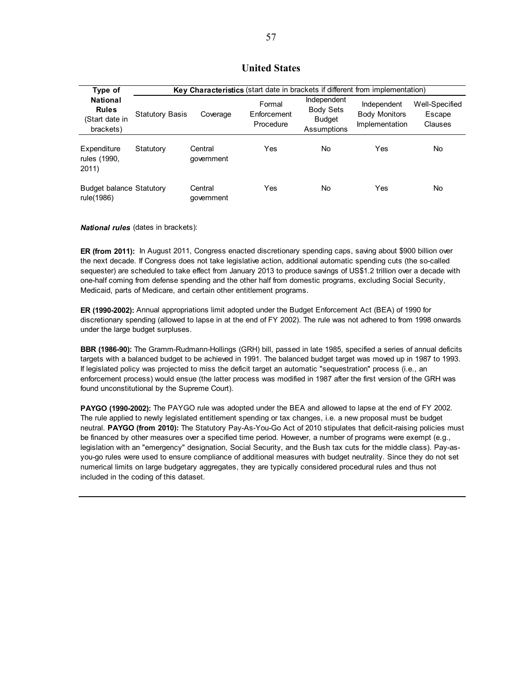### **United States**

| Type of                                                        |                        | Key Characteristics (start date in brackets if different from implementation) |                                    |                                                                 |                                                       |                                     |  |
|----------------------------------------------------------------|------------------------|-------------------------------------------------------------------------------|------------------------------------|-----------------------------------------------------------------|-------------------------------------------------------|-------------------------------------|--|
| <b>National</b><br><b>Rules</b><br>(Start date in<br>brackets) | <b>Statutory Basis</b> | Coverage                                                                      | Formal<br>Enforcement<br>Procedure | Independent<br><b>Body Sets</b><br><b>Budget</b><br>Assumptions | Independent<br><b>Body Monitors</b><br>Implementation | Well-Specified<br>Escape<br>Clauses |  |
| Expenditure<br>rules (1990,<br>2011)                           | Statutory              | Central<br>qovernment                                                         | Yes                                | No.                                                             | Yes                                                   | No                                  |  |
| <b>Budget balance Statutory</b><br>rule(1986)                  |                        | Central<br>government                                                         | Yes                                | No                                                              | Yes                                                   | No                                  |  |

#### *National rules* (dates in brackets):

**ER (from 2011):** In August 2011, Congress enacted discretionary spending caps, saving about \$900 billion over the next decade. If Congress does not take legislative action, additional automatic spending cuts (the so-called sequester) are scheduled to take effect from January 2013 to produce savings of US\$1.2 trillion over a decade with one-half coming from defense spending and the other half from domestic programs, excluding Social Security, Medicaid, parts of Medicare, and certain other entitlement programs.

**ER (1990-2002):** Annual appropriations limit adopted under the Budget Enforcement Act (BEA) of 1990 for discretionary spending (allowed to lapse in at the end of FY 2002). The rule was not adhered to from 1998 onwards under the large budget surpluses.

**BBR (1986-90):** The Gramm-Rudmann-Hollings (GRH) bill, passed in late 1985, specified a series of annual deficits targets with a balanced budget to be achieved in 1991. The balanced budget target was moved up in 1987 to 1993. If legislated policy was projected to miss the deficit target an automatic "sequestration" process (i.e., an enforcement process) would ensue (the latter process was modified in 1987 after the first version of the GRH was found unconstitutional by the Supreme Court).

**PAYGO (1990-2002):** The PAYGO rule was adopted under the BEA and allowed to lapse at the end of FY 2002. The rule applied to newly legislated entitlement spending or tax changes, i.e. a new proposal must be budget neutral. **PAYGO (from 2010):** The Statutory Pay-As-You-Go Act of 2010 stipulates that deficit-raising policies must be financed by other measures over a specified time period. However, a number of programs were exempt (e.g., legislation with an "emergency" designation, Social Security, and the Bush tax cuts for the middle class). Pay-asyou-go rules were used to ensure compliance of additional measures with budget neutrality. Since they do not set numerical limits on large budgetary aggregates, they are typically considered procedural rules and thus not included in the coding of this dataset.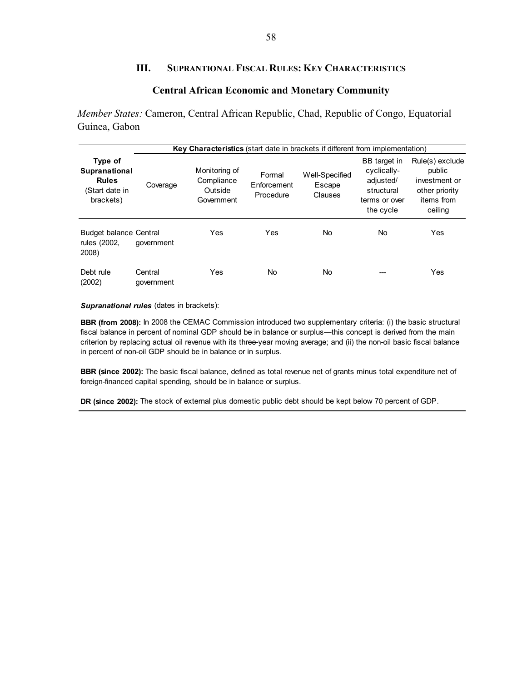### **III. SUPRANTIONAL FISCAL RULES: KEY CHARACTERISTICS**

### **Central African Economic and Monetary Community**

*Member States:* Cameron, Central African Republic, Chad, Republic of Congo, Equatorial Guinea, Gabon

|                                                                         |                       | Key Characteristics (start date in brackets if different from implementation) |                                    |                                     |                                                                                      |                                                                                       |
|-------------------------------------------------------------------------|-----------------------|-------------------------------------------------------------------------------|------------------------------------|-------------------------------------|--------------------------------------------------------------------------------------|---------------------------------------------------------------------------------------|
| Type of<br>Supranational<br><b>Rules</b><br>(Start date in<br>brackets) | Coverage              | Monitoring of<br>Compliance<br>Outside<br>Government                          | Formal<br>Enforcement<br>Procedure | Well-Specified<br>Escape<br>Clauses | BB target in<br>cyclically-<br>adjusted/<br>structural<br>terms or over<br>the cycle | Rule(s) exclude<br>public<br>investment or<br>other priority<br>items from<br>ceiling |
| <b>Budget balance Central</b><br>rules (2002,<br>2008)                  | government            | Yes                                                                           | Yes                                | No.                                 | No                                                                                   | Yes                                                                                   |
| Debt rule<br>(2002)                                                     | Central<br>qovernment | Yes                                                                           | No                                 | No                                  |                                                                                      | Yes                                                                                   |

*Supranational rules* (dates in brackets):

**BBR (from 2008):** In 2008 the CEMAC Commission introduced two supplementary criteria: (i) the basic structural fiscal balance in percent of nominal GDP should be in balance or surplus—this concept is derived from the main criterion by replacing actual oil revenue with its three-year moving average; and (ii) the non-oil basic fiscal balance in percent of non-oil GDP should be in balance or in surplus.

**BBR (since 2002):** The basic fiscal balance, defined as total revenue net of grants minus total expenditure net of foreign-financed capital spending, should be in balance or surplus.

**DR (since 2002):** The stock of external plus domestic public debt should be kept below 70 percent of GDP.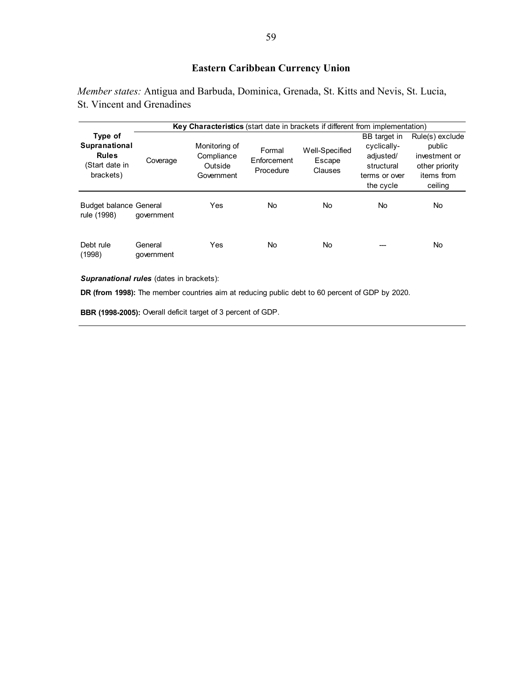# **Eastern Caribbean Currency Union**

*Member states:* Antigua and Barbuda, Dominica, Grenada, St. Kitts and Nevis, St. Lucia, St. Vincent and Grenadines

|                                                                         |                       | Key Characteristics (start date in brackets if different from implementation) |                                    |                                     |                                                                                      |                                                                                       |
|-------------------------------------------------------------------------|-----------------------|-------------------------------------------------------------------------------|------------------------------------|-------------------------------------|--------------------------------------------------------------------------------------|---------------------------------------------------------------------------------------|
| Type of<br>Supranational<br><b>Rules</b><br>(Start date in<br>brackets) | Coverage              | Monitoring of<br>Compliance<br>Outside<br>Government                          | Formal<br>Enforcement<br>Procedure | Well-Specified<br>Escape<br>Clauses | BB target in<br>cyclically-<br>adjusted/<br>structural<br>terms or over<br>the cycle | Rule(s) exclude<br>public<br>investment or<br>other priority<br>items from<br>ceiling |
| <b>Budget balance General</b><br>rule (1998)                            | government            | Yes                                                                           | No                                 | No                                  | No                                                                                   | No.                                                                                   |
| Debt rule<br>(1998)                                                     | General<br>government | Yes                                                                           | No                                 | No                                  |                                                                                      | No.                                                                                   |

#### *Supranational rules* (dates in brackets):

**DR (from 1998):** The member countries aim at reducing public debt to 60 percent of GDP by 2020.

**BBR (1998-2005):** Overall deficit target of 3 percent of GDP.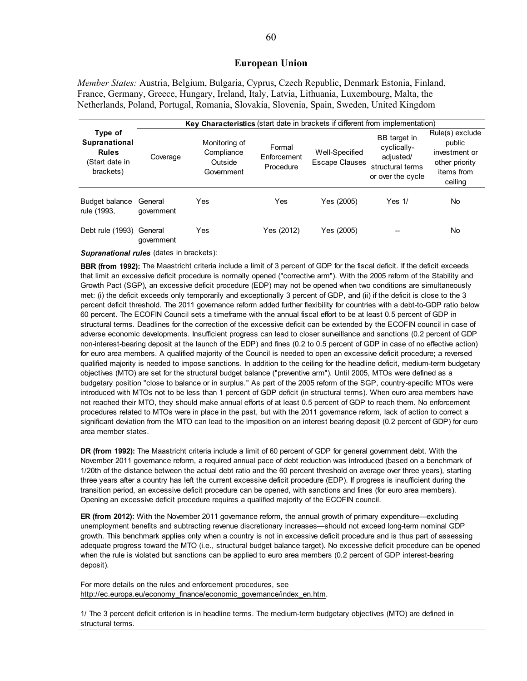#### **European Union**

*Member States:* Austria, Belgium, Bulgaria, Cyprus, Czech Republic, Denmark Estonia, Finland, France, Germany, Greece, Hungary, Ireland, Italy, Latvia, Lithuania, Luxembourg, Malta, the Netherlands, Poland, Portugal, Romania, Slovakia, Slovenia, Spain, Sweden, United Kingdom

|                                                                         | <b>Key Characteristics</b> (start date in brackets if different from implementation) |                                                      |                                    |                                  |                                                                                   |                                                                                       |
|-------------------------------------------------------------------------|--------------------------------------------------------------------------------------|------------------------------------------------------|------------------------------------|----------------------------------|-----------------------------------------------------------------------------------|---------------------------------------------------------------------------------------|
| Type of<br>Supranational<br><b>Rules</b><br>(Start date in<br>brackets) | Coverage                                                                             | Monitoring of<br>Compliance<br>Outside<br>Government | Formal<br>Enforcement<br>Procedure | Well-Specified<br>Escape Clauses | BB target in<br>cyclically-<br>adjusted/<br>structural terms<br>or over the cycle | Rule(s) exclude<br>public<br>investment or<br>other priority<br>items from<br>ceiling |
| Budget balance<br>rule (1993,                                           | General<br>qovernment                                                                | Yes                                                  | Yes                                | Yes (2005)                       | Yes $1/$                                                                          | No                                                                                    |
| Debt rule (1993)                                                        | General<br>qovernment                                                                | Yes                                                  | Yes (2012)                         | Yes (2005)                       |                                                                                   | No                                                                                    |

*Supranational rules* (dates in brackets):

**BBR (from 1992):** The Maastricht criteria include a limit of 3 percent of GDP for the fiscal deficit. If the deficit exceeds that limit an excessive deficit procedure is normally opened ("corrective arm"). With the 2005 reform of the Stability and Growth Pact (SGP), an excessive deficit procedure (EDP) may not be opened when two conditions are simultaneously met: (i) the deficit exceeds only temporarily and exceptionally 3 percent of GDP, and (ii) if the deficit is close to the 3 percent deficit threshold. The 2011 governance reform added further flexibility for countries with a debt-to-GDP ratio below 60 percent. The ECOFIN Council sets a timeframe with the annual fiscal effort to be at least 0.5 percent of GDP in structural terms. Deadlines for the correction of the excessive deficit can be extended by the ECOFIN council in case of adverse economic developments. Insufficient progress can lead to closer surveillance and sanctions (0.2 percent of GDP non-interest-bearing deposit at the launch of the EDP) and fines (0.2 to 0.5 percent of GDP in case of no effective action) for euro area members. A qualified majority of the Council is needed to open an excessive deficit procedure; a reversed qualified majority is needed to impose sanctions. In addition to the ceiling for the headline deficit, medium-term budgetary objectives (MTO) are set for the structural budget balance ("preventive arm"). Until 2005, MTOs were defined as a budgetary position "close to balance or in surplus." As part of the 2005 reform of the SGP, country-specific MTOs were introduced with MTOs not to be less than 1 percent of GDP deficit (in structural terms). When euro area members have not reached their MTO, they should make annual efforts of at least 0.5 percent of GDP to reach them. No enforcement procedures related to MTOs were in place in the past, but with the 2011 governance reform, lack of action to correct a significant deviation from the MTO can lead to the imposition on an interest bearing deposit (0.2 percent of GDP) for euro area member states.

**DR (from 1992):** The Maastricht criteria include a limit of 60 percent of GDP for general government debt. With the November 2011 governance reform, a required annual pace of debt reduction was introduced (based on a benchmark of 1/20th of the distance between the actual debt ratio and the 60 percent threshold on average over three years), starting three years after a country has left the current excessive deficit procedure (EDP). If progress is insufficient during the transition period, an excessive deficit procedure can be opened, with sanctions and fines (for euro area members). Opening an excessive deficit procedure requires a qualified majority of the ECOFIN council.

**ER (from 2012):** With the November 2011 governance reform, the annual growth of primary expenditure—excluding unemployment benefits and subtracting revenue discretionary increases—should not exceed long-term nominal GDP growth. This benchmark applies only when a country is not in excessive deficit procedure and is thus part of assessing adequate progress toward the MTO (i.e., structural budget balance target). No excessive deficit procedure can be opened when the rule is violated but sanctions can be applied to euro area members (0.2 percent of GDP interest-bearing deposit).

For more details on the rules and enforcement procedures, see http://ec.europa.eu/economy\_finance/economic\_governance/index\_en.htm.

1/ The 3 percent deficit criterion is in headline terms. The medium-term budgetary objectives (MTO) are defined in structural terms.